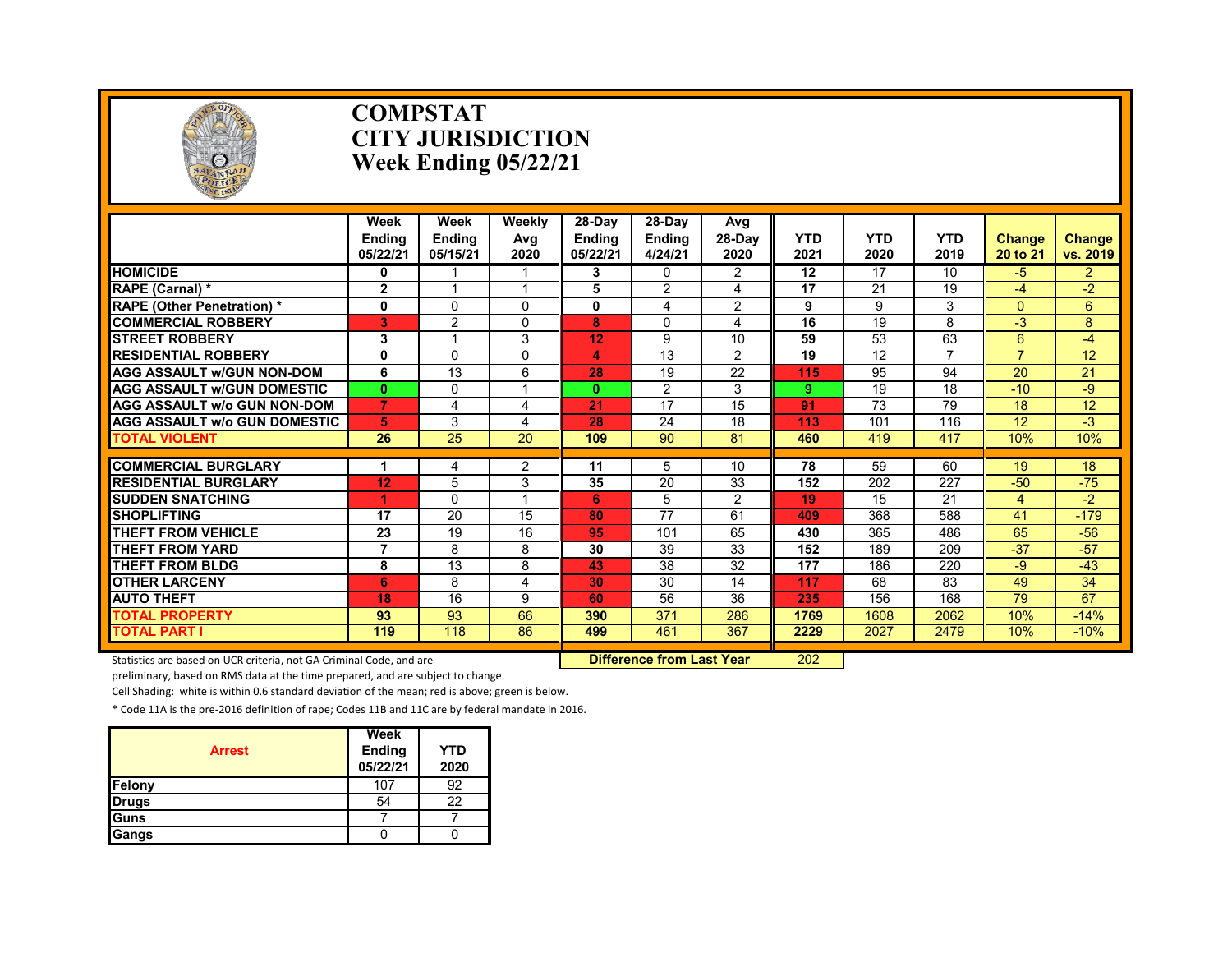

#### **COMPSTAT CITY JURISDICTION Week Ending 05/22/21**

|                                     | Week<br><b>Endina</b><br>05/22/21 | Week<br><b>Ending</b><br>05/15/21 | Weekly<br>Avg<br>2020 | 28-Day<br><b>Endina</b><br>05/22/21 | 28-Day<br><b>Endina</b><br>4/24/21 | Avg<br>$28-Dav$<br>2020 | <b>YTD</b><br>2021 | <b>YTD</b><br>2020 | <b>YTD</b><br>2019 | <b>Change</b><br>20 to 21 | <b>Change</b><br>vs. 2019 |
|-------------------------------------|-----------------------------------|-----------------------------------|-----------------------|-------------------------------------|------------------------------------|-------------------------|--------------------|--------------------|--------------------|---------------------------|---------------------------|
| <b>HOMICIDE</b>                     | 0                                 |                                   |                       | 3                                   | 0                                  | $\overline{2}$          | 12                 | 17                 | 10                 | $-5$                      | $\overline{2}$            |
| RAPE (Carnal) *                     | 2                                 | 1                                 |                       | 5                                   | 2                                  | 4                       | 17                 | 21                 | 19                 | $-4$                      | $-2$                      |
| <b>RAPE (Other Penetration) *</b>   | $\mathbf 0$                       | 0                                 | $\Omega$              | 0                                   | 4                                  | 2                       | 9                  | 9                  | 3                  | $\Omega$                  | 6                         |
| <b>COMMERCIAL ROBBERY</b>           | 3                                 | $\overline{2}$                    | $\Omega$              | 8                                   | 0                                  | 4                       | 16                 | 19                 | 8                  | $-3$                      | 8                         |
| <b>ISTREET ROBBERY</b>              | 3                                 | 1                                 | 3                     | 12                                  | 9                                  | 10                      | 59                 | 53                 | 63                 | 6                         | $-4$                      |
| <b>RESIDENTIAL ROBBERY</b>          | 0                                 | 0                                 | $\Omega$              | 4                                   | 13                                 | 2                       | 19                 | 12                 |                    | $\overline{7}$            | 12                        |
| <b>AGG ASSAULT w/GUN NON-DOM</b>    | 6                                 | 13                                | 6                     | 28                                  | 19                                 | 22                      | 115                | 95                 | 94                 | 20                        | 21                        |
| <b>AGG ASSAULT w/GUN DOMESTIC</b>   | $\mathbf{0}$                      | $\Omega$                          |                       | $\mathbf{0}$                        | $\overline{2}$                     | 3                       | 9                  | 19                 | 18                 | $-10$                     | -9                        |
| <b>AGG ASSAULT w/o GUN NON-DOM</b>  | $\overline{7}$                    | 4                                 | 4                     | 21                                  | 17                                 | 15                      | 91                 | 73                 | 79                 | 18                        | 12                        |
| <b>AGG ASSAULT w/o GUN DOMESTIC</b> | 5                                 | 3                                 | 4                     | 28                                  | 24                                 | 18                      | 113                | 101                | 116                | 12                        | $-3$                      |
| <b>TOTAL VIOLENT</b>                | 26                                | 25                                | 20                    | 109                                 | 90                                 | 81                      | 460                | 419                | 417                | 10%                       | 10%                       |
|                                     |                                   |                                   |                       |                                     |                                    |                         |                    |                    |                    |                           |                           |
| <b>COMMERCIAL BURGLARY</b>          |                                   | 4                                 | 2                     | 11                                  | 5                                  | 10                      | 78                 | 59                 | 60                 | 19                        | 18                        |
| <b>RESIDENTIAL BURGLARY</b>         | 12                                | 5                                 | 3                     | 35                                  | 20                                 | 33                      | 152                | 202                | 227                | $-50$                     | $-75$                     |
| <b>SUDDEN SNATCHING</b>             |                                   | 0                                 |                       | 6                                   | 5                                  | 2                       | 19                 | 15                 | 21                 | 4                         | $-2$                      |
| <b>SHOPLIFTING</b>                  | 17                                | 20                                | 15                    | 80                                  | $\overline{77}$                    | 61                      | 409                | 368                | 588                | 41                        | $-179$                    |
| <b>THEFT FROM VEHICLE</b>           | 23                                | 19                                | 16                    | 95                                  | 101                                | 65                      | 430                | 365                | 486                | 65                        | $-56$                     |
| <b>THEFT FROM YARD</b>              | 7                                 | 8                                 | 8                     | 30                                  | 39                                 | 33                      | 152                | 189                | 209                | $-37$                     | $-57$                     |
| THEFT FROM BLDG                     | 8                                 | 13                                | 8                     | 43                                  | 38                                 | 32                      | 177                | 186                | 220                | $-9$                      | $-43$                     |
| <b>OTHER LARCENY</b>                | 6                                 | 8                                 | 4                     | 30                                  | 30                                 | 14                      | 117                | 68                 | 83                 | 49                        | 34                        |
| <b>AUTO THEFT</b>                   | 18                                | 16                                | 9                     | 60                                  | 56                                 | 36                      | 235                | 156                | 168                | 79                        | 67                        |
| <b>TOTAL PROPERTY</b>               | 93                                | 93                                | 66                    | 390                                 | 371                                | 286                     | 1769               | 1608               | 2062               | 10%                       | $-14%$                    |
| <b>TOTAL PART I</b>                 | 119                               | 118                               | 86                    | 499                                 | 461                                | 367                     | 2229               | 2027               | 2479               | 10%                       | $-10%$                    |

Statistics are based on UCR criteria, not GA Criminal Code, and are **Dufference from Last Year** 202

preliminary, based on RMS data at the time prepared, and are subject to change.

Cell Shading: white is within 0.6 standard deviation of the mean; red is above; green is below.

| <b>Arrest</b> | Week<br>Ending<br>05/22/21 | YTD<br>2020 |
|---------------|----------------------------|-------------|
| Felony        | 107                        | 92          |
| <b>Drugs</b>  | 54                         | 22          |
| Guns          |                            |             |
| <b>Gangs</b>  |                            |             |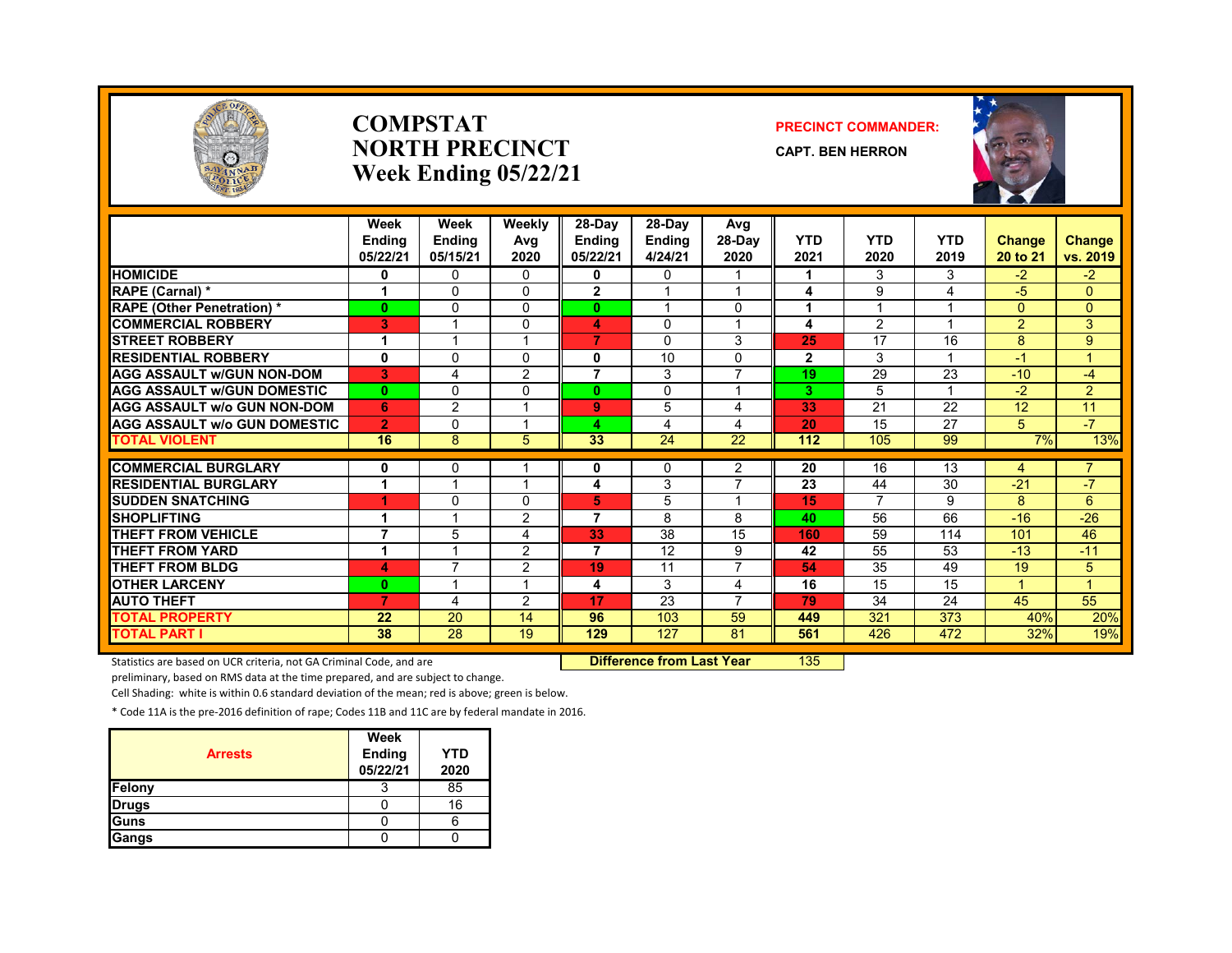

#### **COMPSTATNORTH PRECINCTWeek Ending 05/22/21**

#### **PRECINCT COMMANDER:**

**CAPT. BEN HERRON**



|                                     | Week<br><b>Endina</b><br>05/22/21 | Week<br><b>Ending</b><br>05/15/21 | Weekly<br>Avg<br>2020 | 28-Day<br><b>Ending</b><br>05/22/21 | 28-Day<br><b>Ending</b><br>4/24/21 | Avg<br>$28-Dav$<br>2020  | <b>YTD</b><br>2021 | <b>YTD</b><br>2020       | <b>YTD</b><br>2019 | <b>Change</b><br>20 to 21 | Change<br>vs. 2019 |
|-------------------------------------|-----------------------------------|-----------------------------------|-----------------------|-------------------------------------|------------------------------------|--------------------------|--------------------|--------------------------|--------------------|---------------------------|--------------------|
| <b>HOMICIDE</b>                     | 0                                 | $\Omega$                          | 0                     | 0                                   | 0                                  |                          |                    | 3                        | 3                  | $-2$                      | $-2$               |
| RAPE (Carnal) *                     | 1                                 | $\Omega$                          | $\Omega$              | $\overline{2}$                      |                                    |                          | 4                  | 9                        | 4                  | $-5$                      | $\overline{0}$     |
| <b>RAPE (Other Penetration) *</b>   | $\mathbf{0}$                      | $\Omega$                          | $\Omega$              | $\bf{0}$                            |                                    | $\Omega$                 | 1                  | $\overline{\phantom{a}}$ |                    | $\Omega$                  | $\overline{0}$     |
| <b>COMMERCIAL ROBBERY</b>           | 3                                 |                                   | 0                     | 4                                   | $\Omega$                           |                          | 4                  | 2                        |                    | $\overline{2}$            | 3                  |
| <b>STREET ROBBERY</b>               | 1                                 |                                   |                       | 7                                   | 0                                  | 3                        | 25                 | 17                       | 16                 | 8                         | 9                  |
| <b>RESIDENTIAL ROBBERY</b>          | $\mathbf{0}$                      | $\Omega$                          | 0                     | 0                                   | 10                                 | $\Omega$                 | $\mathbf{2}$       | 3                        |                    | $-1$                      | 1                  |
| <b>AGG ASSAULT W/GUN NON-DOM</b>    | 3                                 | $\overline{4}$                    | 2                     | 7                                   | 3                                  | 7                        | 19                 | 29                       | 23                 | $-10$                     | $-4$               |
| <b>AGG ASSAULT W/GUN DOMESTIC</b>   | $\mathbf{0}$                      | $\Omega$                          | 0                     | $\bf{0}$                            | 0                                  |                          | 3                  | 5                        |                    | $-2$                      | $\overline{2}$     |
| <b>AGG ASSAULT w/o GUN NON-DOM</b>  | 6                                 | $\overline{2}$                    |                       | 9                                   | 5                                  | 4                        | 33                 | 21                       | 22                 | 12                        | 11                 |
| <b>AGG ASSAULT W/o GUN DOMESTIC</b> | $\overline{2}$                    | $\Omega$                          |                       | 4                                   | 4                                  | 4                        | 20                 | 15                       | 27                 | 5                         | $-7$               |
| <b>TOTAL VIOLENT</b>                | 16                                | 8                                 | 5                     | 33                                  | 24                                 | 22                       | 112                | 105                      | 99                 | 7%                        | 13%                |
|                                     |                                   |                                   |                       |                                     |                                    |                          |                    |                          |                    |                           |                    |
| <b>COMMERCIAL BURGLARY</b>          | 0                                 | 0                                 |                       | 0                                   | 0                                  | 2                        | 20                 | 16                       | 13                 | 4                         |                    |
| <b>RESIDENTIAL BURGLARY</b>         | 1                                 |                                   |                       | 4                                   | 3                                  | $\overline{\phantom{a}}$ | 23                 | 44                       | 30                 | $-21$                     | $-7$               |
| <b>SUDDEN SNATCHING</b>             |                                   | $\Omega$                          | 0                     | 5                                   | 5                                  |                          | 15                 | $\overline{ }$           | 9                  | 8                         | 6                  |
| <b>SHOPLIFTING</b>                  | 1                                 | $\overline{A}$                    | $\overline{2}$        | 7                                   | 8                                  | 8                        | 40                 | 56                       | 66                 | $-16$                     | $-26$              |
| <b>THEFT FROM VEHICLE</b>           | $\overline{7}$                    | 5                                 | 4                     | 33                                  | 38                                 | 15                       | 160                | 59                       | 114                | 101                       | 46                 |
| <b>THEFT FROM YARD</b>              | 1                                 |                                   | 2                     | 7                                   | 12                                 | 9                        | 42                 | 55                       | 53                 | $-13$                     | $-11$              |
| <b>THEFT FROM BLDG</b>              | 4                                 | 7                                 | 2                     | 19                                  | 11                                 | 7                        | 54                 | 35                       | 49                 | 19                        | 5                  |
| <b>OTHER LARCENY</b>                | $\mathbf{0}$                      |                                   |                       | 4                                   | 3                                  | 4                        | 16                 | 15                       | 15                 |                           | 1                  |
| <b>AUTO THEFT</b>                   | 7                                 | $\overline{4}$                    | 2                     | 17                                  | $\overline{23}$                    | $\overline{7}$           | 79                 | 34                       | 24                 | 45                        | 55                 |
| <b>TOTAL PROPERTY</b>               | 22                                | 20                                | 14                    | 96                                  | 103                                | 59                       | 449                | 321                      | 373                | 40%                       | 20%                |
| <b>TOTAL PART I</b>                 | 38                                | 28                                | 19                    | 129                                 | 127                                | 81                       | 561                | 426                      | 472                | 32%                       | 19%                |

Statistics are based on UCR criteria, not GA Criminal Code, and are **Difference from Last Year** 135

preliminary, based on RMS data at the time prepared, and are subject to change.

Cell Shading: white is within 0.6 standard deviation of the mean; red is above; green is below.

| <b>Arrests</b> | Week<br><b>Ending</b><br>05/22/21 | YTD<br>2020 |
|----------------|-----------------------------------|-------------|
| <b>Felony</b>  |                                   | 85          |
| <b>Drugs</b>   |                                   | 16          |
| Guns           |                                   |             |
| <b>Gangs</b>   |                                   |             |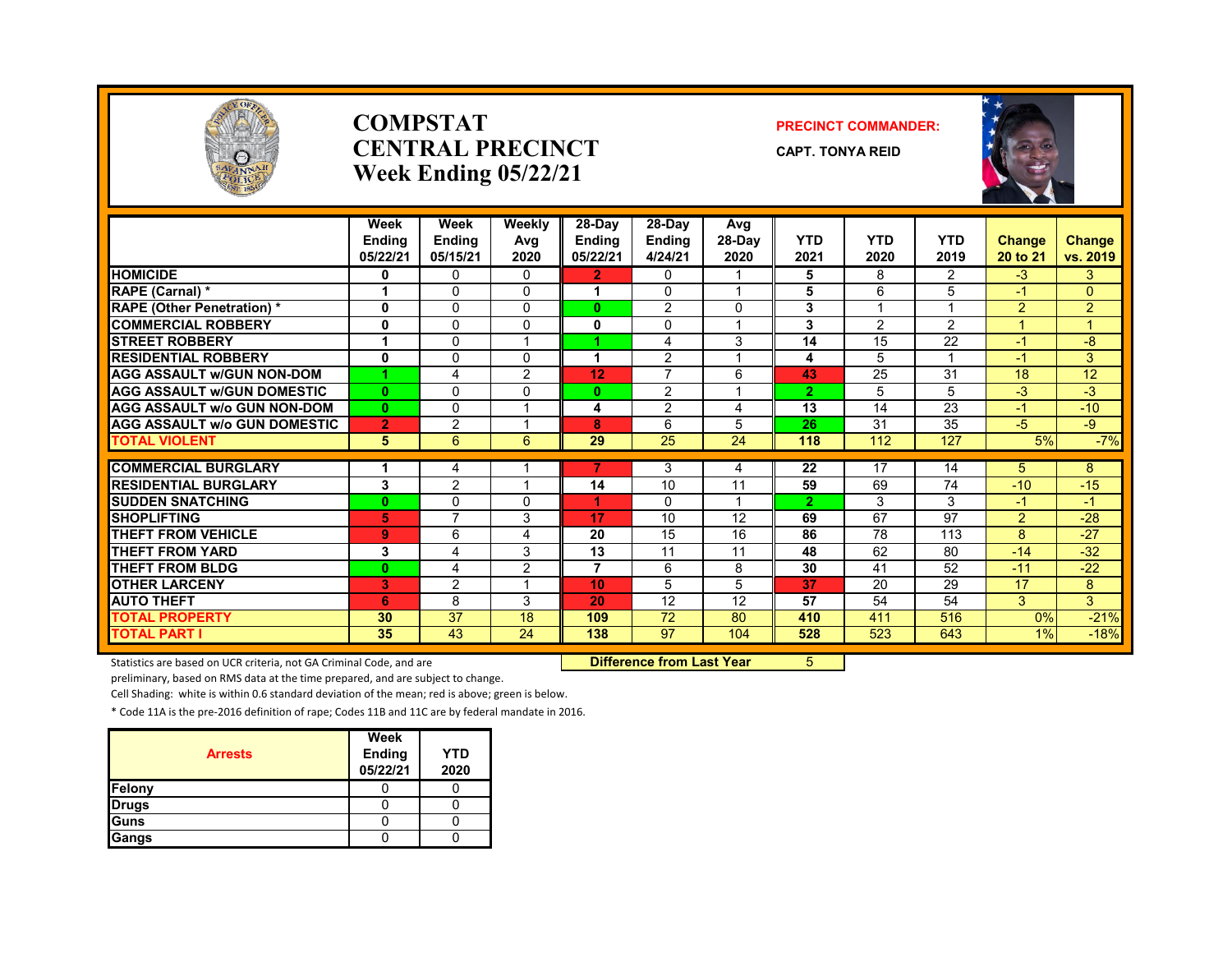

#### **COMPSTATCENTRAL PRECINCTWeek Ending 05/22/21**

#### **PRECINCT COMMANDER:**

**CAPT. TONYA REID**



|                                     | Week<br><b>Endina</b><br>05/22/21 | Week<br><b>Ending</b><br>05/15/21 | Weekly<br>Avg<br>2020 | 28-Day<br><b>Ending</b><br>05/22/21 | $28-Dav$<br><b>Ending</b><br>4/24/21 | Avg<br>28-Day<br>2020 | <b>YTD</b><br>2021 | <b>YTD</b><br>2020 | <b>YTD</b><br>2019 | <b>Change</b><br>20 to 21 | Change<br>vs. 2019 |
|-------------------------------------|-----------------------------------|-----------------------------------|-----------------------|-------------------------------------|--------------------------------------|-----------------------|--------------------|--------------------|--------------------|---------------------------|--------------------|
| <b>HOMICIDE</b>                     | 0                                 | $\mathbf{0}$                      | $\mathbf{0}$          | $\overline{2}$                      | 0                                    |                       | 5                  | 8                  | $\overline{2}$     | $-3$                      | 3                  |
| <b>RAPE (Carnal) *</b>              | 1                                 | $\Omega$                          | $\Omega$              | 1                                   | $\Omega$                             |                       | 5                  | 6                  | 5                  | $-1$                      | $\overline{0}$     |
| <b>RAPE</b> (Other Penetration) *   | 0                                 | $\mathbf{0}$                      | $\Omega$              | 0                                   | 2                                    | $\Omega$              | 3                  |                    | -1                 | $\overline{2}$            | $\overline{2}$     |
| <b>COMMERCIAL ROBBERY</b>           | 0                                 | $\Omega$                          | 0                     | 0                                   | 0                                    |                       | 3                  | 2                  | $\overline{2}$     |                           |                    |
| <b>STREET ROBBERY</b>               | 1                                 | $\Omega$                          |                       |                                     | 4                                    | 3                     | 14                 | 15                 | 22                 | $-1$                      | -8                 |
| <b>RESIDENTIAL ROBBERY</b>          | 0                                 | $\mathbf{0}$                      | <sup>0</sup>          |                                     | 2                                    |                       | 4                  | 5                  |                    | $-1$                      | 3                  |
| <b>AGG ASSAULT w/GUN NON-DOM</b>    |                                   | 4                                 | $\overline{2}$        | 12                                  | $\overline{7}$                       | 6                     | 43                 | 25                 | 31                 | 18                        | 12                 |
| <b>AGG ASSAULT W/GUN DOMESTIC</b>   | $\mathbf{0}$                      | $\Omega$                          | $\Omega$              | 0                                   | 2                                    | $\overline{ }$        | $\overline{2}$     | 5                  | 5                  | $-3$                      | $-3$               |
| <b>AGG ASSAULT w/o GUN NON-DOM</b>  | $\mathbf{0}$                      | $\mathbf{0}$                      |                       | 4                                   | 2                                    | 4                     | 13                 | 14                 | 23                 | $-1$                      | $-10$              |
| <b>AGG ASSAULT W/o GUN DOMESTIC</b> | $\overline{2}$                    | $\overline{2}$                    |                       | 8                                   | 6                                    | 5                     | 26                 | 31                 | 35                 | $-5$                      | $-9$               |
| <b>TOTAL VIOLENT</b>                | 5                                 | 6                                 | 6                     | 29                                  | 25                                   | 24                    | 118                | 112                | 127                | 5%                        | $-7%$              |
|                                     |                                   |                                   |                       | 7                                   |                                      |                       |                    |                    |                    |                           |                    |
| <b>COMMERCIAL BURGLARY</b>          | 1                                 | 4                                 |                       |                                     | 3                                    | 4                     | 22                 | 17                 | 14                 | 5                         | 8                  |
| <b>RESIDENTIAL BURGLARY</b>         | 3                                 | $\overline{2}$                    |                       | 14                                  | 10                                   | 11                    | 59                 | 69                 | 74                 | $-10$                     | $-15$              |
| <b>SUDDEN SNATCHING</b>             | $\mathbf{0}$                      | $\mathbf{0}$<br>$\overline{ }$    | $\Omega$              |                                     | $\Omega$                             |                       | $\overline{2}$     | 3                  | 3                  | $-1$                      | $-1$               |
| <b>SHOPLIFTING</b>                  | 5                                 |                                   | 3                     | 17                                  | 10                                   | 12                    | 69                 | 67                 | 97                 | $\overline{2}$            | $-28$              |
| <b>THEFT FROM VEHICLE</b>           | 9                                 | 6                                 | 4                     | 20                                  | 15                                   | 16                    | 86                 | 78                 | 113                | 8                         | $-27$              |
| <b>THEFT FROM YARD</b>              | 3                                 | $\overline{4}$                    | 3                     | 13                                  | 11                                   | 11                    | 48                 | 62                 | 80                 | $-14$                     | $-32$              |
| THEFT FROM BLDG                     | $\mathbf{0}$                      | $\overline{4}$                    | 2                     | 7                                   | 6                                    | 8                     | 30                 | 41                 | 52                 | $-11$                     | $-22$              |
| <b>OTHER LARCENY</b>                | 3                                 | 2                                 |                       | 10                                  | 5                                    | 5                     | 37                 | 20                 | 29                 | 17                        | 8                  |
| <b>AUTO THEFT</b>                   | 6                                 | 8                                 | 3                     | 20                                  | 12                                   | 12                    | 57                 | 54                 | 54                 | 3                         | 3 <sup>1</sup>     |
| <b>TOTAL PROPERTY</b>               | 30                                | 37                                | 18                    | 109                                 | 72                                   | 80                    | 410                | 411                | 516                | 0%                        | $-21%$             |
| <b>TOTAL PART I</b>                 | 35                                | 43                                | 24                    | 138                                 | 97                                   | 104                   | 528                | 523                | 643                | $1\%$                     | $-18%$             |

Statistics are based on UCR criteria, not GA Criminal Code, and are **Difference from Last Year** 5

preliminary, based on RMS data at the time prepared, and are subject to change.

Cell Shading: white is within 0.6 standard deviation of the mean; red is above; green is below.

| <b>Arrests</b> | Week<br>Ending<br>05/22/21 | <b>YTD</b><br>2020 |
|----------------|----------------------------|--------------------|
| <b>Felony</b>  |                            |                    |
| <b>Drugs</b>   |                            |                    |
| <b>Guns</b>    |                            |                    |
| <b>Gangs</b>   |                            |                    |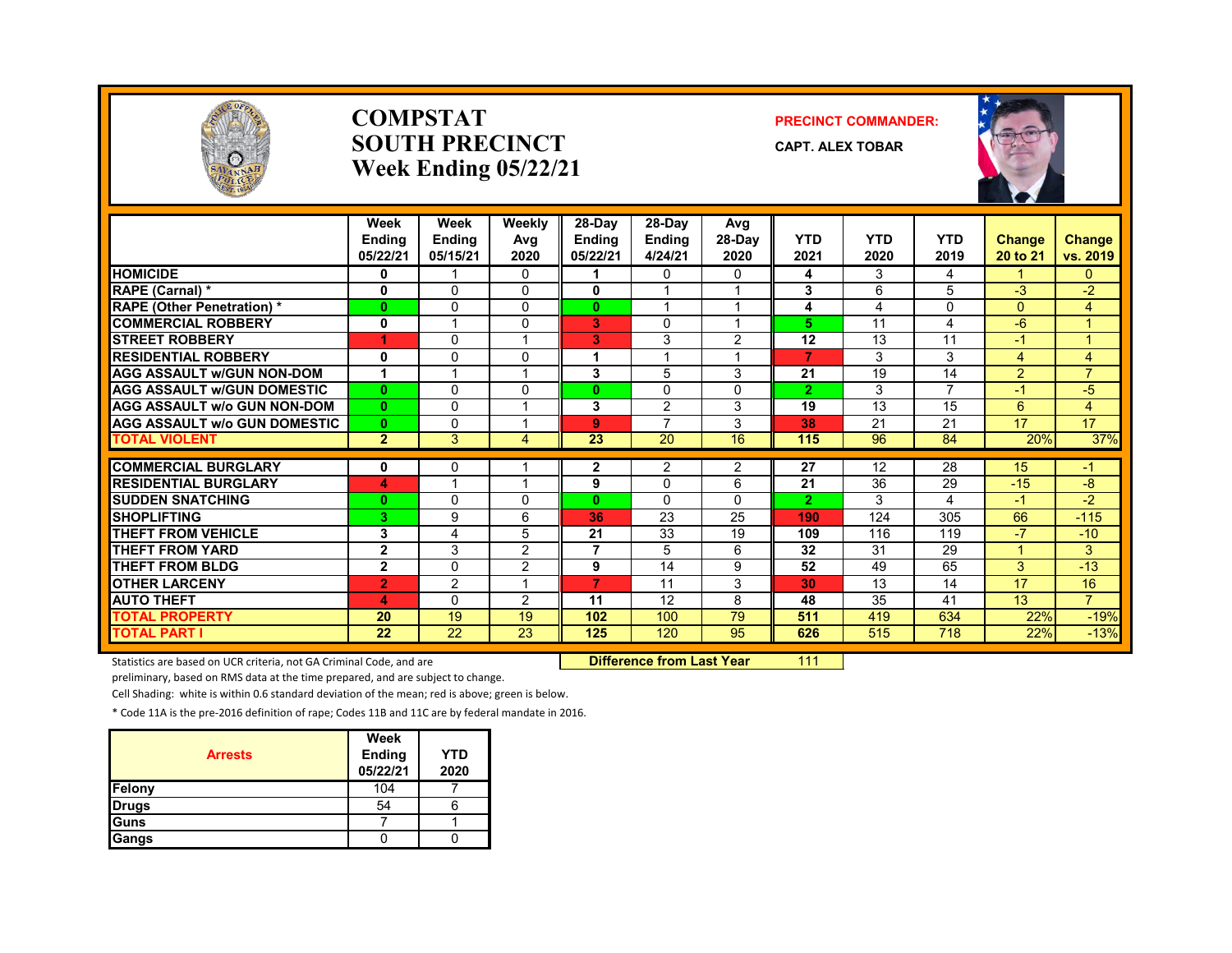

#### **COMPSTATSOUTH PRECINCTWeek Ending 05/22/21**

#### **PRECINCT COMMANDER:**

**CAPT. ALEX TOBAR**



|                                     | Week<br><b>Ending</b><br>05/22/21 | Week<br>Ending<br>05/15/21 | Weekly<br>Avg<br>2020   | 28-Day<br><b>Endina</b><br>05/22/21 | 28-Day<br><b>Ending</b><br>4/24/21 | Avg<br>$28-Dav$<br>2020 | <b>YTD</b><br>2021 | <b>YTD</b><br>2020 | <b>YTD</b><br>2019 | <b>Change</b><br>20 to 21 | <b>Change</b><br>vs. 2019 |
|-------------------------------------|-----------------------------------|----------------------------|-------------------------|-------------------------------------|------------------------------------|-------------------------|--------------------|--------------------|--------------------|---------------------------|---------------------------|
| <b>HOMICIDE</b>                     | 0                                 |                            | $\Omega$                |                                     | 0                                  | $\mathbf{0}$            | 4                  | 3                  | 4                  |                           | $\mathbf{0}$              |
| RAPE (Carnal) *                     | $\mathbf{0}$                      | $\Omega$                   | $\Omega$                | $\mathbf{0}$                        |                                    |                         | 3                  | 6                  | 5                  | $-3$                      | $-2$                      |
| <b>RAPE (Other Penetration) *</b>   | $\mathbf{0}$                      | $\Omega$                   | $\Omega$                | $\mathbf{0}$                        | $\overline{\mathbf{A}}$            | $\overline{ }$          | 4                  | 4                  | $\Omega$           | $\Omega$                  | $\overline{4}$            |
| <b>COMMERCIAL ROBBERY</b>           | 0                                 | -1                         | $\Omega$                | 3                                   | $\Omega$                           | $\overline{\mathbf{A}}$ | 5.                 | 11                 | 4                  | $-6$                      | $\blacktriangleleft$      |
| <b>STREET ROBBERY</b>               | ۹                                 | 0                          |                         | 3.                                  | 3                                  | 2                       | 12                 | 13                 | 11                 | -1                        | $\overline{A}$            |
| <b>RESIDENTIAL ROBBERY</b>          | 0                                 | $\Omega$                   | $\Omega$                | 1                                   |                                    |                         | 7                  | 3                  | 3                  | $\overline{4}$            | $\overline{4}$            |
| <b>AGG ASSAULT w/GUN NON-DOM</b>    | 1                                 |                            |                         | 3                                   | 5                                  | 3                       | 21                 | 19                 | 14                 | 2                         | $\overline{7}$            |
| <b>AGG ASSAULT W/GUN DOMESTIC</b>   | $\mathbf{0}$                      | $\Omega$                   | $\Omega$                | $\bf{0}$                            | $\Omega$                           | $\Omega$                | $\overline{2}$     | 3                  | $\overline{7}$     | -1                        | $-5$                      |
| <b>AGG ASSAULT w/o GUN NON-DOM</b>  | $\mathbf{0}$                      | $\Omega$                   | $\overline{\mathbf{A}}$ | 3                                   | 2                                  | 3                       | 19                 | 13                 | 15                 | 6                         | $\overline{4}$            |
| <b>AGG ASSAULT w/o GUN DOMESTIC</b> | $\mathbf{0}$                      | $\Omega$                   | ۰                       | 9                                   | $\overline{7}$                     | 3                       | 38                 | 21                 | 21                 | 17                        | 17                        |
| <b>TOTAL VIOLENT</b>                | $\overline{2}$                    | 3                          | 4                       | 23                                  | 20                                 | 16                      | 115                | 96                 | 84                 | 20%                       | 37%                       |
|                                     |                                   |                            |                         |                                     |                                    |                         |                    |                    |                    |                           |                           |
| <b>COMMERCIAL BURGLARY</b>          | 0                                 | 0                          |                         | 2                                   | 2                                  | $\overline{2}$          | 27                 | 12                 | 28                 | 15                        | -1                        |
| <b>RESIDENTIAL BURGLARY</b>         | 4                                 |                            |                         | 9                                   | $\mathbf{0}$                       | 6                       | 21                 | 36                 | 29                 | $-15$                     | $-8$                      |
| <b>SUDDEN SNATCHING</b>             | $\bf{0}$                          | $\Omega$                   | $\Omega$                | $\mathbf{0}$                        | $\Omega$                           | $\Omega$                | $\overline{2}$     | 3                  | 4                  | -1                        | $-2$                      |
| <b>SHOPLIFTING</b>                  | 3                                 | 9                          | 6                       | 36                                  | 23                                 | 25                      | 190                | 124                | 305                | 66                        | $-115$                    |
| THEFT FROM VEHICLE                  | 3                                 | 4                          | 5                       | 21                                  | 33                                 | 19                      | 109                | 116                | 119                | -7                        | $-10$                     |
| <b>THEFT FROM YARD</b>              | $\mathbf{2}$                      | 3                          | 2                       | 7                                   | 5                                  | 6                       | 32                 | 31                 | 29                 |                           | 3                         |
| <b>THEFT FROM BLDG</b>              | $\mathbf{2}$                      | $\Omega$                   | 2                       | 9                                   | 14                                 | 9                       | 52                 | 49                 | 65                 | 3                         | $-13$                     |
| <b>OTHER LARCENY</b>                | $\overline{2}$                    | $\overline{2}$             |                         | 7                                   | 11                                 | 3                       | 30                 | 13                 | 14                 | 17                        | 16                        |
| <b>AUTO THEFT</b>                   | 4                                 | $\Omega$                   | 2                       | 11                                  | 12                                 | 8                       | 48                 | 35                 | 41                 | 13                        | $\overline{7}$            |
| <b>TOTAL PROPERTY</b>               | 20                                | 19                         | 19                      | 102                                 | 100                                | 79                      | 511                | 419                | 634                | 22%                       | $-19%$                    |
| <b>TOTAL PART I</b>                 | 22                                | 22                         | 23                      | 125                                 | 120                                | 95                      | 626                | 515                | 718                | 22%                       | $-13%$                    |

Statistics are based on UCR criteria, not GA Criminal Code, and are **Difference from Last Year** 111

preliminary, based on RMS data at the time prepared, and are subject to change.

Cell Shading: white is within 0.6 standard deviation of the mean; red is above; green is below.

| <b>Arrests</b> | Week<br>Ending<br>05/22/21 | <b>YTD</b><br>2020 |
|----------------|----------------------------|--------------------|
| Felony         | 104                        |                    |
| <b>Drugs</b>   | 54                         |                    |
| Guns           |                            |                    |
| Gangs          |                            |                    |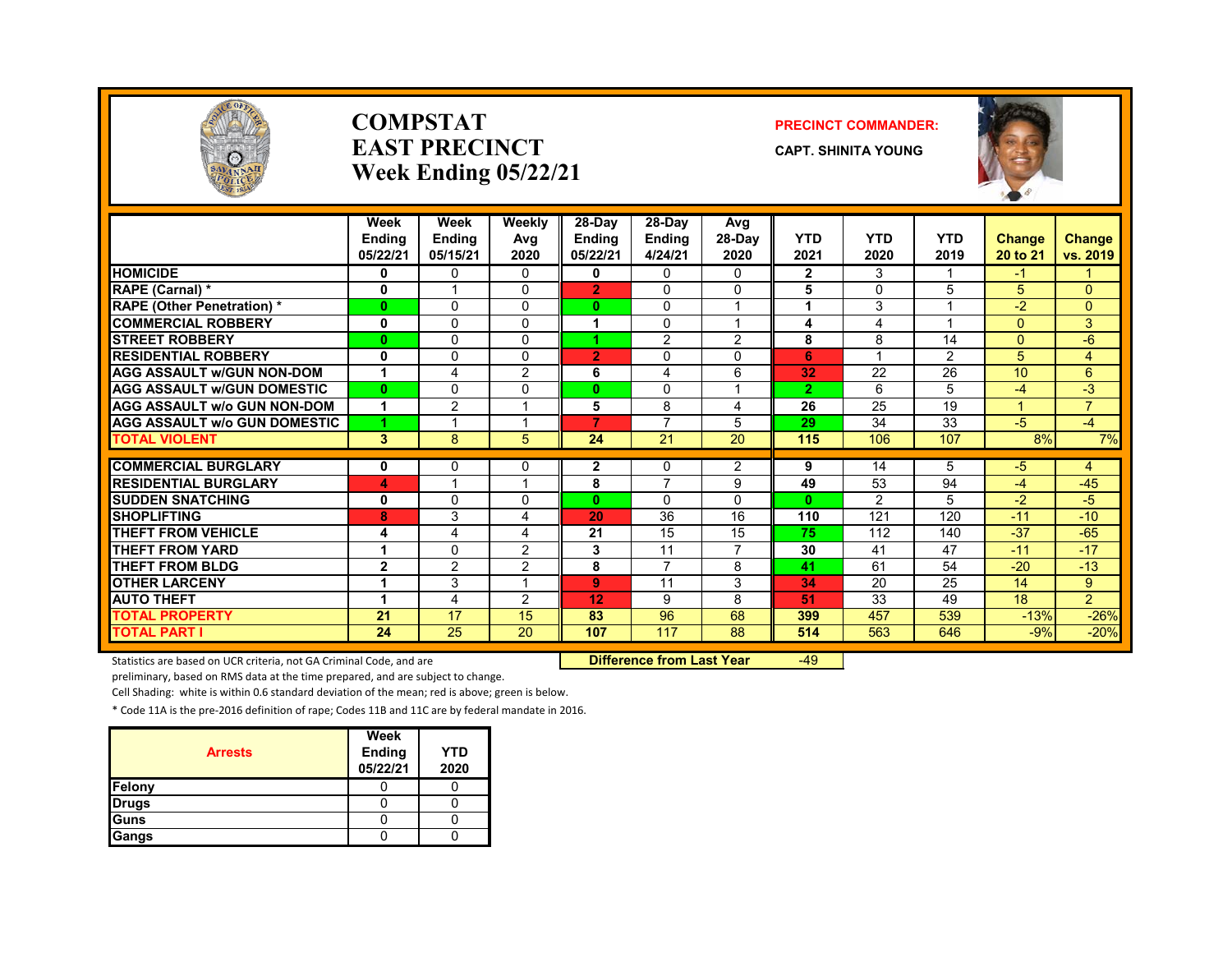

#### **COMPSTATEAST PRECINCTWeek Ending 05/22/21**

#### **PRECINCT COMMANDER:**

**CAPT. SHINITA YOUNG**



|                                     | Week<br><b>Ending</b><br>05/22/21 | Week<br><b>Ending</b><br>05/15/21 | Weekly<br>Avg<br>2020 | $28-Dav$<br><b>Endina</b><br>05/22/21 | 28-Day<br><b>Ending</b><br>4/24/21 | Avg<br>$28-Day$<br>2020 | <b>YTD</b><br>2021 | <b>YTD</b><br>2020 | <b>YTD</b><br>2019      | <b>Change</b><br>20 to 21 | <b>Change</b><br>vs. 2019 |
|-------------------------------------|-----------------------------------|-----------------------------------|-----------------------|---------------------------------------|------------------------------------|-------------------------|--------------------|--------------------|-------------------------|---------------------------|---------------------------|
| <b>HOMICIDE</b>                     | 0                                 | 0                                 | 0                     | 0                                     | 0                                  | 0                       | $\mathbf{2}$       | 3                  |                         | -1                        |                           |
| RAPE (Carnal) *                     | 0                                 |                                   | $\Omega$              | $\overline{2}$                        | $\Omega$                           | $\Omega$                | 5                  | $\Omega$           | 5                       | 5                         | 0                         |
| <b>RAPE (Other Penetration)*</b>    | $\mathbf{0}$                      | 0                                 | $\Omega$              | $\mathbf{0}$                          | 0                                  | $\overline{ }$          | 4                  | 3                  |                         | $-2$                      | $\Omega$                  |
| <b>COMMERCIAL ROBBERY</b>           | 0                                 | 0                                 | $\Omega$              |                                       | $\Omega$                           | 1                       | 4                  | 4                  | $\overline{\mathbf{A}}$ | $\Omega$                  | 3                         |
| <b>STREET ROBBERY</b>               | $\bf{0}$                          | $\Omega$                          | $\Omega$              |                                       | $\overline{2}$                     | $\overline{2}$          | 8                  | 8                  | 14                      | $\Omega$                  | -6                        |
| <b>RESIDENTIAL ROBBERY</b>          | 0                                 | 0                                 | $\Omega$              | $\overline{2}$                        | 0                                  | 0                       | 6                  |                    | $\overline{2}$          | 5                         | 4                         |
| <b>AGG ASSAULT w/GUN NON-DOM</b>    | 1                                 | 4                                 | $\overline{2}$        | 6                                     | 4                                  | 6                       | 32                 | 22                 | 26                      | 10                        | 6                         |
| <b>AGG ASSAULT W/GUN DOMESTIC</b>   | $\mathbf{0}$                      | 0                                 | $\Omega$              | $\bf{0}$                              | $\Omega$                           | 1                       | $\overline{2}$     | 6                  | 5                       | -4                        | $-3$                      |
| <b>AGG ASSAULT w/o GUN NON-DOM</b>  | 1                                 | $\overline{2}$                    | ×                     | 5                                     | 8                                  | 4                       | 26                 | 25                 | 19                      | ◢                         | $\overline{7}$            |
| <b>AGG ASSAULT w/o GUN DOMESTIC</b> | 4                                 | и                                 | ٠                     | 7.                                    | 7                                  | 5                       | 29                 | 34                 | 33                      | $-5$                      | $-4$                      |
| <b>TOTAL VIOLENT</b>                | 3                                 | 8                                 | 5.                    | 24                                    | 21                                 | 20                      | 115                | 106                | 107                     | 8%                        | 7%                        |
|                                     |                                   |                                   |                       |                                       |                                    |                         |                    |                    |                         |                           |                           |
| <b>COMMERCIAL BURGLARY</b>          | 0                                 | 0                                 | $\Omega$<br>×         | $\mathbf{2}$                          | 0<br>$\overline{7}$                | 2                       | 9                  | 14                 | 5                       | $-5$                      | 4                         |
| <b>RESIDENTIAL BURGLARY</b>         | 4                                 |                                   |                       | 8                                     |                                    | 9                       | 49                 | 53                 | 94                      | $-4$                      | $-45$                     |
| <b>SUDDEN SNATCHING</b>             | 0                                 | 0                                 | $\Omega$              | $\mathbf{0}$                          | 0                                  | $\Omega$                | $\bf{0}$           | 2                  | 5.                      | $-2$                      | $-5$                      |
| <b>SHOPLIFTING</b>                  | 8                                 | 3                                 | 4                     | 20                                    | 36                                 | 16                      | 110                | 121                | 120                     | $-11$                     | $-10$                     |
| THEFT FROM VEHICLE                  | 4                                 | 4                                 | 4                     | 21                                    | 15                                 | 15                      | 75                 | 112                | 140                     | $-37$                     | $-65$                     |
| <b>THEFT FROM YARD</b>              | 1                                 | 0                                 | 2                     | 3                                     | 11                                 | $\overline{7}$          | 30                 | 41                 | 47                      | $-11$                     | $-17$                     |
| THEFT FROM BLDG                     | $\mathbf{2}$                      | $\overline{2}$                    | 2                     | 8                                     | $\overline{7}$                     | 8                       | 41                 | 61                 | 54                      | $-20$                     | $-13$                     |
| <b>OTHER LARCENY</b>                | 1                                 | 3                                 | $\overline{ }$        | $\mathbf{9}$                          | 11                                 | 3                       | 34                 | 20                 | 25                      | 14                        | 9                         |
| <b>AUTO THEFT</b>                   | 1                                 | 4                                 | 2                     | 12                                    | 9                                  | 8                       | 51                 | 33                 | 49                      | 18                        | $\overline{2}$            |
| <b>TOTAL PROPERTY</b>               | 21                                | 17                                | 15                    | 83                                    | 96                                 | 68                      | 399                | 457                | 539                     | $-13%$                    | $-26%$                    |
| <b>TOTAL PART I</b>                 | 24                                | 25                                | 20                    | 107                                   | 117                                | 88                      | 514                | 563                | 646                     | $-9%$                     | $-20%$                    |

Statistics are based on UCR criteria, not GA Criminal Code, and are **Difference from Last Year** -49

preliminary, based on RMS data at the time prepared, and are subject to change.

Cell Shading: white is within 0.6 standard deviation of the mean; red is above; green is below.

| <b>Arrests</b> | Week<br><b>Ending</b><br>05/22/21 | YTD<br>2020 |
|----------------|-----------------------------------|-------------|
| Felony         |                                   |             |
| <b>Drugs</b>   |                                   |             |
| Guns           |                                   |             |
| Gangs          |                                   |             |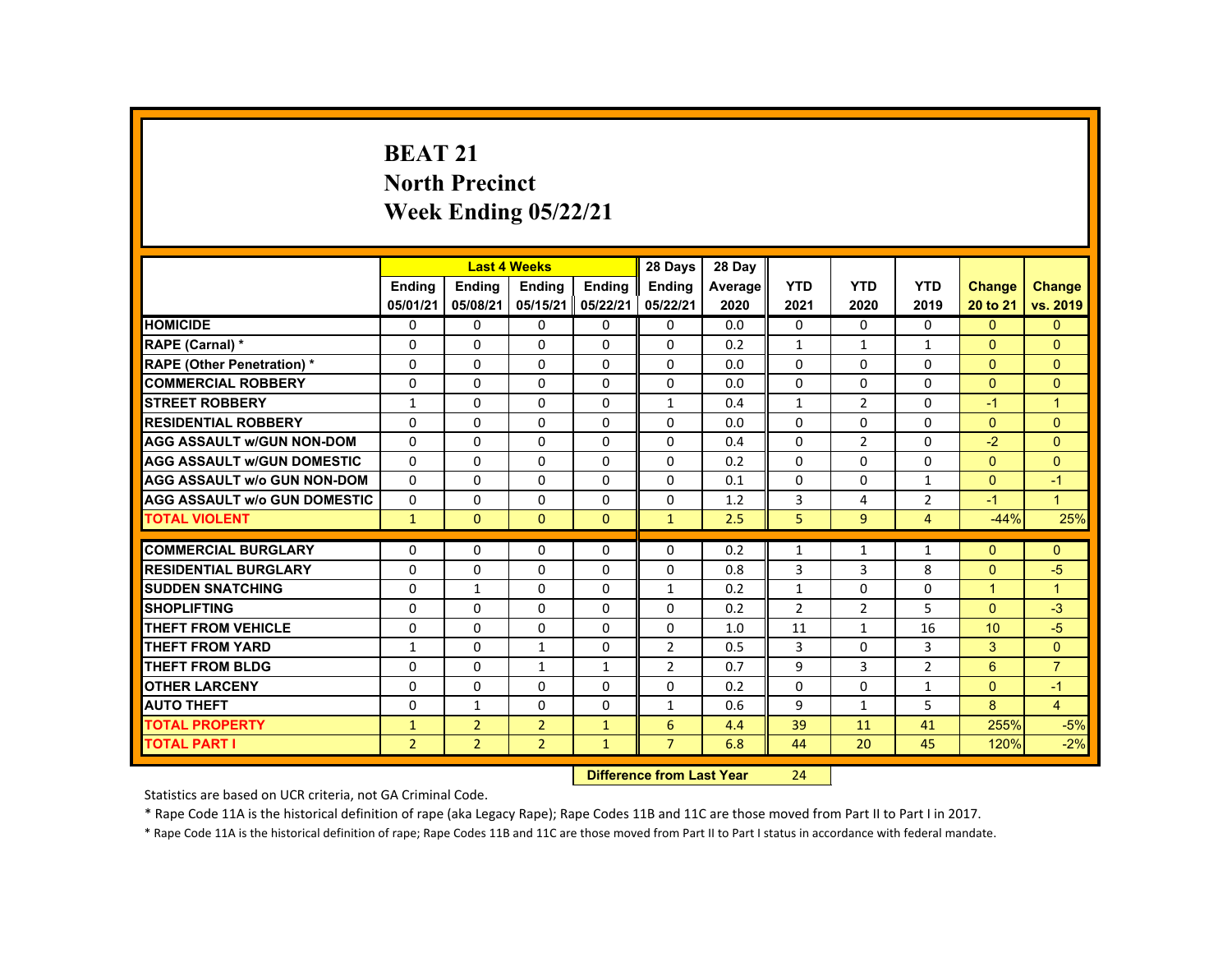# **BEAT 21 North Precinct Week Ending 05/22/21**

|                                     |                |                                  | <b>Last 4 Weeks</b> |               | 28 Days        | 28 Day  |                |                |                |                      |                |
|-------------------------------------|----------------|----------------------------------|---------------------|---------------|----------------|---------|----------------|----------------|----------------|----------------------|----------------|
|                                     | <b>Ending</b>  | <b>Ending</b>                    | <b>Ending</b>       | <b>Ending</b> | <b>Ending</b>  | Average | <b>YTD</b>     | <b>YTD</b>     | <b>YTD</b>     | <b>Change</b>        | Change         |
|                                     | 05/01/21       | 05/08/21                         | 05/15/21            | 05/22/21      | 05/22/21       | 2020    | 2021           | 2020           | 2019           | 20 to 21             | vs. 2019       |
| <b>HOMICIDE</b>                     | $\Omega$       | $\Omega$                         | $\Omega$            | $\Omega$      | 0              | 0.0     | 0              | $\Omega$       | $\Omega$       | $\Omega$             | $\mathbf{0}$   |
| RAPE (Carnal) *                     | $\Omega$       | $\Omega$                         | $\Omega$            | $\Omega$      | $\Omega$       | 0.2     | $\mathbf{1}$   | $\mathbf{1}$   | $\mathbf{1}$   | $\Omega$             | $\Omega$       |
| <b>RAPE (Other Penetration) *</b>   | $\Omega$       | $\Omega$                         | $\Omega$            | $\Omega$      | $\Omega$       | 0.0     | $\Omega$       | $\Omega$       | $\Omega$       | $\Omega$             | $\Omega$       |
| <b>COMMERCIAL ROBBERY</b>           | $\Omega$       | $\Omega$                         | $\Omega$            | $\Omega$      | $\Omega$       | 0.0     | $\Omega$       | $\Omega$       | $\Omega$       | $\Omega$             | $\Omega$       |
| <b>STREET ROBBERY</b>               | $\mathbf{1}$   | $\Omega$                         | $\mathbf{0}$        | 0             | $\mathbf{1}$   | 0.4     | $\mathbf{1}$   | 2              | 0              | $-1$                 | $\mathbf{1}$   |
| <b>RESIDENTIAL ROBBERY</b>          | $\Omega$       | $\Omega$                         | $\Omega$            | $\Omega$      | $\Omega$       | 0.0     | $\Omega$       | $\Omega$       | $\Omega$       | $\Omega$             | $\Omega$       |
| <b>AGG ASSAULT w/GUN NON-DOM</b>    | $\mathbf{0}$   | $\Omega$                         | $\Omega$            | $\Omega$      | $\Omega$       | 0.4     | $\Omega$       | $\overline{2}$ | $\Omega$       | $-2$                 | $\Omega$       |
| <b>AGG ASSAULT W/GUN DOMESTIC</b>   | $\Omega$       | $\Omega$                         | $\Omega$            | $\Omega$      | $\Omega$       | 0.2     | $\Omega$       | $\Omega$       | $\Omega$       | $\Omega$             | $\Omega$       |
| <b>AGG ASSAULT W/o GUN NON-DOM</b>  | $\Omega$       | $\Omega$                         | $\mathbf{0}$        | 0             | 0              | 0.1     | 0              | 0              | 1              | $\Omega$             | $-1$           |
| <b>AGG ASSAULT w/o GUN DOMESTIC</b> | $\Omega$       | $\Omega$                         | $\Omega$            | $\Omega$      | $\Omega$       | 1.2     | 3              | 4              | $\overline{2}$ | $-1$                 | $\mathbf{1}$   |
| <b>TOTAL VIOLENT</b>                | $\mathbf{1}$   | $\mathbf{0}$                     | $\mathbf{0}$        | $\mathbf{0}$  | $\mathbf{1}$   | 2.5     | 5              | 9              | 4              | $-44%$               | 25%            |
| <b>COMMERCIAL BURGLARY</b>          | $\mathbf{0}$   | $\Omega$                         | $\Omega$            | $\Omega$      | $\Omega$       | 0.2     | $\mathbf{1}$   | 1              | $\mathbf{1}$   | $\Omega$             | $\Omega$       |
| <b>RESIDENTIAL BURGLARY</b>         | $\Omega$       | $\Omega$                         | $\Omega$            | $\Omega$      | $\Omega$       | 0.8     | $\overline{3}$ | $\overline{3}$ | 8              | $\Omega$             | -5             |
| <b>SUDDEN SNATCHING</b>             | $\Omega$       | $\mathbf{1}$                     | $\Omega$            | $\Omega$      | $\mathbf{1}$   | 0.2     | $\mathbf{1}$   | $\Omega$       | $\Omega$       | $\blacktriangleleft$ | $\mathbf{1}$   |
| <b>SHOPLIFTING</b>                  | 0              | 0                                | $\Omega$            | 0             | 0              | 0.2     | $\overline{2}$ | $\overline{2}$ | 5              | $\Omega$             | $-3$           |
| <b>THEFT FROM VEHICLE</b>           | $\Omega$       | $\Omega$                         | $\Omega$            | $\Omega$      | $\Omega$       | 1.0     | 11             | $\mathbf{1}$   | 16             | 10                   | $-5$           |
| <b>THEFT FROM YARD</b>              | $\mathbf{1}$   | $\Omega$                         | $\mathbf{1}$        | $\Omega$      | $\overline{2}$ | 0.5     | 3              | $\Omega$       | 3              | $\overline{3}$       | $\overline{0}$ |
| <b>THEFT FROM BLDG</b>              | $\Omega$       | $\Omega$                         | $\mathbf{1}$        | $\mathbf{1}$  | 2              | 0.7     | 9              | 3              | $\overline{2}$ | 6                    | $\overline{7}$ |
| <b>OTHER LARCENY</b>                | $\Omega$       | $\Omega$                         | $\Omega$            | $\Omega$      | $\Omega$       | 0.2     | $\Omega$       | $\Omega$       | $\mathbf{1}$   | $\Omega$             | $-1$           |
| <b>AUTO THEFT</b>                   | $\Omega$       | $\mathbf{1}$                     | $\Omega$            | $\Omega$      | $\mathbf{1}$   | 0.6     | 9              | $\mathbf{1}$   | 5              | 8                    | $\overline{4}$ |
| <b>TOTAL PROPERTY</b>               | $\mathbf{1}$   | $\overline{2}$                   | $\overline{2}$      | $\mathbf{1}$  | 6              | 4.4     | 39             | 11             | 41             | 255%                 | $-5%$          |
| <b>TOTAL PART I</b>                 | $\overline{2}$ | $\overline{2}$                   | $\overline{2}$      | $\mathbf{1}$  | $\overline{7}$ | 6.8     | 44             | 20             | 45             | 120%                 | $-2%$          |
|                                     |                | <b>Difference from Last Year</b> |                     | 24            |                |         |                |                |                |                      |                |

Statistics are based on UCR criteria, not GA Criminal Code.

\* Rape Code 11A is the historical definition of rape (aka Legacy Rape); Rape Codes 11B and 11C are those moved from Part II to Part I in 2017.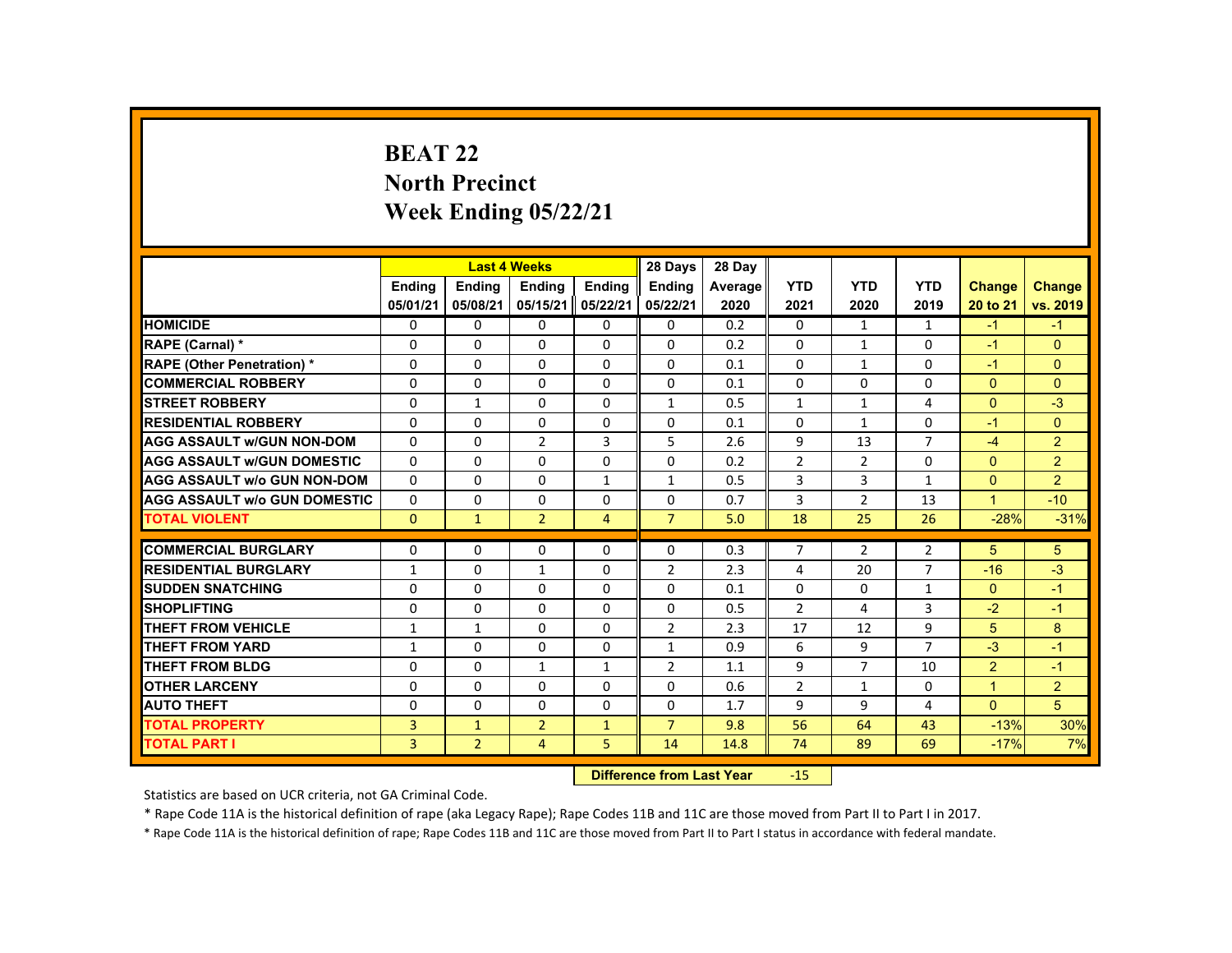# **BEAT 22North Precinct Week Ending 05/22/21**

|                                     |                |                | <b>Last 4 Weeks</b> |                | 28 Days        | 28 Day  |                |                |                |                |                |
|-------------------------------------|----------------|----------------|---------------------|----------------|----------------|---------|----------------|----------------|----------------|----------------|----------------|
|                                     | <b>Ending</b>  | <b>Ending</b>  | <b>Endina</b>       | <b>Endina</b>  | <b>Endina</b>  | Average | <b>YTD</b>     | <b>YTD</b>     | <b>YTD</b>     | Change         | <b>Change</b>  |
|                                     | 05/01/21       | 05/08/21       | 05/15/21            | 05/22/21       | 05/22/21       | 2020    | 2021           | 2020           | 2019           | 20 to 21       | vs. 2019       |
| <b>HOMICIDE</b>                     | 0              | $\Omega$       | 0                   | 0              | 0              | 0.2     | 0              | $\mathbf{1}$   | $\mathbf{1}$   | $-1$           | $-1$           |
| <b>RAPE (Carnal) *</b>              | $\Omega$       | $\Omega$       | $\Omega$            | $\Omega$       | $\Omega$       | 0.2     | $\Omega$       | $\mathbf{1}$   | $\Omega$       | $-1$           | $\Omega$       |
| <b>RAPE (Other Penetration) *</b>   | $\Omega$       | $\Omega$       | $\Omega$            | $\Omega$       | $\Omega$       | 0.1     | $\Omega$       | $\mathbf{1}$   | $\Omega$       | $-1$           | $\overline{0}$ |
| <b>COMMERCIAL ROBBERY</b>           | $\Omega$       | $\Omega$       | $\Omega$            | $\Omega$       | $\Omega$       | 0.1     | $\Omega$       | $\Omega$       | $\Omega$       | $\mathbf{0}$   | $\Omega$       |
| <b>STREET ROBBERY</b>               | $\Omega$       | $\mathbf{1}$   | $\Omega$            | $\Omega$       | $\mathbf{1}$   | 0.5     | $\mathbf{1}$   | $\mathbf{1}$   | 4              | $\Omega$       | $-3$           |
| <b>RESIDENTIAL ROBBERY</b>          | $\Omega$       | $\Omega$       | $\Omega$            | $\Omega$       | $\Omega$       | 0.1     | $\Omega$       | $\mathbf{1}$   | $\Omega$       | $-1$           | $\Omega$       |
| <b>AGG ASSAULT W/GUN NON-DOM</b>    | $\Omega$       | $\Omega$       | $\overline{2}$      | $\overline{3}$ | 5              | 2.6     | 9              | 13             | $\overline{7}$ | $-4$           | $\overline{2}$ |
| <b>AGG ASSAULT W/GUN DOMESTIC</b>   | $\Omega$       | $\Omega$       | $\Omega$            | 0              | 0              | 0.2     | $\overline{2}$ | $\overline{2}$ | 0              | $\mathbf{0}$   | $\overline{2}$ |
| <b>AGG ASSAULT w/o GUN NON-DOM</b>  | $\Omega$       | $\Omega$       | $\Omega$            | $\mathbf{1}$   | $\mathbf{1}$   | 0.5     | 3              | 3              | $\mathbf{1}$   | $\Omega$       | $\overline{2}$ |
| <b>AGG ASSAULT W/o GUN DOMESTIC</b> | $\Omega$       | $\Omega$       | $\Omega$            | $\Omega$       | $\Omega$       | 0.7     | 3              | $\overline{2}$ | 13             | $\mathbf{1}$   | $-10$          |
| <b>TOTAL VIOLENT</b>                | $\Omega$       | $\mathbf{1}$   | $\overline{2}$      | $\overline{4}$ | $\overline{7}$ | 5.0     | 18             | 25             | 26             | $-28%$         | $-31%$         |
| <b>COMMERCIAL BURGLARY</b>          | $\Omega$       | $\Omega$       | $\Omega$            | $\Omega$       | $\Omega$       | 0.3     | $\overline{7}$ | $\overline{2}$ | $\overline{2}$ | 5              | 5              |
| <b>RESIDENTIAL BURGLARY</b>         | $\mathbf{1}$   | $\Omega$       | $\mathbf{1}$        | $\Omega$       | $\overline{2}$ | 2.3     | 4              | 20             | $\overline{7}$ | $-16$          | $-3$           |
| <b>SUDDEN SNATCHING</b>             | $\Omega$       | $\mathbf{0}$   | $\Omega$            | $\Omega$       | $\Omega$       | 0.1     | $\Omega$       | 0              | $\mathbf{1}$   | $\mathbf{0}$   | $-1$           |
| <b>SHOPLIFTING</b>                  | $\Omega$       | $\Omega$       | $\Omega$            | $\Omega$       | $\Omega$       | 0.5     | $\overline{2}$ | 4              | 3              | $-2$           | $-1$           |
| <b>THEFT FROM VEHICLE</b>           | 1              | $\mathbf{1}$   | $\Omega$            | $\Omega$       | $\overline{2}$ | 2.3     | 17             | 12             | 9              | 5              | 8              |
| <b>THEFT FROM YARD</b>              | $\mathbf{1}$   | $\Omega$       | $\Omega$            | $\Omega$       | $\mathbf{1}$   | 0.9     | 6              | 9              | $\overline{7}$ | $-3$           | $-1$           |
| THEFT FROM BLDG                     | 0              | $\Omega$       | 1                   | 1              | $\overline{2}$ | 1.1     | 9              | $\overline{7}$ | 10             | $\overline{2}$ | $-1$           |
| <b>OTHER LARCENY</b>                | $\Omega$       | $\Omega$       | $\Omega$            | $\Omega$       | $\Omega$       | 0.6     | $\overline{2}$ | $\mathbf{1}$   | 0              | $\mathbf{1}$   | $\overline{2}$ |
| <b>AUTO THEFT</b>                   | $\Omega$       | $\Omega$       | $\Omega$            | $\Omega$       | $\Omega$       | 1.7     | 9              | 9              | 4              | $\Omega$       | 5              |
| <b>TOTAL PROPERTY</b>               | $\overline{3}$ | $\mathbf{1}$   | $\overline{2}$      | $\mathbf{1}$   | $\overline{7}$ | 9.8     | 56             | 64             | 43             | $-13%$         | 30%            |
| <b>TOTAL PART I</b>                 | $\overline{3}$ | $\overline{2}$ | $\overline{4}$      | 5              | 14             | 14.8    | 74             | 89             | 69             | $-17%$         | 7%             |
|                                     |                |                |                     |                |                |         |                |                |                |                |                |

 **Difference from Last Year**r -15

Statistics are based on UCR criteria, not GA Criminal Code.

\* Rape Code 11A is the historical definition of rape (aka Legacy Rape); Rape Codes 11B and 11C are those moved from Part II to Part I in 2017.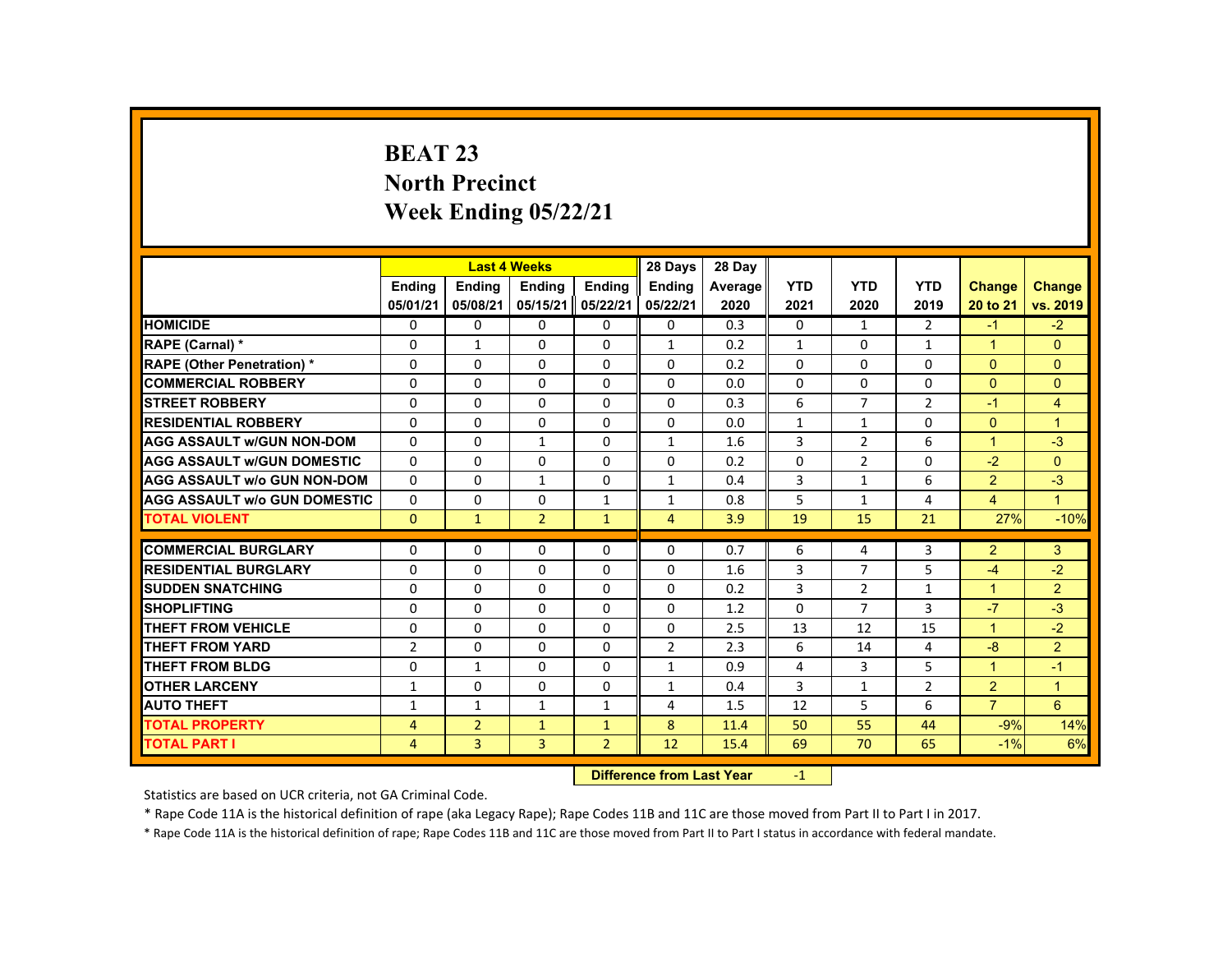# **BEAT 23 North Precinct Week Ending 05/22/21**

|                                     |                |                | <b>Last 4 Weeks</b> |                | 28 Days                   | 28 Day  |              |                |                   |                      |                 |
|-------------------------------------|----------------|----------------|---------------------|----------------|---------------------------|---------|--------------|----------------|-------------------|----------------------|-----------------|
|                                     | <b>Endina</b>  | Ending         | Ending              | Ending         | <b>Endina</b>             | Average | <b>YTD</b>   | <b>YTD</b>     | <b>YTD</b>        | Change               | <b>Change</b>   |
|                                     | 05/01/21       | 05/08/21       | 05/15/21            | 05/22/21       | 05/22/21                  | 2020    | 2021         | 2020           | 2019              | 20 to 21             | vs. 2019        |
| <b>HOMICIDE</b>                     | 0              | $\Omega$       | $\Omega$            | $\Omega$       | 0                         | 0.3     | 0            | $\mathbf{1}$   | $\overline{2}$    | $-1$                 | $-2$            |
| RAPE (Carnal) *                     | 0              | $\mathbf{1}$   | $\Omega$            | $\Omega$       | $\mathbf{1}$              | 0.2     | $\mathbf{1}$ | $\Omega$       | $\mathbf{1}$      | $\blacktriangleleft$ | $\Omega$        |
| <b>RAPE (Other Penetration) *</b>   | 0              | $\Omega$       | $\Omega$            | $\Omega$       | $\Omega$                  | 0.2     | $\Omega$     | $\Omega$       | $\Omega$          | $\Omega$             | $\mathbf{0}$    |
| <b>COMMERCIAL ROBBERY</b>           | $\Omega$       | $\Omega$       | $\Omega$            | $\Omega$       | $\Omega$                  | 0.0     | $\Omega$     | $\Omega$       | $\Omega$          | $\mathbf{0}$         | $\mathbf{0}$    |
| <b>STREET ROBBERY</b>               | $\Omega$       | $\Omega$       | $\Omega$            | $\Omega$       | $\Omega$                  | 0.3     | 6            | $\overline{7}$ | $\overline{2}$    | $-1$                 | $\overline{4}$  |
| <b>RESIDENTIAL ROBBERY</b>          | $\mathbf{0}$   | $\Omega$       | $\mathbf{0}$        | 0              | 0                         | 0.0     | $\mathbf{1}$ | $\mathbf{1}$   | 0                 | $\mathbf{0}$         | $\overline{1}$  |
| <b>AGG ASSAULT W/GUN NON-DOM</b>    | $\Omega$       | $\Omega$       | $\mathbf{1}$        | $\Omega$       | $\mathbf{1}$              | 1.6     | 3            | $\overline{2}$ | 6                 | $\mathbf{1}$         | $-3$            |
| <b>AGG ASSAULT W/GUN DOMESTIC</b>   | $\Omega$       | $\Omega$       | $\Omega$            | $\Omega$       | $\Omega$                  | 0.2     | $\Omega$     | $\overline{2}$ | $\Omega$          | $-2$                 | $\Omega$        |
| <b>AGG ASSAULT w/o GUN NON-DOM</b>  | $\Omega$       | $\Omega$       | $\mathbf{1}$        | $\Omega$       | $\mathbf{1}$              | 0.4     | 3            | $\mathbf{1}$   | 6                 | $\overline{2}$       | $-3$            |
| <b>AGG ASSAULT W/o GUN DOMESTIC</b> | $\Omega$       | $\Omega$       | $\mathbf{0}$        | $\mathbf{1}$   | $\mathbf{1}$              | 0.8     | 5            | $\mathbf{1}$   | 4                 | $\overline{4}$       | $\mathbf{1}$    |
| <b>TOTAL VIOLENT</b>                | $\Omega$       | $\mathbf{1}$   | $\overline{2}$      | $\mathbf{1}$   | $\overline{4}$            | 3.9     | 19           | 15             | 21                | 27%                  | $-10%$          |
| <b>COMMERCIAL BURGLARY</b>          | $\Omega$       | $\Omega$       | $\Omega$            | $\Omega$       | $\Omega$                  | 0.7     | 6            | 4              | $\overline{3}$    | $\overline{2}$       | 3               |
| <b>RESIDENTIAL BURGLARY</b>         | 0              | $\Omega$       | $\Omega$            | $\Omega$       | $\Omega$                  | 1.6     | 3            | 7              | 5                 | $-4$                 | $-2$            |
| <b>SUDDEN SNATCHING</b>             | $\Omega$       | $\Omega$       | $\Omega$            | $\Omega$       | $\Omega$                  | 0.2     | 3            | $\overline{2}$ |                   | $\mathbf{1}$         | $\overline{2}$  |
| <b>SHOPLIFTING</b>                  | $\Omega$       | $\Omega$       | $\Omega$            | $\Omega$       | $\Omega$                  | 1.2     | $\Omega$     | $\overline{7}$ | $\mathbf{1}$<br>3 | $-7$                 | $-3$            |
| <b>THEFT FROM VEHICLE</b>           | $\Omega$       | $\Omega$       | $\Omega$            | $\Omega$       | $\Omega$                  | 2.5     | 13           | 12             | 15                | $\mathbf{1}$         | $-2$            |
| <b>THEFT FROM YARD</b>              | $\overline{2}$ | $\Omega$       | $\Omega$            | $\Omega$       | $\overline{2}$            | 2.3     | 6            | 14             | 4                 | $-8$                 | $\overline{2}$  |
| <b>THEFT FROM BLDG</b>              | $\Omega$       | $\mathbf{1}$   | $\mathbf{0}$        | $\Omega$       | $\mathbf{1}$              | 0.9     | 4            | 3              | 5                 | $\mathbf{1}$         | $-1$            |
| <b>OTHER LARCENY</b>                | $\mathbf{1}$   | $\Omega$       | $\Omega$            | 0              | $\mathbf{1}$              | 0.4     | 3            | $\mathbf{1}$   | $\overline{2}$    | $\overline{2}$       | $\overline{1}$  |
|                                     |                |                |                     |                |                           |         |              |                |                   |                      | $6\overline{6}$ |
| <b>AUTO THEFT</b>                   | $\mathbf{1}$   | $\mathbf{1}$   | $\mathbf{1}$        | $\mathbf{1}$   | 4                         | 1.5     | 12           | 5              | 6                 | $\overline{7}$       |                 |
| <b>TOTAL PROPERTY</b>               | 4              | $\overline{2}$ | $\mathbf{1}$        | $\mathbf{1}$   | 8                         | 11.4    | 50           | 55             | 44                | $-9%$                | 14%             |
| <b>TOTAL PART I</b>                 | 4              | 3              | 3                   | $\overline{2}$ | 12                        | 15.4    | 69           | 70             | 65                | $-1%$                | 6%              |
|                                     |                |                |                     |                | Difference from Look Vaca |         | $\sim$       |                |                   |                      |                 |

 **Difference from Last Year**r -1

Statistics are based on UCR criteria, not GA Criminal Code.

\* Rape Code 11A is the historical definition of rape (aka Legacy Rape); Rape Codes 11B and 11C are those moved from Part II to Part I in 2017.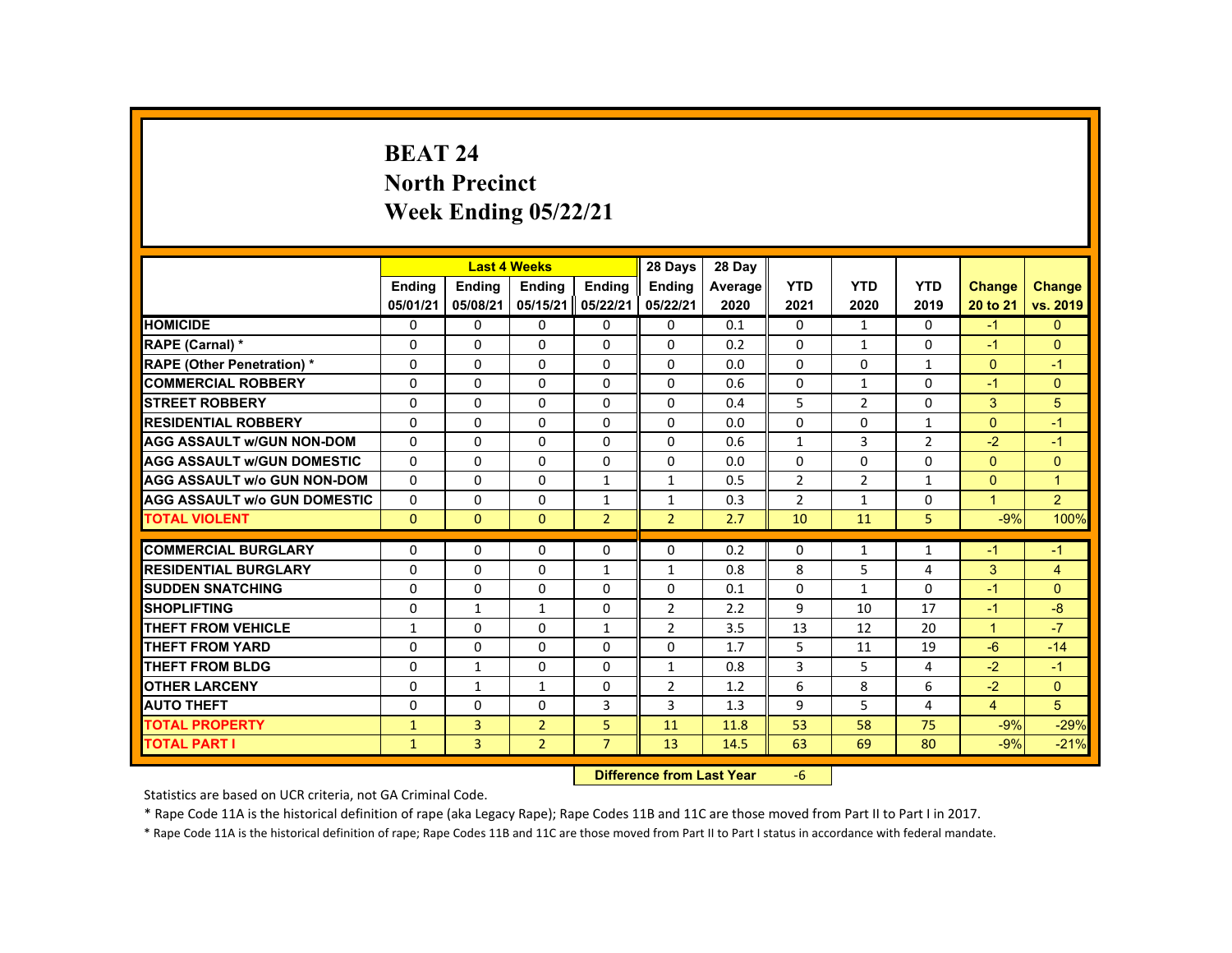# **BEAT 24 North Precinct Week Ending 05/22/21**

|                                     |               |                | <b>Last 4 Weeks</b> |                | 28 Days                           | 28 Day  |                |                |                |                |                |
|-------------------------------------|---------------|----------------|---------------------|----------------|-----------------------------------|---------|----------------|----------------|----------------|----------------|----------------|
|                                     | <b>Endina</b> | Ending         | Ending              | Ending         | <b>Endina</b>                     | Average | <b>YTD</b>     | <b>YTD</b>     | <b>YTD</b>     | Change         | <b>Change</b>  |
|                                     | 05/01/21      | 05/08/21       | 05/15/21            | 05/22/21       | 05/22/21                          | 2020    | 2021           | 2020           | 2019           | 20 to 21       | vs. 2019       |
| <b>HOMICIDE</b>                     | 0             | $\Omega$       | $\Omega$            | $\Omega$       | 0                                 | 0.1     | 0              | $\mathbf{1}$   | $\mathbf{0}$   | $-1$           | $\mathbf{0}$   |
| RAPE (Carnal) *                     | 0             | $\Omega$       | $\Omega$            | $\Omega$       | $\Omega$                          | 0.2     | $\Omega$       | $\mathbf{1}$   | $\Omega$       | $-1$           | $\Omega$       |
| <b>RAPE (Other Penetration) *</b>   | 0             | $\Omega$       | $\Omega$            | $\Omega$       | $\Omega$                          | 0.0     | $\Omega$       | $\Omega$       | $\mathbf{1}$   | $\Omega$       | $-1$           |
| <b>COMMERCIAL ROBBERY</b>           | $\Omega$      | $\Omega$       | $\Omega$            | $\Omega$       | $\Omega$                          | 0.6     | $\Omega$       | $\mathbf{1}$   | $\Omega$       | $-1$           | $\overline{0}$ |
| <b>STREET ROBBERY</b>               | $\Omega$      | $\Omega$       | $\Omega$            | $\Omega$       | $\Omega$                          | 0.4     | 5              | $\overline{2}$ | $\Omega$       | 3              | 5              |
| <b>RESIDENTIAL ROBBERY</b>          | $\mathbf{0}$  | $\mathbf{0}$   | $\mathbf{0}$        | 0              | 0                                 | 0.0     | 0              | 0              | $\mathbf{1}$   | $\Omega$       | $-1$           |
| <b>AGG ASSAULT W/GUN NON-DOM</b>    | $\Omega$      | $\Omega$       | $\Omega$            | $\Omega$       | $\Omega$                          | 0.6     | $\mathbf{1}$   | 3              | $\overline{2}$ | $-2$           | $-1$           |
| <b>AGG ASSAULT W/GUN DOMESTIC</b>   | $\Omega$      | $\Omega$       | $\Omega$            | $\Omega$       | $\Omega$                          | 0.0     | $\Omega$       | $\Omega$       | $\Omega$       | $\Omega$       | $\mathbf{0}$   |
| <b>AGG ASSAULT w/o GUN NON-DOM</b>  | $\Omega$      | $\Omega$       | $\Omega$            | $\mathbf{1}$   | $\mathbf{1}$                      | 0.5     | $\overline{2}$ | $\overline{2}$ | $\mathbf{1}$   | $\Omega$       | $\overline{1}$ |
| <b>AGG ASSAULT W/o GUN DOMESTIC</b> | $\Omega$      | $\Omega$       | $\mathbf{0}$        | $\mathbf{1}$   | $\mathbf{1}$                      | 0.3     | $\overline{2}$ | $\mathbf{1}$   | 0              | $\mathbf{1}$   | $\overline{2}$ |
| <b>TOTAL VIOLENT</b>                | $\Omega$      | $\mathbf{0}$   | $\mathbf{0}$        | 2 <sup>1</sup> | $\overline{2}$                    | 2.7     | 10             | 11             | 5              | $-9%$          | 100%           |
| <b>COMMERCIAL BURGLARY</b>          | $\Omega$      | $\Omega$       | $\Omega$            | $\Omega$       | 0                                 | 0.2     | $\Omega$       | $\mathbf{1}$   | $\mathbf{1}$   | $-1$           | $-1$           |
| <b>RESIDENTIAL BURGLARY</b>         | 0             | $\Omega$       | $\Omega$            | $\mathbf{1}$   | $\mathbf{1}$                      | 0.8     | 8              | 5              | 4              | 3              | 4              |
| <b>SUDDEN SNATCHING</b>             | $\Omega$      | $\Omega$       | $\Omega$            | $\Omega$       | $\Omega$                          | 0.1     | 0              | $\mathbf{1}$   | $\Omega$       | $-1$           | $\Omega$       |
| <b>SHOPLIFTING</b>                  | $\Omega$      | $\mathbf{1}$   | $\mathbf{1}$        | $\Omega$       | $\overline{2}$                    | 2.2     | 9              | 10             | 17             | $-1$           | $-8$           |
| <b>THEFT FROM VEHICLE</b>           | $\mathbf{1}$  | $\Omega$       | $\Omega$            | $\mathbf{1}$   | 2                                 | 3.5     | 13             | 12             | 20             | $\mathbf{1}$   | $-7$           |
| <b>THEFT FROM YARD</b>              | $\Omega$      | $\Omega$       | $\Omega$            | $\Omega$       | $\Omega$                          | 1.7     | 5              | 11             | 19             | $-6$           | $-14$          |
| <b>THEFT FROM BLDG</b>              | 0             | $\mathbf{1}$   | $\mathbf{0}$        | $\Omega$       | $\mathbf{1}$                      | 0.8     | 3              | 5              | 4              | $-2$           | $-1$           |
| <b>OTHER LARCENY</b>                | $\Omega$      | $\mathbf{1}$   | $\mathbf{1}$        | 0              | 2                                 | 1.2     | 6              | 8              | 6              | $-2$           | $\Omega$       |
| <b>AUTO THEFT</b>                   | $\Omega$      | $\Omega$       | $\Omega$            | 3              | 3                                 | 1.3     | 9              | 5              | 4              | $\overline{4}$ | 5              |
| <b>TOTAL PROPERTY</b>               | $\mathbf{1}$  | $\overline{3}$ | $\overline{2}$      | 5              | 11                                | 11.8    | 53             | 58             | 75             | $-9%$          | $-29%$         |
| <b>TOTAL PART I</b>                 | $\mathbf{1}$  | 3              | $\overline{2}$      | $\overline{7}$ | 13                                | 14.5    | 63             | 69             | 80             | $-9%$          | $-21%$         |
|                                     |               |                |                     |                | <b>Difference from Least Vanc</b> |         | $\epsilon$     |                |                |                |                |

 **Difference from Last Year**‐6

Statistics are based on UCR criteria, not GA Criminal Code.

\* Rape Code 11A is the historical definition of rape (aka Legacy Rape); Rape Codes 11B and 11C are those moved from Part II to Part I in 2017.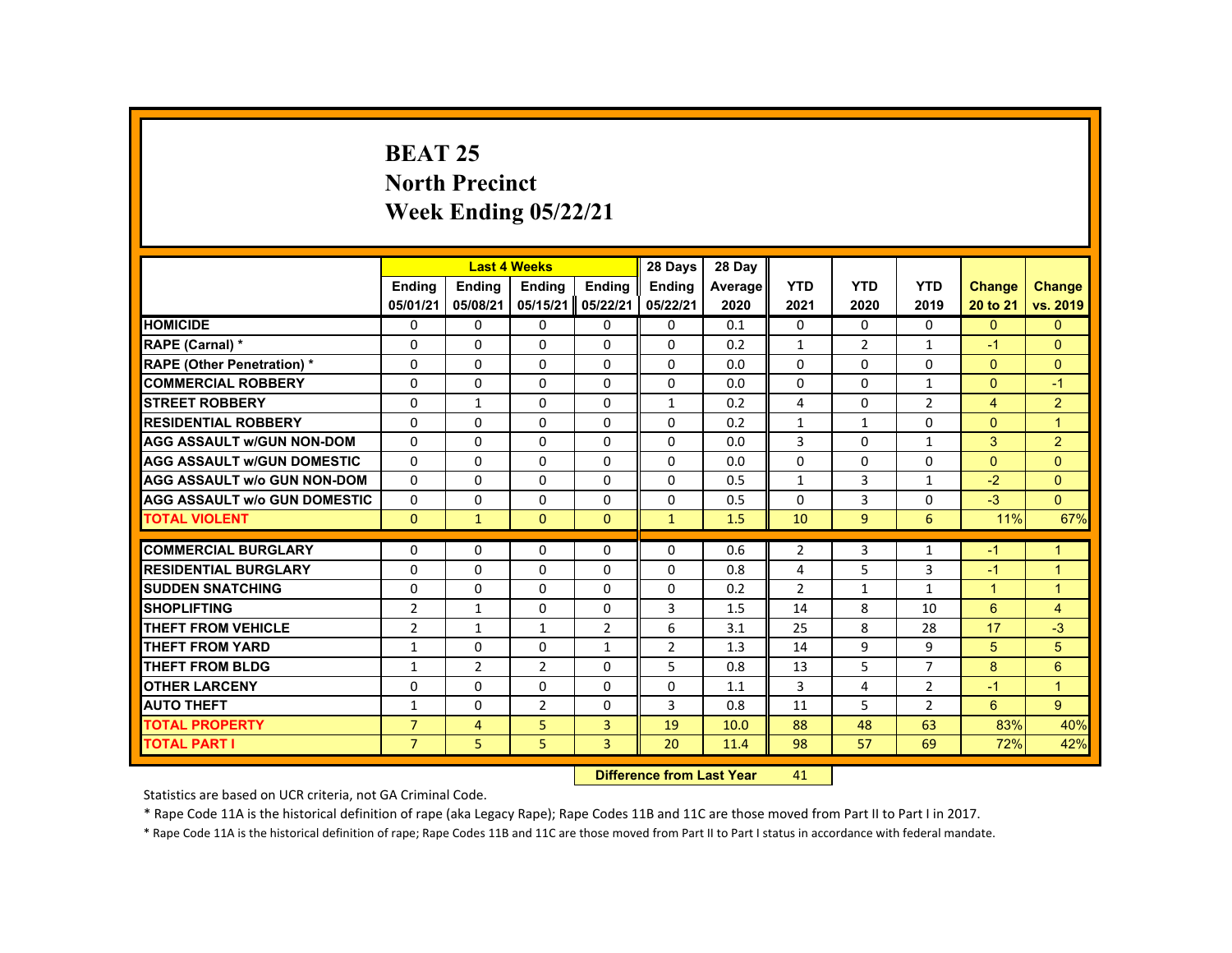# **BEAT 25 North Precinct Week Ending 05/22/21**

|                                     |                              |                      | <b>Last 4 Weeks</b> |                          | 28 Days        | 28 Day  |                |                |                |                |                      |
|-------------------------------------|------------------------------|----------------------|---------------------|--------------------------|----------------|---------|----------------|----------------|----------------|----------------|----------------------|
|                                     | <b>Ending</b>                | Ending               | <b>Ending</b>       | Ending                   | <b>Ending</b>  | Average | <b>YTD</b>     | <b>YTD</b>     | <b>YTD</b>     | <b>Change</b>  | <b>Change</b>        |
|                                     | 05/01/21                     | 05/08/21             | 05/15/21            | 05/22/21                 | 05/22/21       | 2020    | 2021           | 2020           | 2019           | 20 to 21       | vs. 2019             |
| <b>HOMICIDE</b>                     | 0                            | $\Omega$             | $\Omega$            | $\Omega$                 | 0              | 0.1     | 0              | $\Omega$       | 0              | $\Omega$       | $\mathbf{0}$         |
| RAPE (Carnal) *                     | 0                            | $\Omega$             | $\Omega$            | $\Omega$                 | $\Omega$       | 0.2     | $\mathbf{1}$   | $\overline{2}$ | $\mathbf{1}$   | $-1$           | $\Omega$             |
| <b>RAPE (Other Penetration) *</b>   | $\Omega$                     | $\Omega$             | $\Omega$            | $\Omega$                 | $\Omega$       | 0.0     | $\Omega$       | $\Omega$       | $\Omega$       | $\Omega$       | $\Omega$             |
| <b>COMMERCIAL ROBBERY</b>           | $\Omega$                     | $\Omega$             | $\Omega$            | $\Omega$                 | $\Omega$       | 0.0     | $\Omega$       | $\Omega$       | $\mathbf{1}$   | $\Omega$       | $-1$                 |
| <b>STREET ROBBERY</b>               | $\Omega$                     | $\mathbf{1}$         | $\Omega$            | $\Omega$                 | $\mathbf{1}$   | 0.2     | 4              | $\Omega$       | $\overline{2}$ | $\overline{4}$ | $\overline{2}$       |
| <b>RESIDENTIAL ROBBERY</b>          | 0                            | $\mathbf{0}$         | $\mathbf{0}$        | 0                        | 0              | 0.2     | $\mathbf{1}$   | 1              | $\Omega$       | $\Omega$       | $\overline{1}$       |
| <b>AGG ASSAULT w/GUN NON-DOM</b>    | $\mathbf{0}$                 | $\Omega$             | $\Omega$            | $\Omega$                 | $\Omega$       | 0.0     | 3              | $\Omega$       | $\mathbf{1}$   | 3              | $\overline{2}$       |
| <b>AGG ASSAULT W/GUN DOMESTIC</b>   | $\Omega$                     | $\Omega$             | $\Omega$            | 0                        | 0              | 0.0     | $\Omega$       | 0              | 0              | $\Omega$       | $\Omega$             |
| <b>AGG ASSAULT w/o GUN NON-DOM</b>  | $\Omega$                     | $\Omega$             | $\Omega$            | $\Omega$                 | $\Omega$       | 0.5     | $\mathbf{1}$   | 3              | $\mathbf{1}$   | $-2$           | $\Omega$             |
| <b>AGG ASSAULT W/o GUN DOMESTIC</b> | $\Omega$                     | $\Omega$             | $\Omega$            | $\Omega$                 | $\Omega$       | 0.5     | $\Omega$       | 3              | $\Omega$       | $-3$           | $\Omega$             |
| <b>TOTAL VIOLENT</b>                | $\Omega$                     | $\mathbf 1$          | $\Omega$            | $\Omega$                 | $\mathbf{1}$   | 1.5     | 10             | $\overline{9}$ | 6              | 11%            | 67%                  |
| <b>COMMERCIAL BURGLARY</b>          | $\Omega$                     | $\Omega$             | $\Omega$            | $\Omega$                 | $\Omega$       | 0.6     | $\overline{2}$ | 3              | $\mathbf{1}$   | $-1$           | $\overline{1}$       |
| <b>RESIDENTIAL BURGLARY</b>         | $\Omega$                     | $\Omega$             | $\Omega$            | $\Omega$                 | $\Omega$       | 0.8     | 4              | 5              | 3              | $-1$           | $\mathbf{1}$         |
| <b>SUDDEN SNATCHING</b>             | $\mathbf{0}$                 | $\Omega$             | $\mathbf{0}$        | $\mathbf{0}$             | 0              | 0.2     | $\overline{2}$ | $\mathbf{1}$   | $\mathbf{1}$   | $\mathbf{1}$   | $\blacktriangleleft$ |
| <b>SHOPLIFTING</b>                  | $\overline{2}$               | $\mathbf{1}$         | $\Omega$            | $\Omega$                 | 3              | 1.5     | 14             | 8              | 10             | 6              | $\overline{4}$       |
| <b>THEFT FROM VEHICLE</b>           | $\overline{2}$               | $\mathbf{1}$         | $\mathbf{1}$        | $\overline{2}$           | 6              | 3.1     | 25             | 8              | 28             | 17             | $-3$                 |
| <b>THEFT FROM YARD</b>              |                              | $\Omega$             | $\Omega$            |                          | $\overline{2}$ | 1.3     | 14             | 9              | 9              | 5              | 5                    |
| <b>THEFT FROM BLDG</b>              | $\mathbf{1}$<br>$\mathbf{1}$ | $\overline{2}$       |                     | $\mathbf{1}$<br>$\Omega$ | 5              | 0.8     | 13             | 5              | $\overline{7}$ | 8              | $6\phantom{1}$       |
| <b>OTHER LARCENY</b>                | $\Omega$                     | $\Omega$             | 2<br>$\Omega$       | $\Omega$                 | $\Omega$       |         | 3              | 4              | $\overline{2}$ | $-1$           | $\blacktriangleleft$ |
|                                     |                              |                      |                     |                          |                | 1.1     |                |                |                |                |                      |
| <b>AUTO THEFT</b>                   | $\mathbf{1}$                 | $\Omega$             | $\overline{2}$      | $\Omega$                 | 3              | 0.8     | 11             | 5              | $\overline{2}$ | 6              | 9                    |
| <b>TOTAL PROPERTY</b>               | $\overline{7}$               | $\overline{4}$       | 5                   | $\overline{3}$           | 19             | 10.0    | 88             | 48             | 63             | 83%            | 40%                  |
| <b>TOTAL PART I</b>                 | $\overline{7}$               | 5                    | 5                   | $\overline{3}$           | 20             | 11.4    | 98             | 57             | 69             | 72%            | 42%                  |
|                                     | <b>INSTEADS</b>              | and formed and Manu- |                     | AA                       |                |         |                |                |                |                |                      |

 **Difference from Last Year**r 41

Statistics are based on UCR criteria, not GA Criminal Code.

\* Rape Code 11A is the historical definition of rape (aka Legacy Rape); Rape Codes 11B and 11C are those moved from Part II to Part I in 2017.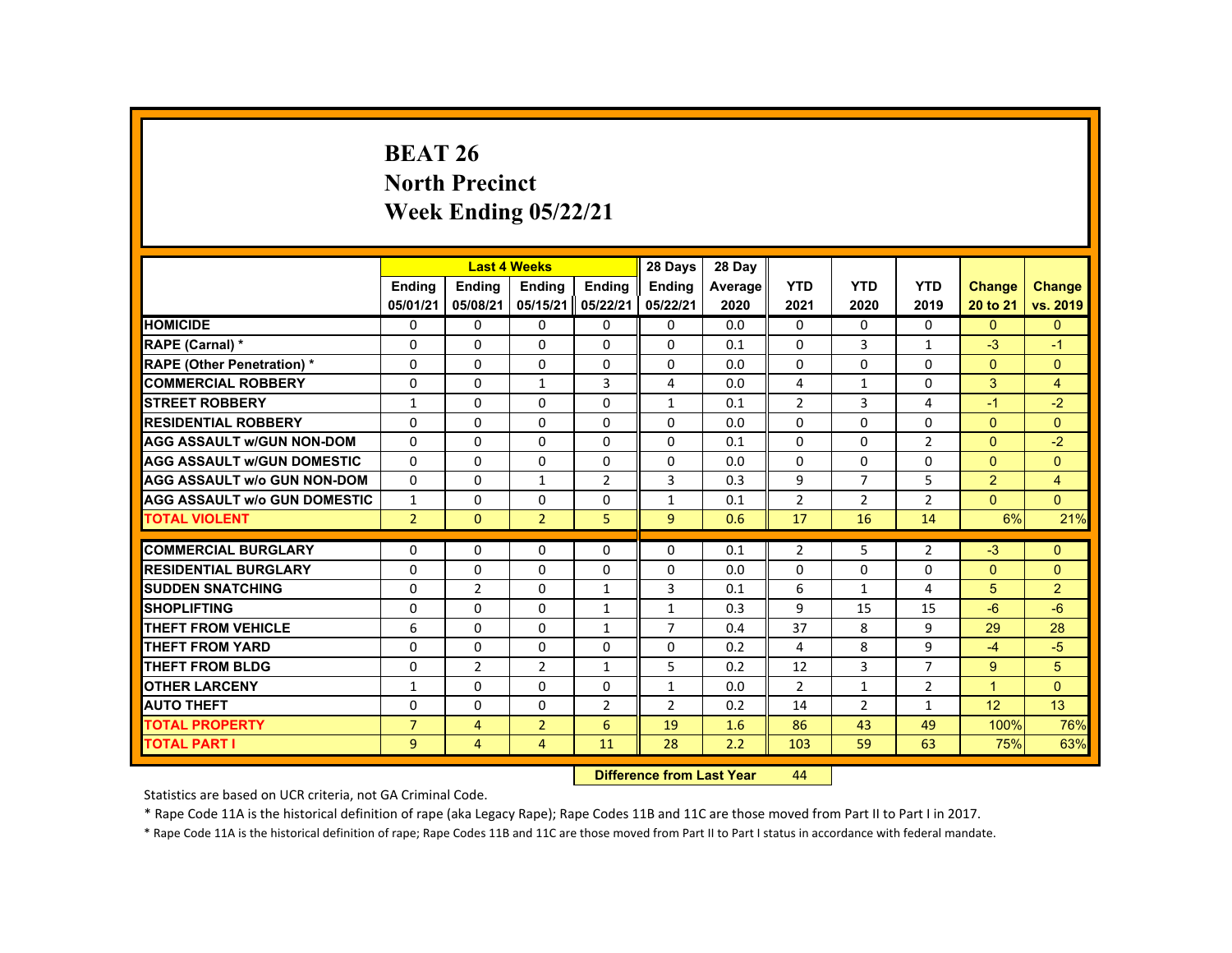# **BEAT 26 North Precinct Week Ending 05/22/21**

|                                     |                |                | <b>Last 4 Weeks</b> |                 | 28 Days                                                                                                                                                                                                                        | 28 Day  |                |                |                |                |                |
|-------------------------------------|----------------|----------------|---------------------|-----------------|--------------------------------------------------------------------------------------------------------------------------------------------------------------------------------------------------------------------------------|---------|----------------|----------------|----------------|----------------|----------------|
|                                     | <b>Ending</b>  | <b>Ending</b>  | <b>Ending</b>       | <b>Ending</b>   | <b>Ending</b>                                                                                                                                                                                                                  | Average | <b>YTD</b>     | <b>YTD</b>     | <b>YTD</b>     | <b>Change</b>  | <b>Change</b>  |
|                                     | 05/01/21       | 05/08/21       | 05/15/21            | 05/22/21        | 05/22/21                                                                                                                                                                                                                       | 2020    | 2021           | 2020           | 2019           | 20 to 21       | vs. 2019       |
| <b>HOMICIDE</b>                     | $\mathbf{0}$   | $\mathbf{0}$   | $\Omega$            | $\Omega$        | 0                                                                                                                                                                                                                              | 0.0     | $\mathbf{0}$   | 0              | $\mathbf{0}$   | $\mathbf{0}$   | $\Omega$       |
| <b>RAPE (Carnal) *</b>              | 0              | $\mathbf{0}$   | 0                   | $\Omega$        | $\Omega$                                                                                                                                                                                                                       | 0.1     | $\Omega$       | 3              | $\mathbf{1}$   | $-3$           | $-1$           |
| <b>RAPE (Other Penetration) *</b>   | $\Omega$       | $\mathbf{0}$   | $\Omega$            | $\Omega$        | $\Omega$                                                                                                                                                                                                                       | 0.0     | $\Omega$       | $\Omega$       | $\Omega$       | $\Omega$       | $\Omega$       |
| <b>COMMERCIAL ROBBERY</b>           | $\Omega$       | $\Omega$       | $\mathbf{1}$        | 3               | 4                                                                                                                                                                                                                              | 0.0     | 4              | $\mathbf{1}$   | $\Omega$       | 3              | $\overline{4}$ |
| <b>STREET ROBBERY</b>               | $\mathbf{1}$   | $\Omega$       | $\Omega$            | $\Omega$        | $\mathbf{1}$                                                                                                                                                                                                                   | 0.1     | $\overline{2}$ | 3              | 4              | $-1$           | $-2$           |
| <b>RESIDENTIAL ROBBERY</b>          | $\Omega$       | $\mathbf{0}$   | 0                   | 0               | 0                                                                                                                                                                                                                              | 0.0     | $\Omega$       | 0              | 0              | $\Omega$       | $\Omega$       |
| <b>AGG ASSAULT W/GUN NON-DOM</b>    | $\Omega$       | $\Omega$       | $\Omega$            | $\Omega$        | $\Omega$                                                                                                                                                                                                                       | 0.1     | $\Omega$       | 0              | $\overline{2}$ | $\mathbf{0}$   | $-2$           |
| <b>AGG ASSAULT W/GUN DOMESTIC</b>   | $\Omega$       | $\Omega$       | $\Omega$            | $\Omega$        | $\Omega$                                                                                                                                                                                                                       | 0.0     | $\Omega$       | $\Omega$       | $\Omega$       | $\Omega$       | $\mathbf{0}$   |
| <b>AGG ASSAULT W/o GUN NON-DOM</b>  | $\Omega$       | $\Omega$       | $\mathbf{1}$        | $\overline{2}$  | 3                                                                                                                                                                                                                              | 0.3     | 9              | $\overline{7}$ | 5              | $\overline{2}$ | $\overline{4}$ |
| <b>AGG ASSAULT W/o GUN DOMESTIC</b> | $\mathbf{1}$   | $\Omega$       | $\Omega$            | $\Omega$        | $\mathbf{1}$                                                                                                                                                                                                                   | 0.1     | $\overline{2}$ | $\overline{2}$ | $\overline{2}$ | $\Omega$       | $\Omega$       |
| <b>TOTAL VIOLENT</b>                | 2 <sup>1</sup> | $\mathbf{0}$   | $\overline{2}$      | 5               | 9 <sup>°</sup>                                                                                                                                                                                                                 | 0.6     | 17             | 16             | 14             | 6%             | 21%            |
|                                     |                |                |                     |                 |                                                                                                                                                                                                                                |         |                |                |                |                |                |
| <b>COMMERCIAL BURGLARY</b>          | $\Omega$       | $\Omega$       | $\Omega$            | $\Omega$        | $\Omega$                                                                                                                                                                                                                       | 0.1     | $\overline{2}$ | 5              | $\overline{2}$ | $-3$           | $\Omega$       |
| <b>RESIDENTIAL BURGLARY</b>         | $\Omega$       | $\Omega$       | $\Omega$            | $\Omega$        | $\Omega$                                                                                                                                                                                                                       | 0.0     | $\Omega$       | $\Omega$       | $\Omega$       | $\Omega$       | $\Omega$       |
| <b>SUDDEN SNATCHING</b>             | 0              | $\overline{2}$ | $\Omega$            | 1               | 3                                                                                                                                                                                                                              | 0.1     | 6              | $\mathbf{1}$   | 4              | 5 <sup>5</sup> | $\overline{2}$ |
| <b>SHOPLIFTING</b>                  | 0              | $\Omega$       | $\Omega$            | $\mathbf{1}$    | $\mathbf{1}$                                                                                                                                                                                                                   | 0.3     | 9              | 15             | 15             | $-6$           | $-6$           |
| <b>THEFT FROM VEHICLE</b>           | 6              | $\Omega$       | $\Omega$            | $\mathbf{1}$    | $\overline{7}$                                                                                                                                                                                                                 | 0.4     | 37             | 8              | 9              | 29             | 28             |
| <b>THEFT FROM YARD</b>              | $\Omega$       | $\Omega$       | $\Omega$            | $\Omega$        | $\Omega$                                                                                                                                                                                                                       | 0.2     | 4              | 8              | 9              | $-4$           | $-5$           |
| <b>THEFT FROM BLDG</b>              | $\Omega$       | $\overline{2}$ | $\overline{2}$      | $\mathbf{1}$    | 5                                                                                                                                                                                                                              | 0.2     | 12             | 3              | $\overline{7}$ | $9^{\circ}$    | 5              |
| <b>OTHER LARCENY</b>                | $\mathbf{1}$   | $\mathbf{0}$   | $\Omega$            | $\Omega$        | $\mathbf{1}$                                                                                                                                                                                                                   | 0.0     | $\overline{2}$ | $\mathbf{1}$   | $\overline{2}$ | $\mathbf{1}$   | $\Omega$       |
| <b>AUTO THEFT</b>                   | $\Omega$       | $\Omega$       | $\Omega$            | $\overline{2}$  | 2                                                                                                                                                                                                                              | 0.2     | 14             | 2              | $\mathbf{1}$   | 12             | 13             |
| <b>TOTAL PROPERTY</b>               | $\overline{7}$ | 4              | $\overline{2}$      | 6               | 19                                                                                                                                                                                                                             | 1.6     | 86             | 43             | 49             | 100%           | 76%            |
| <b>TOTAL PART I</b>                 | 9              | $\overline{4}$ | $\overline{4}$      | 11              | 28                                                                                                                                                                                                                             | 2.2     | 103            | 59             | 63             | 75%            | 63%            |
|                                     |                |                |                     | <b>CALLED A</b> | and the company of the second states of the second states of the second states of the second states of the second states of the second states of the second states of the second states of the second states of the second sta |         | $\overline{a}$ |                |                |                |                |

 **Difference from Last Year**r 44

Statistics are based on UCR criteria, not GA Criminal Code.

\* Rape Code 11A is the historical definition of rape (aka Legacy Rape); Rape Codes 11B and 11C are those moved from Part II to Part I in 2017.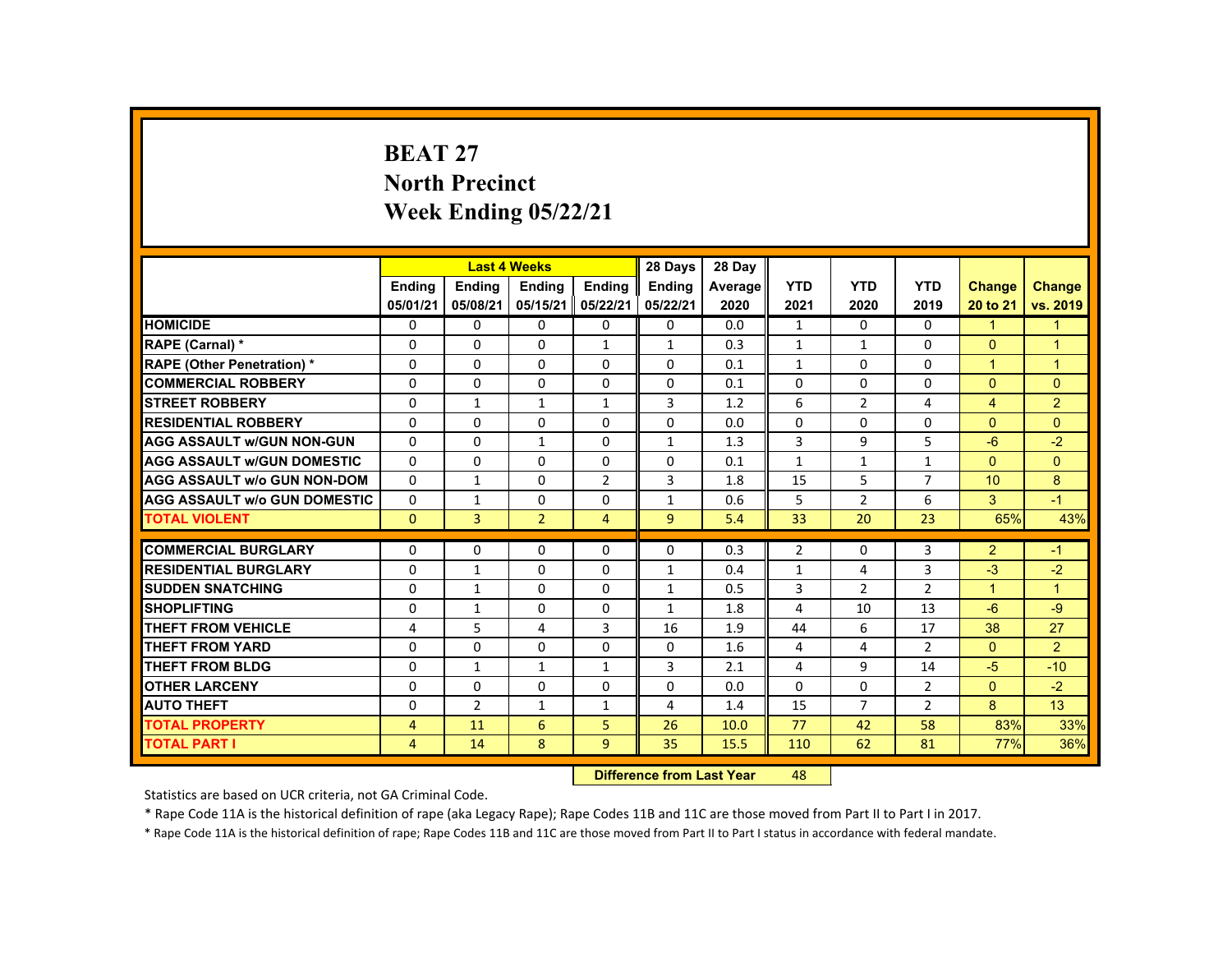### **BEAT 27 North Precinct Week Ending 05/22/21**

|                                     |                | <b>Last 4 Weeks</b> |                |                | 28 Days        | 28 Day  |                |                |                |                      |                      |
|-------------------------------------|----------------|---------------------|----------------|----------------|----------------|---------|----------------|----------------|----------------|----------------------|----------------------|
|                                     | <b>Ending</b>  | <b>Ending</b>       | <b>Ending</b>  | <b>Ending</b>  | Ending         | Average | <b>YTD</b>     | <b>YTD</b>     | <b>YTD</b>     | <b>Change</b>        | <b>Change</b>        |
|                                     | 05/01/21       | 05/08/21            | 05/15/21       | 05/22/21       | 05/22/21       | 2020    | 2021           | 2020           | 2019           | 20 to 21             | vs. 2019             |
| <b>HOMICIDE</b>                     | $\Omega$       | $\Omega$            | $\mathbf{0}$   | $\Omega$       | 0              | 0.0     | $\mathbf{1}$   | $\Omega$       | $\Omega$       | $\blacktriangledown$ | $\mathbf{1}$         |
| RAPE (Carnal) *                     | $\mathbf{0}$   | $\Omega$            | $\Omega$       | $\mathbf{1}$   | $\mathbf{1}$   | 0.3     | $\mathbf{1}$   | $\mathbf{1}$   | $\Omega$       | $\Omega$             | $\blacktriangleleft$ |
| <b>RAPE (Other Penetration) *</b>   | $\Omega$       | $\Omega$            | $\Omega$       | $\Omega$       | $\Omega$       | 0.1     | $\mathbf{1}$   | $\Omega$       | $\Omega$       | $\blacktriangleleft$ | $\mathbf{1}$         |
| <b>COMMERCIAL ROBBERY</b>           | $\Omega$       | $\Omega$            | $\Omega$       | $\Omega$       | $\Omega$       | 0.1     | $\Omega$       | $\Omega$       | $\Omega$       | $\Omega$             | $\Omega$             |
| <b>STREET ROBBERY</b>               | $\Omega$       | $\mathbf{1}$        | $\mathbf{1}$   | $\mathbf{1}$   | 3              | 1.2     | 6              | $\overline{2}$ | 4              | $\overline{4}$       | $\overline{2}$       |
| <b>RESIDENTIAL ROBBERY</b>          | 0              | $\Omega$            | $\mathbf{0}$   | $\mathbf{0}$   | 0              | 0.0     | 0              | 0              | 0              | $\mathbf{0}$         | $\Omega$             |
| <b>AGG ASSAULT WGUN NON-GUN</b>     | $\Omega$       | $\Omega$            | $\mathbf{1}$   | $\Omega$       | $\mathbf{1}$   | 1.3     | 3              | 9              | 5              | $-6$                 | $-2$                 |
| <b>AGG ASSAULT W/GUN DOMESTIC</b>   | $\Omega$       | $\Omega$            | $\Omega$       | $\Omega$       | $\Omega$       | 0.1     | $\mathbf{1}$   | $\mathbf{1}$   | $\mathbf{1}$   | $\Omega$             | $\Omega$             |
| <b>AGG ASSAULT W/o GUN NON-DOM</b>  | $\Omega$       | $\mathbf{1}$        | $\Omega$       | $\overline{2}$ | 3              | 1.8     | 15             | 5              | $\overline{7}$ | 10                   | 8                    |
| <b>AGG ASSAULT w/o GUN DOMESTIC</b> | $\Omega$       | $\mathbf{1}$        | $\Omega$       | $\Omega$       | $\mathbf{1}$   | 0.6     | 5              | $\overline{2}$ | 6              | 3                    | $-1$                 |
| <b>TOTAL VIOLENT</b>                | $\Omega$       | $\overline{3}$      | $\overline{2}$ | $\overline{4}$ | $\overline{9}$ | 5.4     | 33             | 20             | 23             | 65%                  | 43%                  |
| <b>COMMERCIAL BURGLARY</b>          | $\Omega$       | $\Omega$            | $\Omega$       | $\Omega$       | $\Omega$       | 0.3     | $\overline{2}$ | $\Omega$       | 3              | $\overline{2}$       | $-1$                 |
| <b>RESIDENTIAL BURGLARY</b>         | $\Omega$       | $\mathbf{1}$        | $\Omega$       | $\Omega$       | $\mathbf{1}$   | 0.4     | $\mathbf{1}$   | 4              | 3              | $-3$                 | $-2$                 |
| <b>SUDDEN SNATCHING</b>             | $\mathbf{0}$   | $\mathbf{1}$        | $\mathbf{0}$   | $\mathbf{0}$   | 1              | 0.5     | 3              | $\overline{2}$ | $\overline{2}$ | $\mathbf{1}$         | $\mathbf{1}$         |
| <b>SHOPLIFTING</b>                  | $\Omega$       | $\mathbf{1}$        | $\Omega$       | $\Omega$       | $\mathbf{1}$   | 1.8     | 4              | 10             | 13             | $-6$                 | $-9$                 |
| <b>THEFT FROM VEHICLE</b>           | 4              | 5                   | 4              | $\overline{3}$ | 16             | 1.9     | 44             | 6              | 17             | 38                   | 27                   |
| <b>THEFT FROM YARD</b>              | $\Omega$       | $\Omega$            | $\Omega$       | $\Omega$       | 0              | 1.6     | 4              | 4              | $\overline{2}$ | $\Omega$             | $\overline{2}$       |
| <b>THEFT FROM BLDG</b>              | $\Omega$       | $\mathbf{1}$        | $\mathbf{1}$   | $\mathbf{1}$   | 3              | 2.1     | 4              | 9              | 14             | $-5$                 | $-10$                |
| <b>OTHER LARCENY</b>                | $\Omega$       | $\Omega$            | $\Omega$       | $\Omega$       | $\Omega$       | 0.0     | $\Omega$       | $\Omega$       | $\overline{2}$ | $\Omega$             | $-2$                 |
| <b>AUTO THEFT</b>                   | $\Omega$       | $\overline{2}$      | $\mathbf{1}$   | $\mathbf{1}$   | 4              | 1.4     | 15             | $\overline{7}$ | $\overline{2}$ | 8                    | 13                   |
| <b>TOTAL PROPERTY</b>               | $\overline{4}$ | 11                  | 6              | 5              | 26             | 10.0    | 77             | 42             | 58             | 83%                  | 33%                  |
| <b>TOTAL PART I</b>                 | $\overline{4}$ | 14                  | 8              | 9              | 35             | 15.5    | 110            | 62             | 81             | 77%                  | 36%                  |
|                                     |                |                     |                |                |                |         |                |                |                |                      |                      |

 **Difference from Last Year**r 48

Statistics are based on UCR criteria, not GA Criminal Code.

\* Rape Code 11A is the historical definition of rape (aka Legacy Rape); Rape Codes 11B and 11C are those moved from Part II to Part I in 2017.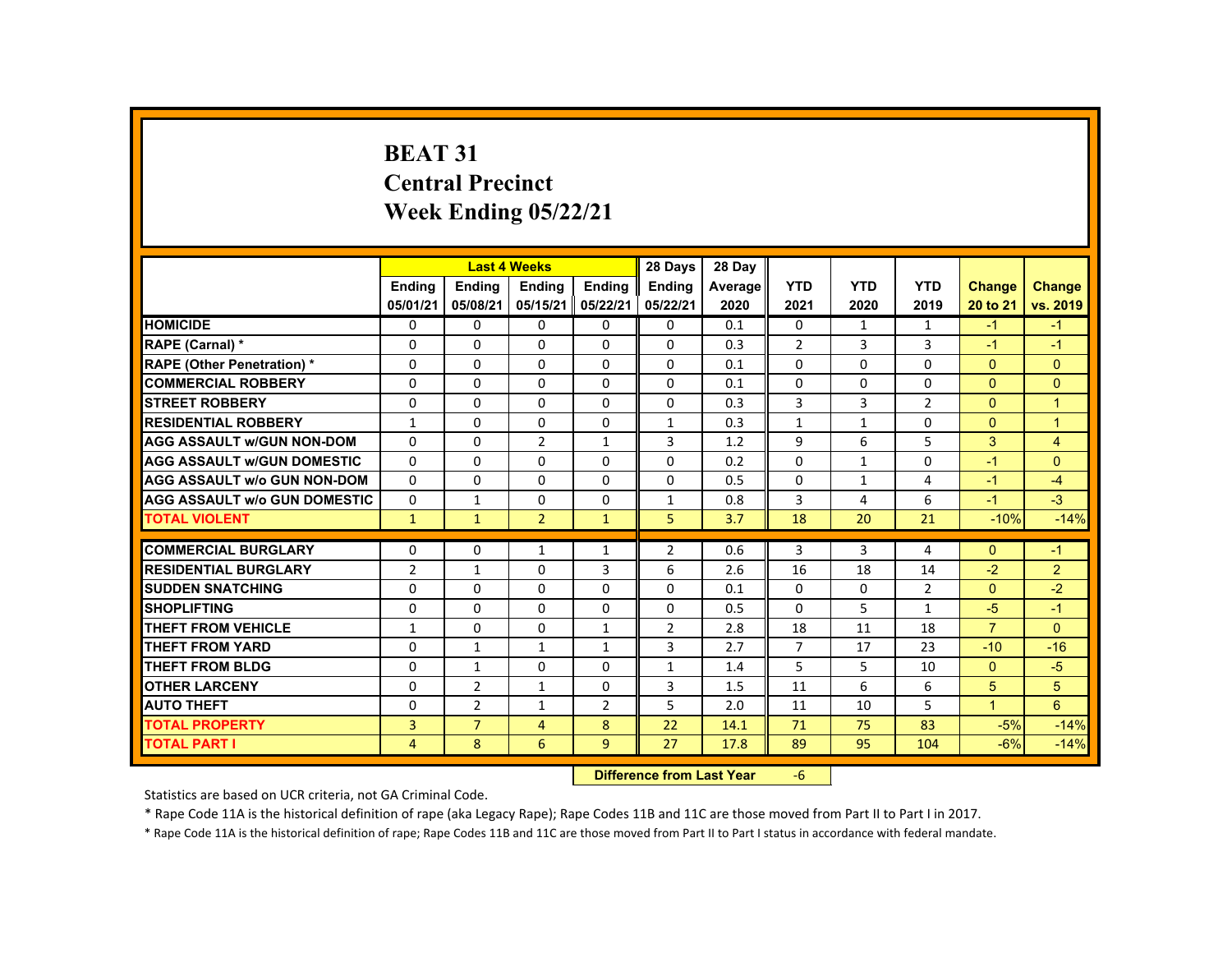# **BEAT 31 Central Precinct Week Ending 05/22/21**

|                                     |                |                | <b>Last 4 Weeks</b> |                | 28 Days                   | 28 Day  |                |                |                |                |                |
|-------------------------------------|----------------|----------------|---------------------|----------------|---------------------------|---------|----------------|----------------|----------------|----------------|----------------|
|                                     | <b>Ending</b>  | <b>Ending</b>  | <b>Ending</b>       | <b>Ending</b>  | <b>Endina</b>             | Average | <b>YTD</b>     | <b>YTD</b>     | <b>YTD</b>     | Change         | <b>Change</b>  |
|                                     | 05/01/21       | 05/08/21       | 05/15/21            | 05/22/21       | 05/22/21                  | 2020    | 2021           | 2020           | 2019           | 20 to 21       | vs. 2019       |
| <b>HOMICIDE</b>                     | $\Omega$       | $\Omega$       | $\mathbf{0}$        | $\Omega$       | 0                         | 0.1     | 0              | $\mathbf{1}$   | $\mathbf{1}$   | $-1$           | $-1$           |
| RAPE (Carnal) *                     | $\mathbf{0}$   | $\Omega$       | $\Omega$            | $\Omega$       | 0                         | 0.3     | $\overline{2}$ | 3              | 3              | $-1$           | $-1$           |
| <b>RAPE (Other Penetration) *</b>   | $\Omega$       | $\Omega$       | $\Omega$            | $\Omega$       | $\Omega$                  | 0.1     | $\Omega$       | $\Omega$       | $\Omega$       | $\Omega$       | $\Omega$       |
| <b>COMMERCIAL ROBBERY</b>           | $\mathbf{0}$   | $\Omega$       | $\Omega$            | $\Omega$       | $\Omega$                  | 0.1     | 0              | $\Omega$       | $\Omega$       | $\Omega$       | $\mathbf{0}$   |
| <b>STREET ROBBERY</b>               | $\Omega$       | $\Omega$       | $\Omega$            | $\Omega$       | $\Omega$                  | 0.3     | 3              | $\overline{3}$ | $\overline{2}$ | $\Omega$       | $\mathbf{1}$   |
| <b>RESIDENTIAL ROBBERY</b>          | 1              | $\Omega$       | $\mathbf{0}$        | 0              | $\mathbf{1}$              | 0.3     | $\mathbf{1}$   | $\mathbf{1}$   | 0              | $\Omega$       | $\overline{1}$ |
| <b>AGG ASSAULT W/GUN NON-DOM</b>    | $\Omega$       | $\Omega$       | $\overline{2}$      | $\mathbf{1}$   | 3                         | 1.2     | 9              | 6              | 5              | 3              | $\overline{4}$ |
| <b>AGG ASSAULT W/GUN DOMESTIC</b>   | $\Omega$       | $\Omega$       | $\Omega$            | $\Omega$       | $\Omega$                  | 0.2     | $\Omega$       | $\mathbf{1}$   | $\Omega$       | $-1$           | $\Omega$       |
| <b>AGG ASSAULT w/o GUN NON-DOM</b>  | $\Omega$       | $\Omega$       | $\Omega$            | $\Omega$       | $\Omega$                  | 0.5     | $\Omega$       | $\mathbf{1}$   | 4              | $-1$           | $-4$           |
| <b>AGG ASSAULT W/o GUN DOMESTIC</b> | $\Omega$       | $\mathbf{1}$   | $\mathbf{0}$        | $\mathbf{0}$   | $\mathbf{1}$              | 0.8     | 3              | 4              | 6              | $-1$           | $-3$           |
| <b>TOTAL VIOLENT</b>                | $\mathbf{1}$   | $\mathbf{1}$   | $\overline{2}$      | $\mathbf{1}$   | 5                         | 3.7     | 18             | 20             | 21             | $-10%$         | $-14%$         |
| <b>COMMERCIAL BURGLARY</b>          | $\mathbf{0}$   | $\Omega$       | $\mathbf{1}$        | $\mathbf{1}$   | $\overline{2}$            | 0.6     | 3              | 3              | 4              | $\Omega$       | $-1$           |
| <b>RESIDENTIAL BURGLARY</b>         | $\overline{2}$ | $\mathbf{1}$   | $\mathbf{0}$        | 3              | 6                         | 2.6     | 16             | 18             | 14             | $-2$           | $\overline{2}$ |
| <b>SUDDEN SNATCHING</b>             | $\Omega$       | $\Omega$       | $\Omega$            | $\Omega$       | $\Omega$                  | 0.1     | $\Omega$       | $\Omega$       | $\overline{2}$ | $\mathbf{0}$   | $-2$           |
| <b>SHOPLIFTING</b>                  | $\Omega$       | $\Omega$       | $\Omega$            | $\Omega$       | $\Omega$                  | 0.5     | $\Omega$       | 5              | $\mathbf{1}$   | $-5$           | $-1$           |
| <b>THEFT FROM VEHICLE</b>           | $\mathbf{1}$   | $\Omega$       | $\Omega$            | $\mathbf{1}$   | $\overline{2}$            | 2.8     | 18             | 11             | 18             | $\overline{7}$ | $\Omega$       |
| <b>THEFT FROM YARD</b>              | $\Omega$       | $\mathbf{1}$   | $\mathbf{1}$        | $\mathbf{1}$   | 3                         | 2.7     | $\overline{7}$ | 17             | 23             | $-10$          | $-16$          |
| <b>THEFT FROM BLDG</b>              | $\mathbf{0}$   | $\mathbf{1}$   | $\mathbf{0}$        | $\mathbf{0}$   | $\mathbf{1}$              | 1.4     | 5              | 5              | 10             | $\mathbf{0}$   | $-5$           |
| <b>OTHER LARCENY</b>                | $\Omega$       | $\overline{2}$ | $\mathbf{1}$        | $\Omega$       | 3                         | 1.5     | 11             | 6              | 6              | 5              | 5              |
| <b>AUTO THEFT</b>                   | $\Omega$       | 2              | $\mathbf{1}$        | $\overline{2}$ | 5                         | 2.0     | 11             | 10             | 5              | $\overline{1}$ | 6              |
| <b>TOTAL PROPERTY</b>               | 3              | $\overline{7}$ | $\overline{4}$      | 8              | 22                        | 14.1    | 71             | 75             | 83             | $-5%$          | $-14%$         |
| <b>TOTAL PART I</b>                 | $\overline{4}$ | 8              | 6                   | 9              | 27                        | 17.8    | 89             | 95             | 104            | $-6%$          | $-14%$         |
|                                     |                |                |                     |                | Difference from Loot Voor |         | $\epsilon$     |                |                |                |                |

 **Difference from Last Year**‐6

Statistics are based on UCR criteria, not GA Criminal Code.

\* Rape Code 11A is the historical definition of rape (aka Legacy Rape); Rape Codes 11B and 11C are those moved from Part II to Part I in 2017.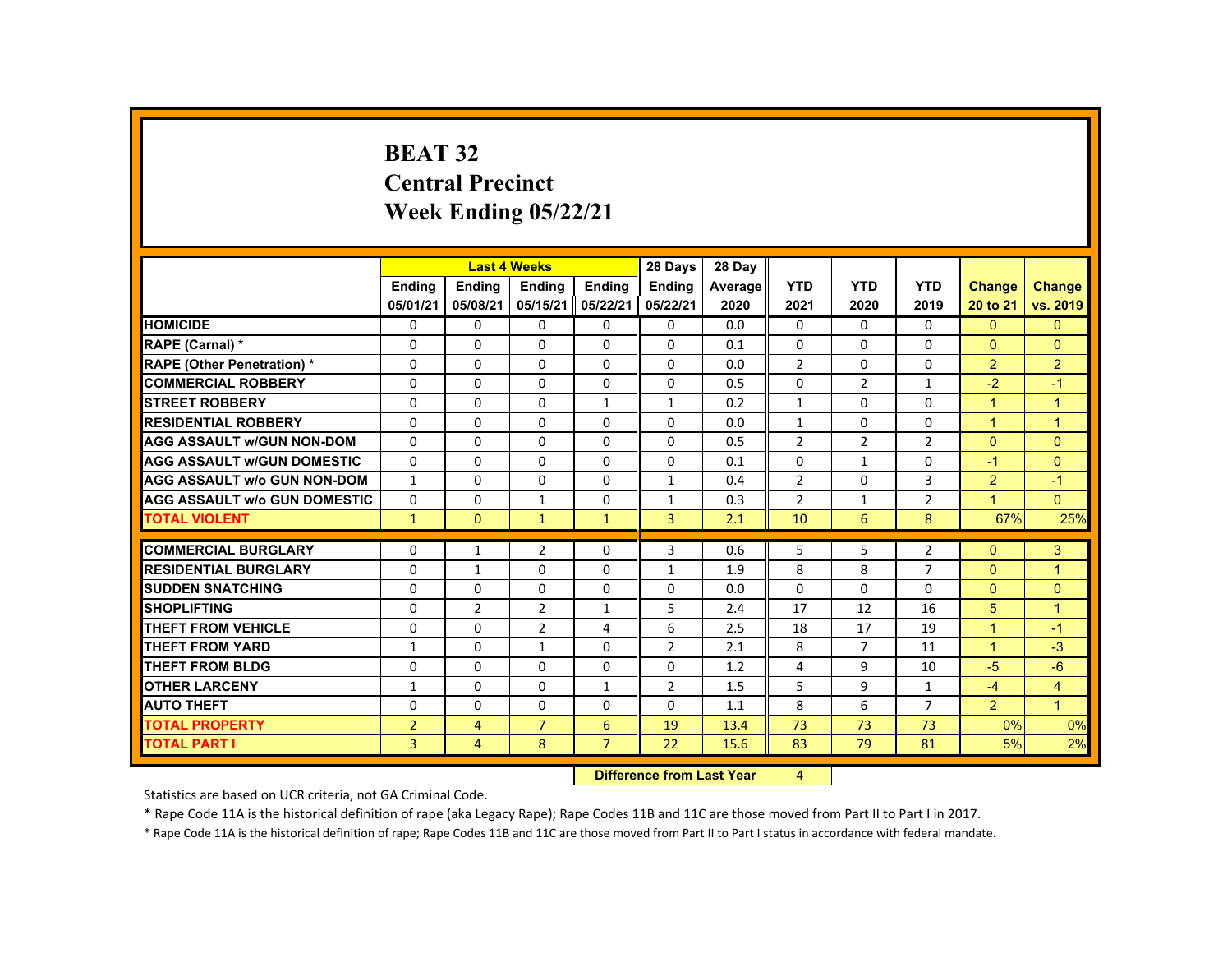# **BEAT 32 Central Precinct Week Ending 05/22/21**

|                                     |                |                | <b>Last 4 Weeks</b> |                    | 28 Days                   | 28 Day  |                |                |                |                |                |
|-------------------------------------|----------------|----------------|---------------------|--------------------|---------------------------|---------|----------------|----------------|----------------|----------------|----------------|
|                                     | <b>Ending</b>  | <b>Ending</b>  | <b>Ending</b>       | <b>Endina</b>      | <b>Endina</b>             | Average | <b>YTD</b>     | <b>YTD</b>     | <b>YTD</b>     | Change         | <b>Change</b>  |
|                                     | 05/01/21       | 05/08/21       | 05/15/21            | 05/22/21           | 05/22/21                  | 2020    | 2021           | 2020           | 2019           | 20 to 21       | vs. 2019       |
| <b>HOMICIDE</b>                     | 0              | $\Omega$       | 0                   | $\Omega$           | 0                         | 0.0     | $\mathbf{0}$   | $\Omega$       | $\mathbf{0}$   | $\mathbf{0}$   | $\mathbf{0}$   |
| RAPE (Carnal) *                     | 0              | $\Omega$       | $\Omega$            | $\Omega$           | $\Omega$                  | 0.1     | $\Omega$       | 0              | $\Omega$       | $\Omega$       | $\Omega$       |
| <b>RAPE (Other Penetration) *</b>   | $\Omega$       | $\Omega$       | $\Omega$            | $\Omega$           | $\Omega$                  | 0.0     | $\overline{2}$ | $\Omega$       | $\Omega$       | $\overline{2}$ | $\overline{2}$ |
| <b>COMMERCIAL ROBBERY</b>           | $\Omega$       | $\Omega$       | $\Omega$            | $\Omega$           | $\Omega$                  | 0.5     | $\Omega$       | $\overline{2}$ | $\mathbf{1}$   | $-2$           | $-1$           |
| <b>STREET ROBBERY</b>               | $\Omega$       | $\Omega$       | $\Omega$            | $\mathbf{1}$       | $\mathbf{1}$              | 0.2     | $\mathbf{1}$   | $\Omega$       | $\Omega$       | $\mathbf{1}$   | $\mathbf{1}$   |
| <b>RESIDENTIAL ROBBERY</b>          | 0              | $\mathbf{0}$   | 0                   | 0                  | $\Omega$                  | 0.0     | $\mathbf{1}$   | 0              | $\Omega$       | $\mathbf{1}$   | $\mathbf{1}$   |
| <b>AGG ASSAULT w/GUN NON-DOM</b>    | $\Omega$       | $\Omega$       | $\Omega$            | $\Omega$           | $\Omega$                  | 0.5     | $\overline{2}$ | $\overline{2}$ | $\overline{2}$ | $\Omega$       | $\Omega$       |
| <b>AGG ASSAULT W/GUN DOMESTIC</b>   | $\Omega$       | $\mathbf{0}$   | $\Omega$            | $\Omega$           | $\Omega$                  | 0.1     | $\Omega$       | $\mathbf{1}$   | 0              | $-1$           | $\mathbf{0}$   |
| <b>AGG ASSAULT W/o GUN NON-DOM</b>  | $\mathbf{1}$   | $\Omega$       | $\Omega$            | $\Omega$           | $\mathbf{1}$              | 0.4     | $\overline{2}$ | $\Omega$       | 3              | 2              | $-1$           |
| <b>AGG ASSAULT W/o GUN DOMESTIC</b> | $\Omega$       | $\Omega$       | $\mathbf{1}$        | $\Omega$           | $\mathbf{1}$              | 0.3     | $\overline{2}$ | $\mathbf{1}$   | $\overline{2}$ | $\mathbf{1}$   | $\Omega$       |
| <b>TOTAL VIOLENT</b>                | $\mathbf{1}$   | $\Omega$       | $\mathbf{1}$        | $\mathbf{1}$       | $\overline{3}$            | 2.1     | 10             | 6              | 8              | 67%            | 25%            |
| <b>COMMERCIAL BURGLARY</b>          | $\Omega$       | 1              | $\overline{2}$      | $\Omega$           | 3                         | 0.6     | 5              | 5              | $\overline{2}$ | $\Omega$       | 3              |
| <b>RESIDENTIAL BURGLARY</b>         | $\Omega$       | $\mathbf{1}$   | $\Omega$            | $\Omega$           | $\mathbf{1}$              | 1.9     | 8              | 8              | $\overline{7}$ | $\Omega$       | $\overline{1}$ |
| <b>SUDDEN SNATCHING</b>             | $\mathbf{0}$   | $\mathbf{0}$   | 0                   | 0                  | 0                         | 0.0     | $\mathbf{0}$   | 0              | 0              | $\mathbf{0}$   | $\mathbf{0}$   |
| <b>SHOPLIFTING</b>                  | $\Omega$       | $\overline{2}$ | $\overline{2}$      | $\mathbf{1}$       | 5                         | 2.4     | 17             | 12             | 16             | 5 <sup>5</sup> | $\overline{1}$ |
| <b>THEFT FROM VEHICLE</b>           | $\Omega$       | $\Omega$       | $\overline{2}$      | 4                  | 6                         | 2.5     | 18             | 17             | 19             | $\mathbf{1}$   | $-1$           |
| THEFT FROM YARD                     | $\mathbf{1}$   | $\Omega$       | $\mathbf{1}$        | $\Omega$           | $\overline{2}$            | 2.1     | 8              | $\overline{7}$ | 11             | $\mathbf{1}$   | $-3$           |
| <b>THEFT FROM BLDG</b>              | 0              | $\Omega$       | $\Omega$            | 0                  | 0                         | 1.2     | 4              | 9              | 10             | $-5$           | $-6$           |
| <b>OTHER LARCENY</b>                | 1              | $\mathbf{0}$   | $\Omega$            | $\mathbf{1}$       | $\overline{2}$            | 1.5     | 5              | 9              | $\mathbf{1}$   | $-4$           | $\overline{4}$ |
| <b>AUTO THEFT</b>                   | $\Omega$       | $\Omega$       | $\Omega$            | $\Omega$           | $\Omega$                  | 1.1     | 8              | 6              | $\overline{7}$ | 2              | $\overline{1}$ |
| <b>TOTAL PROPERTY</b>               | $\overline{2}$ | $\overline{4}$ | $\overline{7}$      | 6                  | 19                        | 13.4    | 73             | 73             | 73             | 0%             | 0%             |
| <b>TOTAL PART I</b>                 | $\overline{3}$ | $\overline{4}$ | 8                   | $\overline{7}$     | 22                        | 15.6    | 83             | 79             | 81             | 5%             | 2%             |
|                                     |                |                |                     | <b>Publication</b> | a a a dheann 1 anns Mainn |         | $\overline{a}$ |                |                |                |                |

**12 Difference from Last Year 4** 

Statistics are based on UCR criteria, not GA Criminal Code.

\* Rape Code 11A is the historical definition of rape (aka Legacy Rape); Rape Codes 11B and 11C are those moved from Part II to Part I in 2017.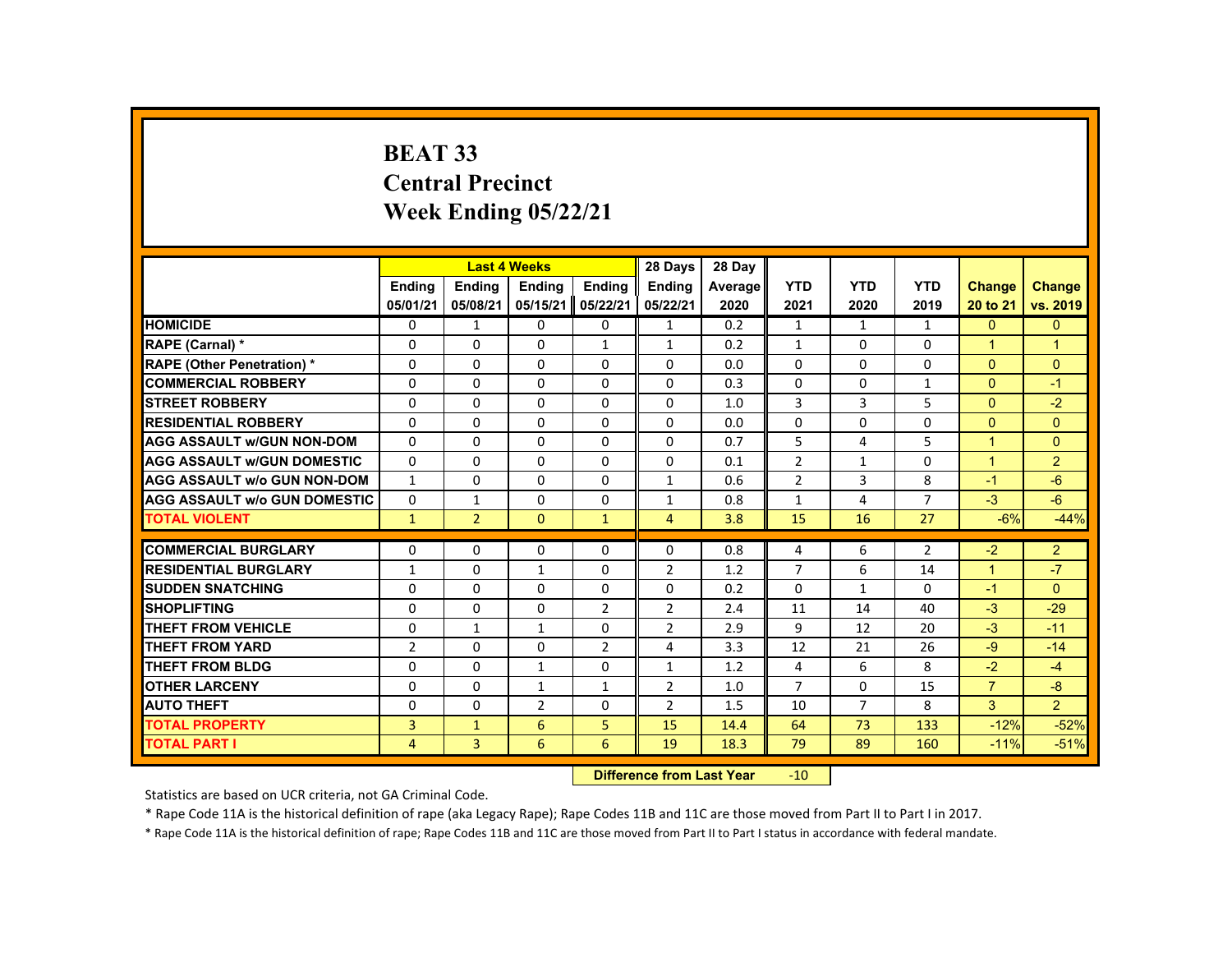# **BEAT 33 Central Precinct Week Ending 05/22/21**

|                                     |                |                           | <b>Last 4 Weeks</b> |                | 28 Days        | 28 Day  |                |                |                |                |                |
|-------------------------------------|----------------|---------------------------|---------------------|----------------|----------------|---------|----------------|----------------|----------------|----------------|----------------|
|                                     | <b>Endina</b>  | <b>Endina</b>             | <b>Ending</b>       | <b>Endina</b>  | <b>Endina</b>  | Average | <b>YTD</b>     | <b>YTD</b>     | <b>YTD</b>     | <b>Change</b>  | <b>Change</b>  |
|                                     | 05/01/21       | 05/08/21                  | 05/15/21            | 05/22/21       | 05/22/21       | 2020    | 2021           | 2020           | 2019           | 20 to 21       | vs. 2019       |
| <b>HOMICIDE</b>                     | 0              | $\mathbf{1}$              | 0                   | 0              | $\mathbf{1}$   | 0.2     | $\mathbf{1}$   | 1              | $\mathbf{1}$   | $\mathbf{0}$   | $\overline{0}$ |
| RAPE (Carnal) *                     | 0              | 0                         | 0                   | $\mathbf{1}$   | 1              | 0.2     | $\mathbf{1}$   | 0              | 0              | -1             | $\overline{1}$ |
| <b>RAPE (Other Penetration) *</b>   | $\Omega$       | $\Omega$                  | $\Omega$            | $\Omega$       | $\Omega$       | 0.0     | $\Omega$       | $\Omega$       | $\Omega$       | $\Omega$       | $\Omega$       |
| <b>COMMERCIAL ROBBERY</b>           | $\Omega$       | $\Omega$                  | $\Omega$            | $\Omega$       | $\Omega$       | 0.3     | $\Omega$       | $\Omega$       | $\mathbf{1}$   | $\mathbf{0}$   | $-1$           |
| <b>STREET ROBBERY</b>               | $\Omega$       | $\Omega$                  | $\Omega$            | $\Omega$       | $\Omega$       | 1.0     | 3              | 3              | 5              | $\Omega$       | $-2$           |
| <b>RESIDENTIAL ROBBERY</b>          | $\Omega$       | 0                         | $\Omega$            | 0              | $\Omega$       | 0.0     | $\Omega$       | $\Omega$       | 0              | $\Omega$       | $\Omega$       |
| <b>AGG ASSAULT w/GUN NON-DOM</b>    | $\Omega$       | $\Omega$                  | $\Omega$            | $\Omega$       | $\Omega$       | 0.7     | 5              | 4              | 5              | $\overline{1}$ | $\Omega$       |
| <b>AGG ASSAULT w/GUN DOMESTIC</b>   | $\Omega$       | $\Omega$                  | $\Omega$            | $\Omega$       | $\Omega$       | 0.1     | $\overline{2}$ | $\mathbf{1}$   | 0              | $\overline{1}$ | $\overline{2}$ |
| <b>AGG ASSAULT w/o GUN NON-DOM</b>  | $\mathbf{1}$   | $\Omega$                  | $\Omega$            | $\Omega$       | $\mathbf{1}$   | 0.6     | $\overline{2}$ | $\overline{3}$ | 8              | $-1$           | $-6$           |
| <b>AGG ASSAULT w/o GUN DOMESTIC</b> | 0              | 1                         | 0                   | 0              | 1              | 0.8     | 1              | 4              | $\overline{7}$ | $-3$           | $-6$           |
| <b>TOTAL VIOLENT</b>                | $\mathbf{1}$   | $\overline{2}$            | $\mathbf{0}$        | $\mathbf{1}$   | $\overline{4}$ | 3.8     | 15             | 16             | 27             | $-6%$          | $-44%$         |
| <b>COMMERCIAL BURGLARY</b>          | $\Omega$       | 0                         | $\Omega$            | 0              | 0              | 0.8     | 4              | 6              | $\overline{2}$ | $-2$           | $\overline{2}$ |
| <b>RESIDENTIAL BURGLARY</b>         | 1              | $\Omega$                  | 1                   | $\Omega$       | $\overline{2}$ | 1.2     | $\overline{7}$ | 6              | 14             | $\overline{1}$ | $-7$           |
| <b>SUDDEN SNATCHING</b>             | 0              | 0                         | 0                   | 0              | 0              | 0.2     | $\Omega$       | $\mathbf{1}$   | 0              | $-1$           | $\Omega$       |
| <b>SHOPLIFTING</b>                  | $\Omega$       | $\Omega$                  | $\Omega$            | $\overline{2}$ | $\overline{2}$ | 2.4     | 11             | 14             | 40             | $-3$           | $-29$          |
| <b>THEFT FROM VEHICLE</b>           | $\Omega$       | $\mathbf{1}$              | $\mathbf{1}$        | $\Omega$       | $\overline{2}$ | 2.9     | $\mathbf{q}$   | 12             | 20             | $-3$           | $-11$          |
| <b>THEFT FROM YARD</b>              | $\overline{2}$ | $\Omega$                  | 0                   | $\overline{2}$ | 4              | 3.3     | 12             | 21             | 26             | $-9$           | $-14$          |
| <b>THEFT FROM BLDG</b>              | 0              | 0                         | $\mathbf{1}$        | 0              | $\mathbf{1}$   | 1.2     | 4              | 6              | 8              | $-2$           | $-4$           |
| <b>OTHER LARCENY</b>                | 0              | 0                         | 1                   | $\mathbf{1}$   | 2              | 1.0     | $\overline{7}$ | 0              | 15             | $\overline{7}$ | $-8$           |
| <b>AUTO THEFT</b>                   | $\Omega$       | $\Omega$                  | 2                   | 0              | $\overline{2}$ | 1.5     | 10             | $\overline{7}$ | 8              | 3              | 2              |
| <b>TOTAL PROPERTY</b>               | 3              | $\mathbf{1}$              | 6                   | 5              | 15             | 14.4    | 64             | 73             | 133            | $-12%$         | $-52%$         |
| <b>TOTAL PART I</b>                 | 4              | 3                         | 6                   | 6              | 19             | 18.3    | 79             | 89             | 160            | $-11%$         | $-51%$         |
|                                     |                | Difference from Last Vear |                     | $-10$          |                |         |                |                |                |                |                |

 **Difference from Last Year**r -10

Statistics are based on UCR criteria, not GA Criminal Code.

\* Rape Code 11A is the historical definition of rape (aka Legacy Rape); Rape Codes 11B and 11C are those moved from Part II to Part I in 2017.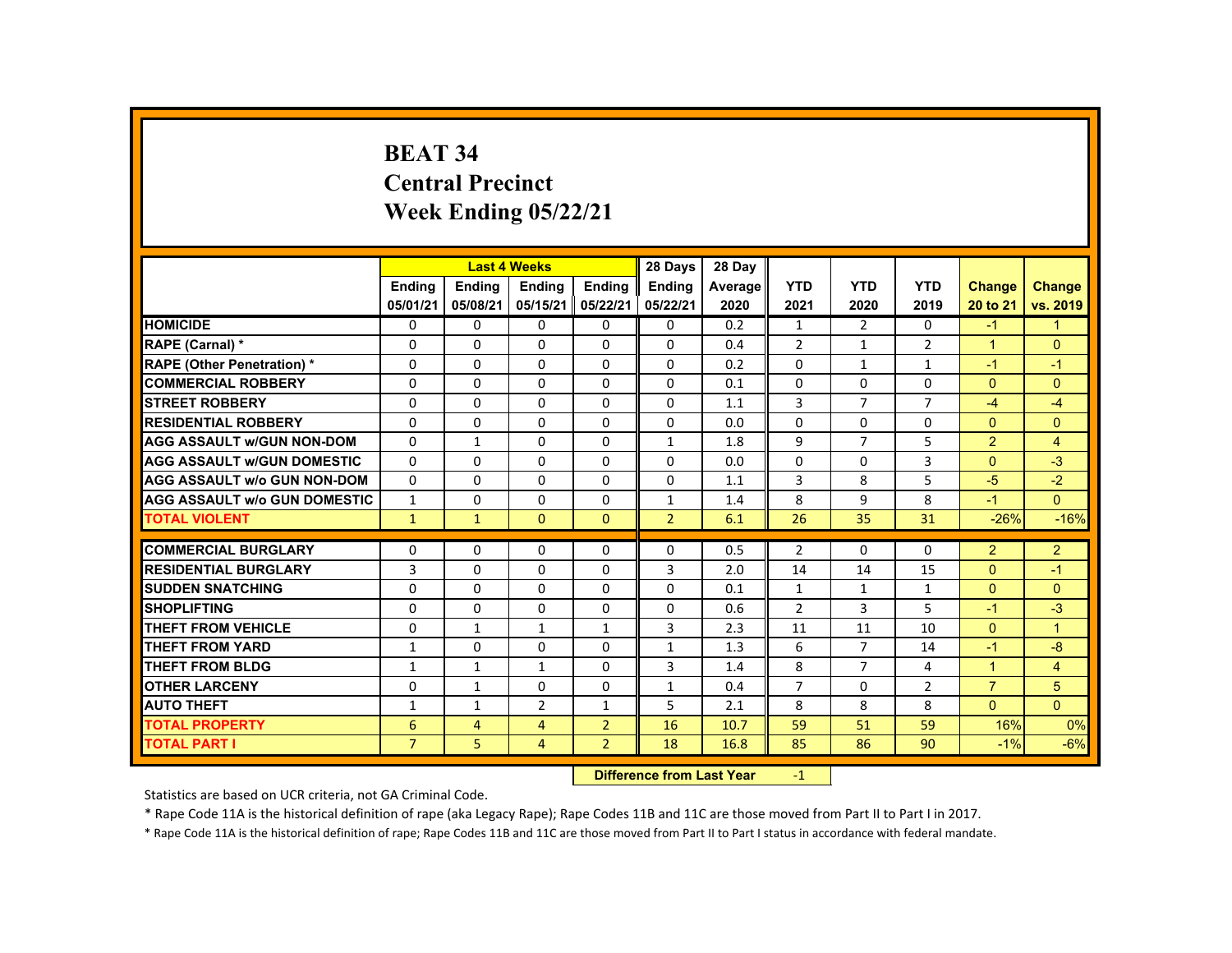# **BEAT 34 Central Precinct Week Ending 05/22/21**

|                                     |                           |                | <b>Last 4 Weeks</b> |                | 28 Days        | 28 Day  |                |                |                |                      |                |
|-------------------------------------|---------------------------|----------------|---------------------|----------------|----------------|---------|----------------|----------------|----------------|----------------------|----------------|
|                                     | <b>Endina</b>             | <b>Endina</b>  | <b>Endina</b>       | <b>Endina</b>  | <b>Endina</b>  | Average | <b>YTD</b>     | <b>YTD</b>     | <b>YTD</b>     | <b>Change</b>        | <b>Change</b>  |
|                                     | 05/01/21                  | 05/08/21       | 05/15/21            | 05/22/21       | 05/22/21       | 2020    | 2021           | 2020           | 2019           | 20 to 21             | vs. 2019       |
| <b>HOMICIDE</b>                     | $\mathbf{0}$              | 0              | $\Omega$            | 0              | 0              | 0.2     | $\mathbf{1}$   | 2              | $\Omega$       | $-1$                 | $\mathbf{1}$   |
| RAPE (Carnal) *                     | 0                         | $\Omega$       | $\Omega$            | $\Omega$       | $\Omega$       | 0.4     | $\overline{2}$ | 1              | $\overline{2}$ | $\blacktriangleleft$ | $\Omega$       |
| <b>RAPE (Other Penetration) *</b>   | $\Omega$                  | $\Omega$       | $\Omega$            | $\Omega$       | $\Omega$       | 0.2     | $\Omega$       | $\mathbf{1}$   | $\mathbf{1}$   | $-1$                 | $-1$           |
| <b>COMMERCIAL ROBBERY</b>           | $\Omega$                  | $\Omega$       | $\Omega$            | $\Omega$       | $\Omega$       | 0.1     | $\Omega$       | $\Omega$       | $\Omega$       | $\Omega$             | $\Omega$       |
| <b>STREET ROBBERY</b>               | $\Omega$                  | $\Omega$       | $\Omega$            | $\Omega$       | $\Omega$       | 1.1     | 3              | $\overline{7}$ | $\overline{7}$ | $-4$                 | $-4$           |
| <b>RESIDENTIAL ROBBERY</b>          | 0                         | 0              | 0                   | 0              | 0              | 0.0     | $\Omega$       | 0              | 0              | $\Omega$             | $\Omega$       |
| <b>AGG ASSAULT w/GUN NON-DOM</b>    | $\Omega$                  | $\mathbf{1}$   | $\Omega$            | $\Omega$       | $\mathbf{1}$   | 1.8     | 9              | $\overline{7}$ | 5              | $\overline{2}$       | $\overline{4}$ |
| <b>AGG ASSAULT W/GUN DOMESTIC</b>   | $\Omega$                  | $\Omega$       | $\Omega$            | $\Omega$       | $\Omega$       | 0.0     | $\Omega$       | $\Omega$       | 3              | $\Omega$             | $-3$           |
| <b>AGG ASSAULT w/o GUN NON-DOM</b>  | $\Omega$                  | $\Omega$       | $\Omega$            | $\Omega$       | $\Omega$       | 1.1     | 3              | 8              | 5              | $-5$                 | $-2$           |
| <b>AGG ASSAULT w/o GUN DOMESTIC</b> | $\mathbf{1}$              | $\Omega$       | 0                   | $\Omega$       | 1              | 1.4     | 8              | 9              | 8              | $-1$                 | $\Omega$       |
| <b>TOTAL VIOLENT</b>                | $\mathbf{1}$              | $\mathbf{1}$   | $\mathbf{0}$        | $\mathbf{0}$   | $\overline{2}$ | 6.1     | 26             | 35             | 31             | $-26%$               | $-16%$         |
| <b>COMMERCIAL BURGLARY</b>          | $\Omega$                  | $\Omega$       | $\Omega$            | $\Omega$       | $\Omega$       | 0.5     | $\overline{2}$ | $\Omega$       | $\Omega$       | 2                    | $\overline{2}$ |
| <b>RESIDENTIAL BURGLARY</b>         | 3                         | $\Omega$       | $\Omega$            | $\Omega$       | 3              | 2.0     | 14             | 14             | 15             | $\Omega$             | $-1$           |
| <b>SUDDEN SNATCHING</b>             | 0                         | 0              | 0                   | 0              | 0              | 0.1     | $\mathbf{1}$   | $\mathbf{1}$   | $\mathbf{1}$   | $\Omega$             | $\Omega$       |
| <b>SHOPLIFTING</b>                  | $\Omega$                  | $\Omega$       | $\Omega$            | $\Omega$       | $\Omega$       | 0.6     | $\overline{2}$ | 3              | 5              | $-1$                 | $-3$           |
| <b>THEFT FROM VEHICLE</b>           | $\Omega$                  | $\mathbf{1}$   | $\mathbf{1}$        | $\mathbf{1}$   | 3              | 2.3     | 11             | 11             | 10             | $\Omega$             | $\mathbf{1}$   |
| <b>THEFT FROM YARD</b>              | $\mathbf{1}$              | $\Omega$       | $\Omega$            | 0              | $\mathbf{1}$   | 1.3     | 6              | $\overline{7}$ | 14             | $-1$                 | $-8$           |
| <b>THEFT FROM BLDG</b>              | $\mathbf{1}$              | $\mathbf{1}$   | $\mathbf{1}$        | $\Omega$       | 3              | 1.4     | 8              | $\overline{7}$ | 4              | $\blacktriangleleft$ | $\overline{4}$ |
| <b>OTHER LARCENY</b>                | 0                         | $\mathbf{1}$   | $\Omega$            | 0              | $\mathbf{1}$   | 0.4     | $\overline{7}$ | 0              | $\overline{2}$ | $\overline{7}$       | 5              |
| <b>AUTO THEFT</b>                   | $\mathbf{1}$              | $\mathbf{1}$   | $\overline{2}$      | $\mathbf{1}$   | 5              | 2.1     | 8              | 8              | 8              | $\mathbf{0}$         | $\Omega$       |
| <b>TOTAL PROPERTY</b>               | 6                         | $\overline{4}$ | $\overline{4}$      | $\overline{2}$ | 16             | 10.7    | 59             | 51             | 59             | 16%                  | 0%             |
| <b>TOTAL PART I</b>                 | $\overline{7}$            | 5              | $\overline{4}$      | $\overline{2}$ | 18             | 16.8    | 85             | 86             | 90             | $-1%$                | $-6%$          |
|                                     | Difference from Last Vear |                |                     |                |                |         | $-1$           |                |                |                      |                |

 **Difference from Last Year**r -1

Statistics are based on UCR criteria, not GA Criminal Code.

\* Rape Code 11A is the historical definition of rape (aka Legacy Rape); Rape Codes 11B and 11C are those moved from Part II to Part I in 2017.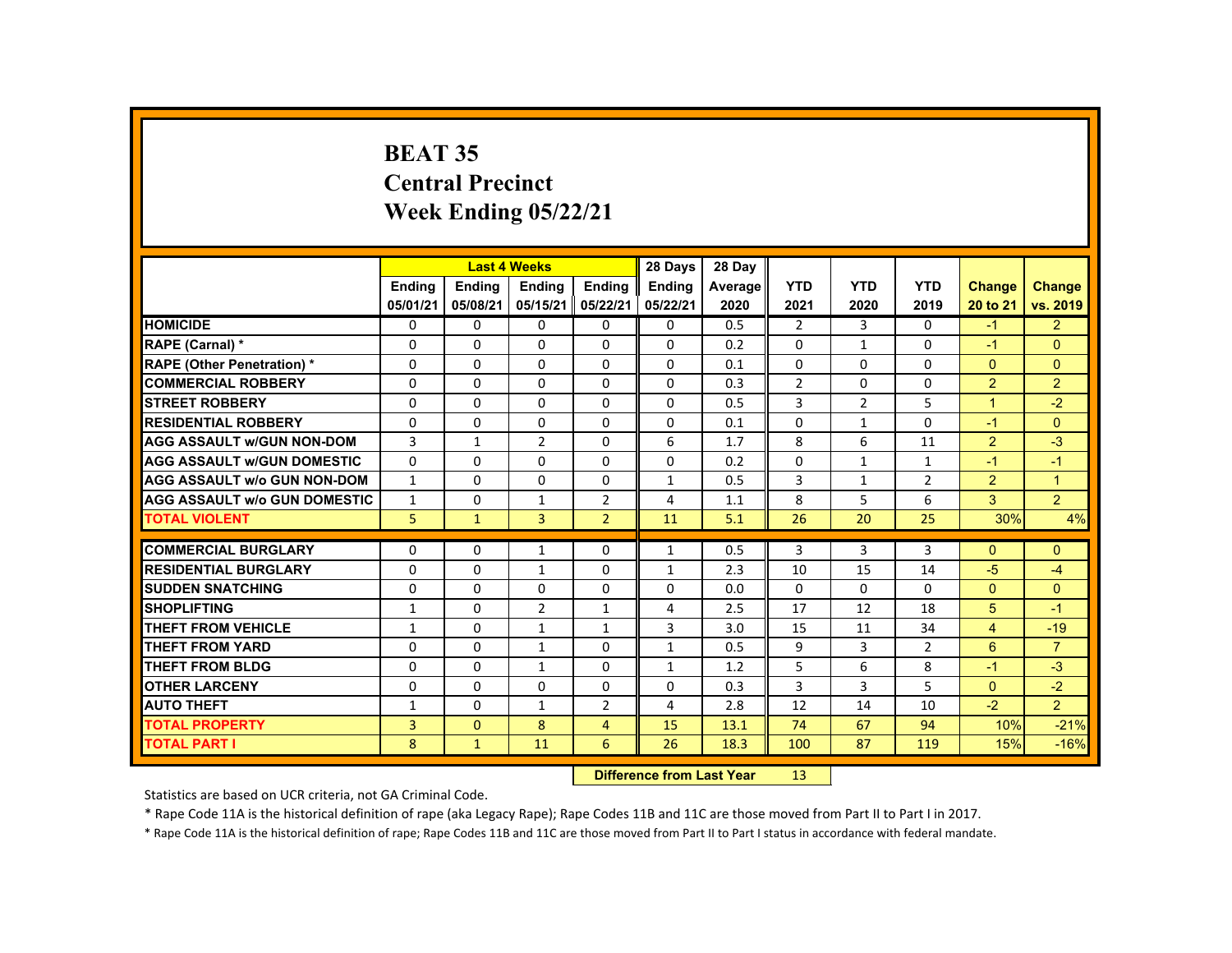# **BEAT 35 Central Precinct Week Ending 05/22/21**

|                                     |               |                                  | <b>Last 4 Weeks</b> |                | 28 Days       | 28 Day  |                |                |                |                |                |
|-------------------------------------|---------------|----------------------------------|---------------------|----------------|---------------|---------|----------------|----------------|----------------|----------------|----------------|
|                                     | <b>Ending</b> | <b>Ending</b>                    | <b>Ending</b>       | <b>Ending</b>  | <b>Ending</b> | Average | <b>YTD</b>     | <b>YTD</b>     | <b>YTD</b>     | <b>Change</b>  | <b>Change</b>  |
|                                     | 05/01/21      | 05/08/21                         | 05/15/21            | 05/22/21       | 05/22/21      | 2020    | 2021           | 2020           | 2019           | 20 to 21       | vs. 2019       |
| <b>HOMICIDE</b>                     | $\mathbf{0}$  | 0                                | 0                   | 0              | 0             | 0.5     | $\overline{2}$ | 3              | 0              | $-1$           | 2 <sup>1</sup> |
| <b>RAPE (Carnal) *</b>              | $\Omega$      | $\Omega$                         | $\Omega$            | $\Omega$       | $\Omega$      | 0.2     | $\Omega$       | $\mathbf{1}$   | $\Omega$       | $-1$           | $\Omega$       |
| <b>RAPE (Other Penetration) *</b>   | 0             | $\Omega$                         | $\Omega$            | 0              | 0             | 0.1     | 0              | $\Omega$       | $\Omega$       | $\Omega$       | $\overline{0}$ |
| <b>COMMERCIAL ROBBERY</b>           | $\Omega$      | $\Omega$                         | $\Omega$            | $\Omega$       | $\Omega$      | 0.3     | $\overline{2}$ | $\Omega$       | $\Omega$       | $\overline{2}$ | $\overline{2}$ |
| <b>STREET ROBBERY</b>               | 0             | 0                                | 0                   | 0              | 0             | 0.5     | 3              | $\overline{2}$ | 5              | $\mathbf{1}$   | $-2$           |
| <b>RESIDENTIAL ROBBERY</b>          | $\Omega$      | 0                                | $\Omega$            | 0              | $\Omega$      | 0.1     | 0              | $\mathbf{1}$   | $\Omega$       | $-1$           | $\Omega$       |
| <b>AGG ASSAULT w/GUN NON-DOM</b>    | 3             | $\mathbf{1}$                     | $\overline{2}$      | $\Omega$       | 6             | 1.7     | 8              | 6              | 11             | 2              | $-3$           |
| <b>AGG ASSAULT W/GUN DOMESTIC</b>   | $\Omega$      | $\Omega$                         | $\Omega$            | $\Omega$       | $\Omega$      | 0.2     | $\Omega$       | $\mathbf{1}$   | $\mathbf{1}$   | $-1$           | $-1$           |
| <b>AGG ASSAULT w/o GUN NON-DOM</b>  | $\mathbf{1}$  | 0                                | $\Omega$            | 0              | 1             | 0.5     | 3              | $\mathbf{1}$   | $\overline{2}$ | $\overline{2}$ | $\mathbf{1}$   |
| <b>AGG ASSAULT w/o GUN DOMESTIC</b> | $\mathbf{1}$  | $\Omega$                         | 1                   | $\overline{2}$ | 4             | 1.1     | 8              | 5              | 6              | $\overline{3}$ | $\overline{2}$ |
| <b>TOTAL VIOLENT</b>                | 5             | $\mathbf{1}$                     | $\overline{3}$      | $\overline{2}$ | 11            | 5.1     | 26             | 20             | 25             | 30%            | 4%             |
| <b>COMMERCIAL BURGLARY</b>          | 0             | 0                                | 1                   | 0              | 1             | 0.5     | 3              | 3              | 3              | $\mathbf{0}$   | $\Omega$       |
| <b>RESIDENTIAL BURGLARY</b>         | $\Omega$      | $\Omega$                         | $\mathbf{1}$        | $\Omega$       | $\mathbf{1}$  | 2.3     | 10             | 15             | 14             | $-5$           | $-4$           |
| <b>SUDDEN SNATCHING</b>             | $\Omega$      | $\Omega$                         | $\Omega$            | $\Omega$       | $\Omega$      | 0.0     | $\Omega$       | $\Omega$       | $\Omega$       | $\Omega$       | $\Omega$       |
| <b>SHOPLIFTING</b>                  | $\mathbf{1}$  | 0                                | $\overline{2}$      | $\mathbf{1}$   | 4             | 2.5     | 17             | 12             | 18             | 5              | $-1$           |
| <b>THEFT FROM VEHICLE</b>           | $\mathbf{1}$  | $\Omega$                         | $\mathbf{1}$        | $\mathbf{1}$   | 3             | 3.0     | 15             | 11             | 34             | $\overline{4}$ | $-19$          |
| <b>THEFT FROM YARD</b>              | $\Omega$      | $\Omega$                         | $\mathbf{1}$        | $\Omega$       | $\mathbf{1}$  | 0.5     | 9              | 3              | $\overline{2}$ | 6              | $\overline{7}$ |
| <b>THEFT FROM BLDG</b>              | $\Omega$      | $\Omega$                         | $\mathbf{1}$        | $\Omega$       | $\mathbf{1}$  | 1.2     | 5              | 6              | 8              | $-1$           | $-3$           |
| <b>OTHER LARCENY</b>                | $\Omega$      | $\Omega$                         | $\Omega$            | $\Omega$       | 0             | 0.3     | 3              | 3              | 5              | $\Omega$       | $-2$           |
| <b>AUTO THEFT</b>                   | $\mathbf{1}$  | $\Omega$                         | $\mathbf{1}$        | $\overline{2}$ | 4             | 2.8     | 12             | 14             | 10             | $-2$           | 2 <sup>1</sup> |
| <b>TOTAL PROPERTY</b>               | 3             | $\mathbf{0}$                     | 8                   | $\overline{4}$ | 15            | 13.1    | 74             | 67             | 94             | 10%            | $-21%$         |
| <b>TOTAL PART I</b>                 | 8             | $\mathbf{1}$                     | 11                  | 6              | 26            | 18.3    | 100            | 87             | 119            | 15%            | $-16%$         |
|                                     |               | <b>Difference from Last Year</b> |                     | 13             |               |         |                |                |                |                |                |

Statistics are based on UCR criteria, not GA Criminal Code.

\* Rape Code 11A is the historical definition of rape (aka Legacy Rape); Rape Codes 11B and 11C are those moved from Part II to Part I in 2017.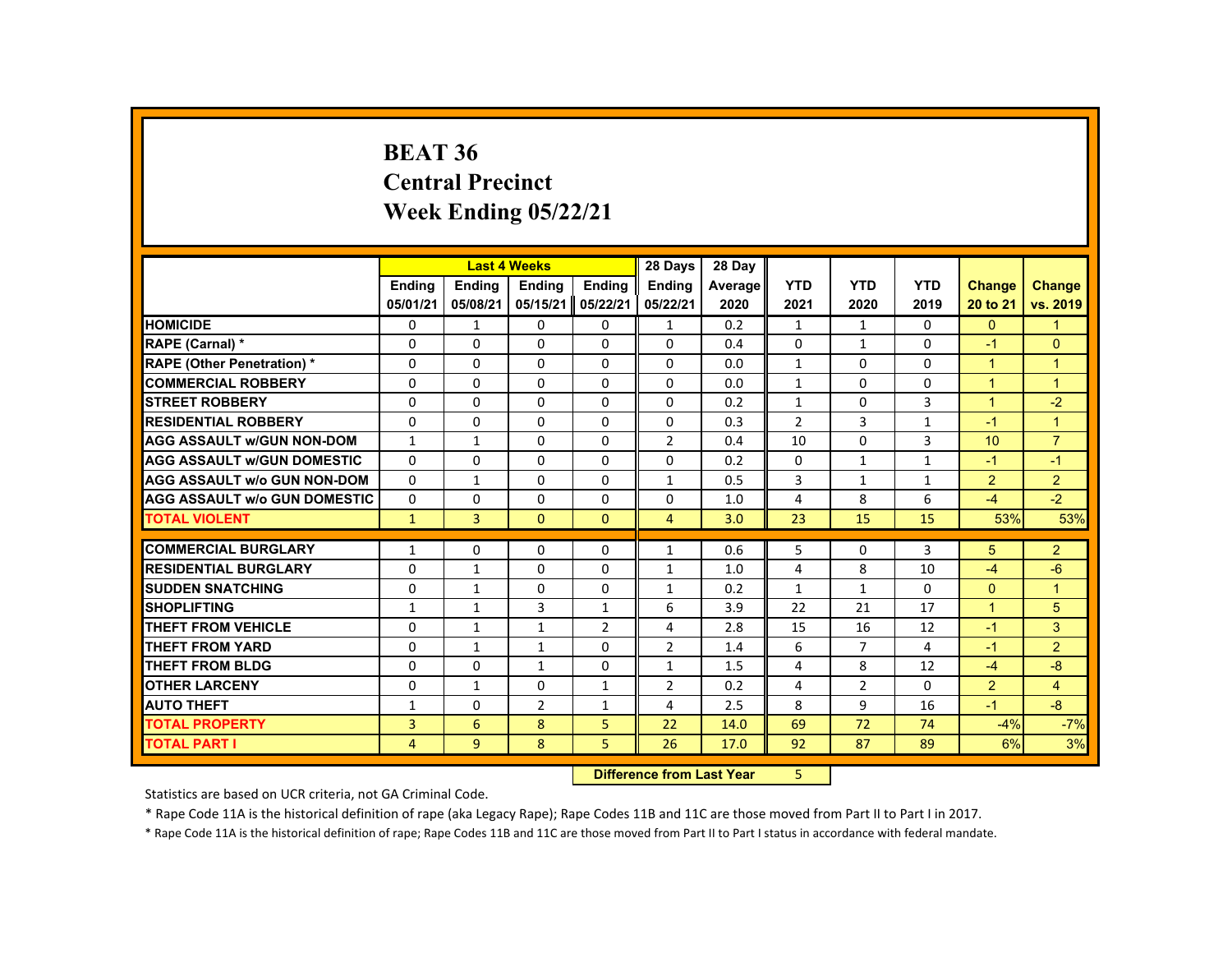#### **BEAT 36 Central PrecinctWeek Ending 05/22/21**

|                                     |                | <b>Last 4 Weeks</b> |                                  |                | 28 Days        | 28 Day  |                |                |              |                |                |
|-------------------------------------|----------------|---------------------|----------------------------------|----------------|----------------|---------|----------------|----------------|--------------|----------------|----------------|
|                                     | <b>Endina</b>  | <b>Endina</b>       | <b>Endina</b>                    | Ending         | <b>Endina</b>  | Average | <b>YTD</b>     | <b>YTD</b>     | <b>YTD</b>   | <b>Change</b>  | <b>Change</b>  |
|                                     | 05/01/21       | 05/08/21            | 05/15/21                         | 05/22/21       | 05/22/21       | 2020    | 2021           | 2020           | 2019         | 20 to 21       | vs. 2019       |
| <b>HOMICIDE</b>                     | 0              | $\mathbf{1}$        | 0                                | 0              | $\mathbf{1}$   | 0.2     | $\mathbf{1}$   | $\mathbf{1}$   | $\Omega$     | $\Omega$       | $\mathbf{1}$   |
| RAPE (Carnal) *                     | 0              | 0                   | 0                                | 0              | 0              | 0.4     | 0              | 1              | 0            | $-1$           | $\mathbf{0}$   |
| <b>RAPE (Other Penetration) *</b>   | $\Omega$       | 0                   | $\Omega$                         | $\Omega$       | $\Omega$       | 0.0     | $\mathbf{1}$   | 0              | $\Omega$     | $\mathbf{1}$   | $\overline{1}$ |
| <b>COMMERCIAL ROBBERY</b>           | $\Omega$       | $\Omega$            | $\Omega$                         | $\Omega$       | $\Omega$       | 0.0     | $\mathbf{1}$   | $\Omega$       | $\Omega$     | $\overline{1}$ | $\overline{1}$ |
| <b>STREET ROBBERY</b>               | $\Omega$       | $\Omega$            | $\Omega$                         | $\Omega$       | $\Omega$       | 0.2     | $\mathbf{1}$   | $\Omega$       | 3            | $\overline{1}$ | $-2$           |
| <b>RESIDENTIAL ROBBERY</b>          | 0              | 0                   | 0                                | 0              | 0              | 0.3     | $\overline{2}$ | 3              | $\mathbf{1}$ | $-1$           | $\mathbf{1}$   |
| <b>AGG ASSAULT w/GUN NON-DOM</b>    | $\mathbf{1}$   | $\mathbf{1}$        | $\Omega$                         | $\Omega$       | $\overline{2}$ | 0.4     | 10             | $\Omega$       | 3            | 10             | $\overline{7}$ |
| <b>AGG ASSAULT W/GUN DOMESTIC</b>   | $\Omega$       | $\Omega$            | $\Omega$                         | $\Omega$       | $\Omega$       | 0.2     | $\Omega$       | $\mathbf{1}$   | $\mathbf{1}$ | $-1$           | $-1$           |
| <b>AGG ASSAULT w/o GUN NON-DOM</b>  | $\Omega$       | $\mathbf{1}$        | 0                                | 0              | $\mathbf{1}$   | 0.5     | 3              | $\mathbf{1}$   | $\mathbf{1}$ | $\overline{2}$ | $\overline{2}$ |
| <b>AGG ASSAULT w/o GUN DOMESTIC</b> | $\Omega$       | 0                   | $\Omega$                         | $\Omega$       | $\Omega$       | 1.0     | $\overline{4}$ | 8              | 6            | $-4$           | $-2$           |
| <b>TOTAL VIOLENT</b>                | $\mathbf{1}$   | 3                   | $\mathbf{0}$                     | $\mathbf{0}$   | $\overline{4}$ | 3.0     | 23             | 15             | 15           | 53%            | 53%            |
| <b>COMMERCIAL BURGLARY</b>          | $\mathbf{1}$   | 0                   | 0                                | 0              | $\mathbf{1}$   | 0.6     | 5              | 0              | 3            | 5              | $\overline{2}$ |
| <b>RESIDENTIAL BURGLARY</b>         | $\Omega$       | $\mathbf{1}$        | $\Omega$                         | $\Omega$       | $\mathbf{1}$   | 1.0     | $\overline{4}$ | 8              | 10           | $-4$           | $-6$           |
| <b>SUDDEN SNATCHING</b>             | $\Omega$       | $\mathbf{1}$        | $\Omega$                         | $\Omega$       | $\mathbf{1}$   | 0.2     | $\mathbf{1}$   | $\mathbf{1}$   | $\Omega$     | $\Omega$       | $\overline{1}$ |
| <b>SHOPLIFTING</b>                  | $\mathbf{1}$   | $\mathbf{1}$        | 3                                | $\mathbf{1}$   | 6              | 3.9     | 22             | 21             | 17           | $\mathbf{1}$   | 5              |
| <b>THEFT FROM VEHICLE</b>           | 0              | $\mathbf{1}$        | $\mathbf{1}$                     | $\overline{2}$ | 4              | 2.8     | 15             | 16             | 12           | $-1$           | 3              |
| <b>THEFT FROM YARD</b>              | 0              | $\mathbf{1}$        | 1                                | 0              | $\overline{2}$ | 1.4     | 6              | $\overline{7}$ | 4            | $-1$           | $\overline{2}$ |
| <b>THEFT FROM BLDG</b>              | $\Omega$       | $\Omega$            | $\mathbf{1}$                     | $\Omega$       | $\mathbf{1}$   | 1.5     | 4              | 8              | 12           | $-4$           | $-8$           |
| <b>OTHER LARCENY</b>                | $\Omega$       | $\mathbf{1}$        | $\Omega$                         | $\mathbf{1}$   | $\overline{2}$ | 0.2     | 4              | $\overline{2}$ | $\Omega$     | $\overline{2}$ | $\overline{4}$ |
| <b>AUTO THEFT</b>                   | 1              | $\Omega$            | $\overline{2}$                   | $\mathbf{1}$   | 4              | 2.5     | 8              | 9              | 16           | $-1$           | $-8$           |
| <b>TOTAL PROPERTY</b>               | 3              | 6                   | 8                                | 5              | 22             | 14.0    | 69             | 72             | 74           | $-4%$          | $-7%$          |
| <b>TOTAL PART I</b>                 | $\overline{4}$ | 9                   | 8                                | 5              | 26             | 17.0    | 92             | 87             | 89           | 6%             | 3%             |
|                                     |                |                     | <b>Difference from Last Year</b> |                | 5              |         |                |                |              |                |                |

**Difference from Last Year** 5

Statistics are based on UCR criteria, not GA Criminal Code.

\* Rape Code 11A is the historical definition of rape (aka Legacy Rape); Rape Codes 11B and 11C are those moved from Part II to Part I in 2017.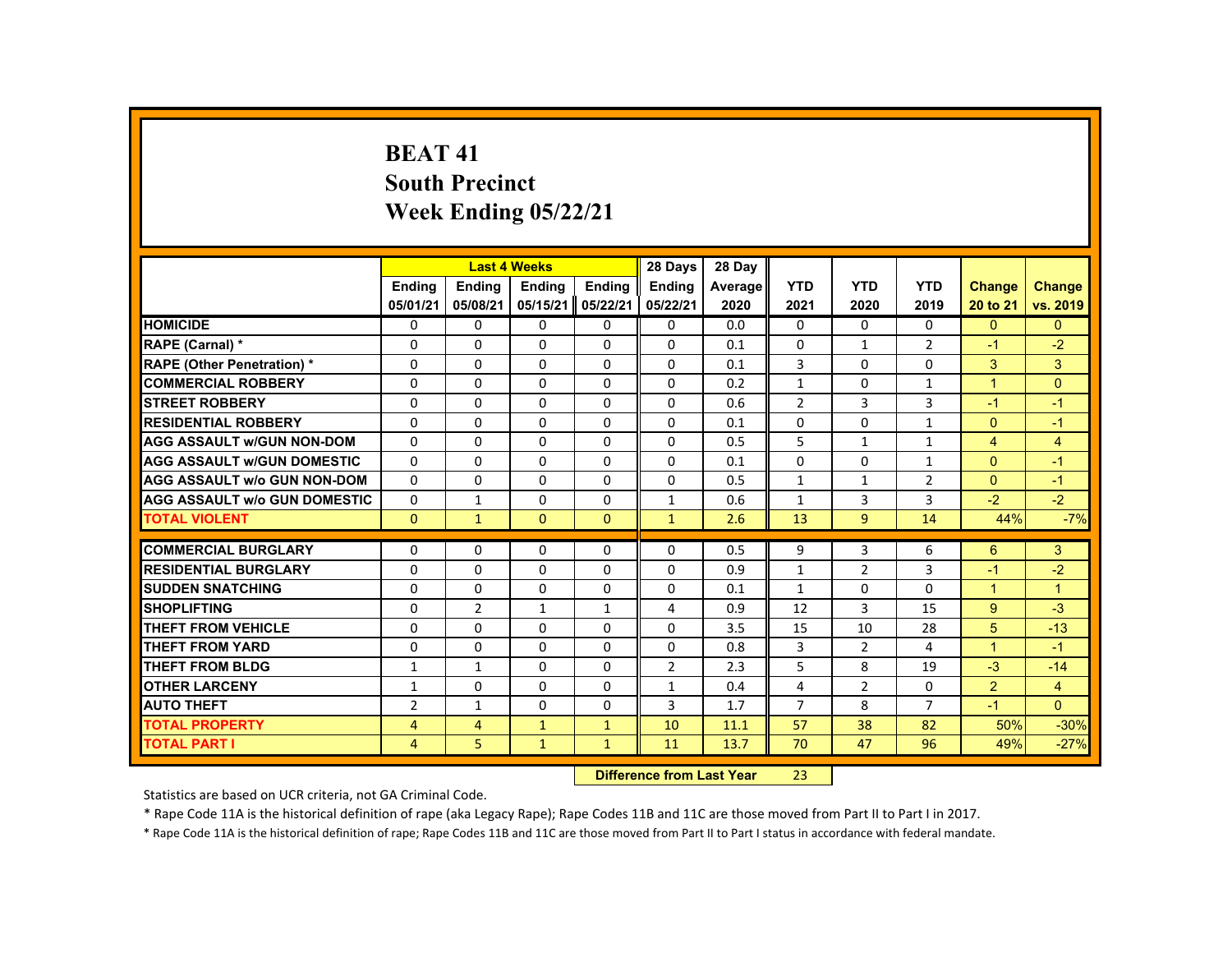# **BEAT 41South Precinct Week Ending 05/22/21**

|                                     |                |                | <b>Last 4 Weeks</b> |              | 28 Days                   | 28 Day  |                |                |                |                |                |
|-------------------------------------|----------------|----------------|---------------------|--------------|---------------------------|---------|----------------|----------------|----------------|----------------|----------------|
|                                     | <b>Ending</b>  | <b>Ending</b>  | <b>Ending</b>       | Ending       | <b>Endina</b>             | Average | <b>YTD</b>     | <b>YTD</b>     | <b>YTD</b>     | <b>Change</b>  | <b>Change</b>  |
|                                     | 05/01/21       | 05/08/21       | 05/15/21            | 05/22/21     | 05/22/21                  | 2020    | 2021           | 2020           | 2019           | 20 to 21       | vs. 2019       |
| <b>HOMICIDE</b>                     | $\Omega$       | $\Omega$       | $\Omega$            | $\Omega$     | 0                         | 0.0     | 0              | $\Omega$       | $\Omega$       | $\Omega$       | $\mathbf{0}$   |
| RAPE (Carnal) *                     | $\Omega$       | $\Omega$       | $\Omega$            | $\Omega$     | $\Omega$                  | 0.1     | $\Omega$       | $\mathbf{1}$   | $\overline{2}$ | $-1$           | $-2$           |
| <b>RAPE (Other Penetration) *</b>   | $\Omega$       | $\Omega$       | $\Omega$            | $\Omega$     | $\Omega$                  | 0.1     | 3              | $\Omega$       | $\Omega$       | 3              | $\mathbf{3}$   |
| <b>COMMERCIAL ROBBERY</b>           | $\mathbf{0}$   | $\Omega$       | $\Omega$            | $\Omega$     | 0                         | 0.2     | $\mathbf{1}$   | 0              | $\mathbf{1}$   | $\overline{1}$ | $\mathbf{0}$   |
| <b>STREET ROBBERY</b>               | $\Omega$       | $\Omega$       | $\Omega$            | $\Omega$     | $\Omega$                  | 0.6     | $\overline{2}$ | 3              | $\overline{3}$ | $-1$           | $-1$           |
| <b>RESIDENTIAL ROBBERY</b>          | $\mathbf{0}$   | $\Omega$       | $\mathbf{0}$        | 0            | 0                         | 0.1     | 0              | 0              | $\mathbf{1}$   | $\mathbf{0}$   | $-1$           |
| <b>AGG ASSAULT W/GUN NON-DOM</b>    | $\mathbf{0}$   | $\Omega$       | $\Omega$            | $\Omega$     | $\Omega$                  | 0.5     | 5              | $\mathbf{1}$   | $\mathbf{1}$   | $\overline{4}$ | $\overline{4}$ |
| <b>AGG ASSAULT W/GUN DOMESTIC</b>   | $\Omega$       | $\Omega$       | $\Omega$            | $\Omega$     | $\Omega$                  | 0.1     | $\Omega$       | $\Omega$       | $\mathbf{1}$   | $\Omega$       | $-1$           |
| <b>AGG ASSAULT w/o GUN NON-DOM</b>  | $\Omega$       | $\Omega$       | $\Omega$            | $\Omega$     | $\Omega$                  | 0.5     | $\mathbf{1}$   | $\mathbf{1}$   | $\overline{2}$ | $\overline{0}$ | $-1$           |
| <b>AGG ASSAULT W/o GUN DOMESTIC</b> | 0              | $\mathbf{1}$   | $\mathbf{0}$        | $\mathbf{0}$ | $\mathbf{1}$              | 0.6     | $\mathbf{1}$   | 3              | 3              | $-2$           | $-2$           |
| <b>TOTAL VIOLENT</b>                | $\mathbf{0}$   | $\mathbf{1}$   | $\mathbf{0}$        | $\mathbf{0}$ | $\mathbf{1}$              | 2.6     | 13             | 9 <sup>°</sup> | 14             | 44%            | $-7%$          |
| <b>COMMERCIAL BURGLARY</b>          | $\Omega$       | $\Omega$       | $\Omega$            | $\Omega$     | $\Omega$                  | 0.5     | 9              | 3              | 6              | 6              | $\mathbf{3}$   |
| <b>RESIDENTIAL BURGLARY</b>         | 0              | $\Omega$       | $\mathbf{0}$        | $\Omega$     | $\Omega$                  | 0.9     | $\mathbf{1}$   | $\overline{2}$ | 3              | $-1$           | $-2$           |
| <b>SUDDEN SNATCHING</b>             | $\Omega$       | $\Omega$       | $\Omega$            | $\Omega$     | $\Omega$                  | 0.1     | $\mathbf{1}$   | $\Omega$       | $\Omega$       | $\mathbf{1}$   | $\mathbf{1}$   |
| <b>SHOPLIFTING</b>                  | $\Omega$       | $\overline{2}$ | $\mathbf{1}$        | $\mathbf{1}$ | 4                         | 0.9     | 12             | $\overline{3}$ | 15             | 9              | $-3$           |
| <b>THEFT FROM VEHICLE</b>           | $\Omega$       | $\Omega$       | $\Omega$            | $\Omega$     | $\Omega$                  | 3.5     | 15             | 10             | 28             | 5              | $-13$          |
| <b>THEFT FROM YARD</b>              | $\Omega$       | $\mathbf{0}$   | $\Omega$            | $\mathbf{0}$ | 0                         | 0.8     | 3              | $\overline{2}$ | 4              | $\mathbf{1}$   | $-1$           |
| <b>THEFT FROM BLDG</b>              | 1              | $\mathbf{1}$   | $\mathbf{0}$        | $\mathbf{0}$ | $\overline{2}$            | 2.3     | 5              | 8              | 19             | $-3$           | $-14$          |
| <b>OTHER LARCENY</b>                | 1              | $\Omega$       | $\Omega$            | $\Omega$     | $\mathbf{1}$              | 0.4     | 4              | $\overline{2}$ | $\Omega$       | $\overline{2}$ | $\overline{4}$ |
| <b>AUTO THEFT</b>                   | $\overline{2}$ | $\mathbf{1}$   | $\Omega$            | $\Omega$     | 3                         | 1.7     | $\overline{7}$ | 8              | $\overline{7}$ | $-1$           | $\Omega$       |
| <b>TOTAL PROPERTY</b>               | $\overline{4}$ | $\overline{4}$ | $\mathbf{1}$        | $\mathbf{1}$ | 10                        | 11.1    | 57             | 38             | 82             | 50%            | $-30%$         |
| <b>TOTAL PART I</b>                 | 4              | 5              | $\mathbf{1}$        | $\mathbf{1}$ | 11                        | 13.7    | 70             | 47             | 96             | 49%            | $-27%$         |
|                                     |                |                |                     |              | Difference from Loot Voor |         | າາ             |                |                |                |                |

 **Difference from Last Year**r 23

Statistics are based on UCR criteria, not GA Criminal Code.

\* Rape Code 11A is the historical definition of rape (aka Legacy Rape); Rape Codes 11B and 11C are those moved from Part II to Part I in 2017.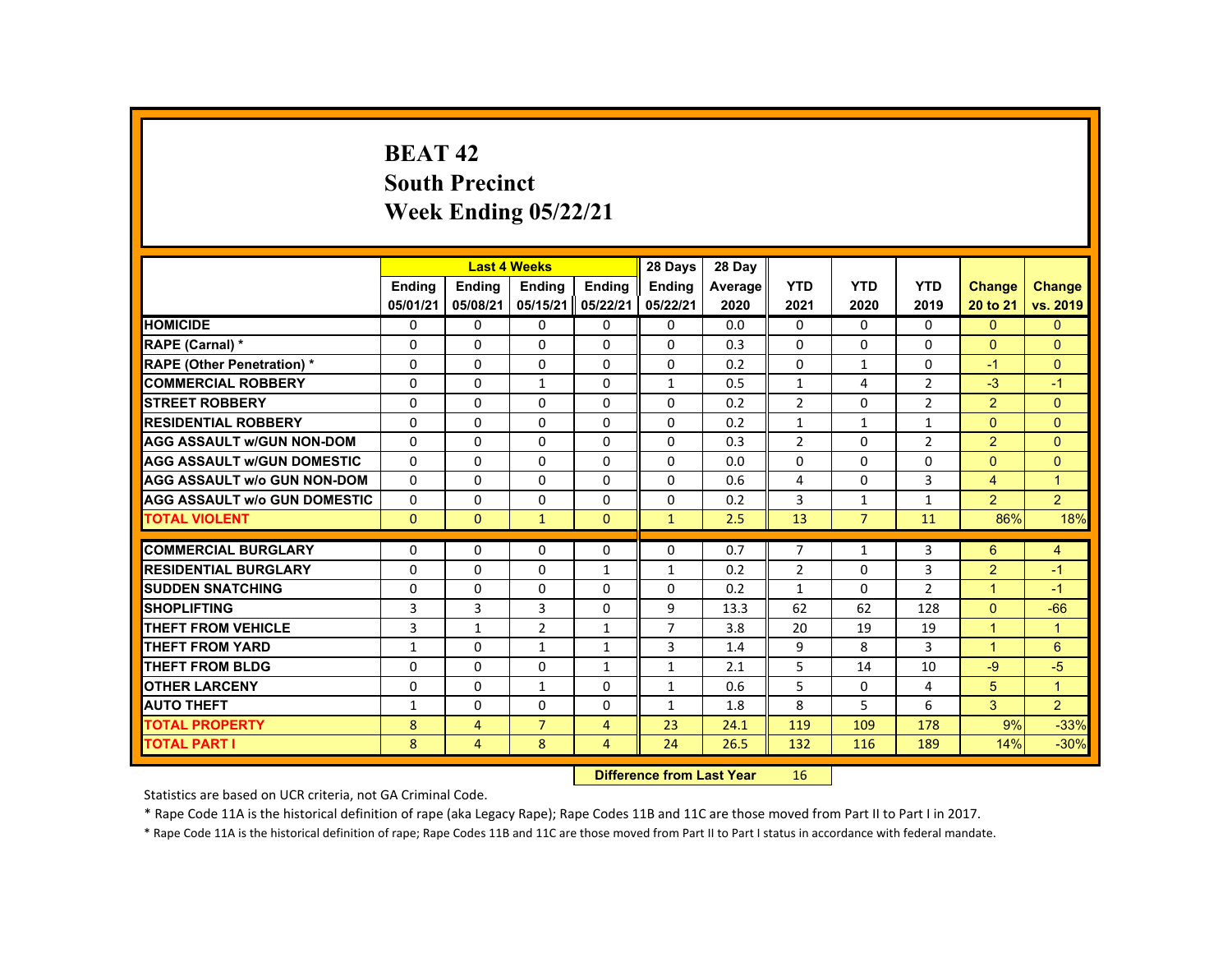# **BEAT 42South Precinct Week Ending 05/22/21**

|                                     |               |                | <b>Last 4 Weeks</b> |                | 28 Days                           | 28 Day  |                |                |                |                |                |
|-------------------------------------|---------------|----------------|---------------------|----------------|-----------------------------------|---------|----------------|----------------|----------------|----------------|----------------|
|                                     | <b>Ending</b> | Ending         | <b>Ending</b>       | <b>Endina</b>  | <b>Endina</b>                     | Average | <b>YTD</b>     | <b>YTD</b>     | <b>YTD</b>     | Change         | <b>Change</b>  |
|                                     | 05/01/21      | 05/08/21       | 05/15/21            | 05/22/21       | 05/22/21                          | 2020    | 2021           | 2020           | 2019           | 20 to 21       | vs. 2019       |
| <b>HOMICIDE</b>                     | $\Omega$      | $\Omega$       | $\Omega$            | $\Omega$       | 0                                 | 0.0     | $\mathbf{0}$   | $\Omega$       | $\Omega$       | $\Omega$       | $\mathbf{0}$   |
| RAPE (Carnal) *                     | $\Omega$      | $\Omega$       | $\Omega$            | $\Omega$       | $\Omega$                          | 0.3     | $\Omega$       | $\Omega$       | $\Omega$       | $\Omega$       | $\Omega$       |
| <b>RAPE (Other Penetration) *</b>   | $\Omega$      | $\Omega$       | $\Omega$            | $\Omega$       | $\Omega$                          | 0.2     | $\Omega$       | $\mathbf{1}$   | $\Omega$       | $-1$           | $\mathbf{0}$   |
| <b>COMMERCIAL ROBBERY</b>           | $\Omega$      | $\Omega$       | $\mathbf{1}$        | $\Omega$       | $\mathbf{1}$                      | 0.5     | $\mathbf{1}$   | 4              | $\overline{2}$ | $-3$           | $-1$           |
| <b>STREET ROBBERY</b>               | $\Omega$      | $\Omega$       | $\Omega$            | $\Omega$       | $\Omega$                          | 0.2     | $\overline{2}$ | $\Omega$       | $\overline{2}$ | $\overline{2}$ | $\Omega$       |
| <b>RESIDENTIAL ROBBERY</b>          | $\Omega$      | $\mathbf{0}$   | 0                   | 0              | 0                                 | 0.2     | $\mathbf{1}$   | $\mathbf{1}$   | $\mathbf{1}$   | $\mathbf{0}$   | $\mathbf{0}$   |
| <b>AGG ASSAULT W/GUN NON-DOM</b>    | $\Omega$      | $\Omega$       | $\Omega$            | $\Omega$       | 0                                 | 0.3     | $\overline{2}$ | $\Omega$       | $\overline{2}$ | $\overline{2}$ | $\Omega$       |
| <b>AGG ASSAULT W/GUN DOMESTIC</b>   | $\Omega$      | $\Omega$       | $\Omega$            | $\Omega$       | $\Omega$                          | 0.0     | $\Omega$       | $\Omega$       | $\Omega$       | $\Omega$       | $\mathbf{0}$   |
| <b>AGG ASSAULT W/o GUN NON-DOM</b>  | $\Omega$      | $\Omega$       | $\Omega$            | $\Omega$       | $\Omega$                          | 0.6     | 4              | $\Omega$       | $\overline{3}$ | $\overline{4}$ | $\overline{1}$ |
| <b>AGG ASSAULT W/o GUN DOMESTIC</b> | $\Omega$      | $\Omega$       | $\Omega$            | $\Omega$       | $\Omega$                          | 0.2     | 3              | $\mathbf{1}$   | $\mathbf{1}$   | $\overline{2}$ | $\overline{2}$ |
| <b>TOTAL VIOLENT</b>                | $\Omega$      | $\mathbf{0}$   | $\mathbf{1}$        | $\Omega$       | $\mathbf{1}$                      | 2.5     | 13             | $\overline{7}$ | 11             | 86%            | 18%            |
| <b>COMMERCIAL BURGLARY</b>          | $\Omega$      | $\Omega$       | $\Omega$            | $\Omega$       | $\Omega$                          | 0.7     | $\overline{7}$ | $\mathbf{1}$   | $\overline{3}$ | 6              | 4              |
| <b>RESIDENTIAL BURGLARY</b>         | $\Omega$      | $\Omega$       | 0                   | $\mathbf{1}$   | $\mathbf{1}$                      | 0.2     | $\overline{2}$ | 0              | 3              | $\overline{2}$ | $-1$           |
| <b>SUDDEN SNATCHING</b>             | $\Omega$      | $\Omega$       | $\Omega$            | $\Omega$       | $\Omega$                          | 0.2     | $\mathbf{1}$   | $\Omega$       | $\overline{2}$ | $\mathbf{1}$   | $-1$           |
| <b>SHOPLIFTING</b>                  | 3             | 3              | $\overline{3}$      | $\Omega$       | 9                                 | 13.3    | 62             | 62             | 128            | $\Omega$       | $-66$          |
| <b>THEFT FROM VEHICLE</b>           | 3             | $\mathbf{1}$   | $\overline{2}$      | $\mathbf{1}$   | $\overline{7}$                    | 3.8     | 20             | 19             | 19             | $\mathbf{1}$   | $\mathbf{1}$   |
| <b>THEFT FROM YARD</b>              | $\mathbf{1}$  | $\Omega$       | $\mathbf{1}$        | $\mathbf{1}$   | $\overline{3}$                    | 1.4     | 9              | 8              | 3              | $\mathbf{1}$   | 6              |
| <b>THEFT FROM BLDG</b>              | 0             | $\Omega$       | $\Omega$            | $\mathbf{1}$   | $\mathbf{1}$                      | 2.1     | 5              | 14             | 10             | $-9$           | $-5$           |
| <b>OTHER LARCENY</b>                | $\Omega$      | $\mathbf{0}$   | $\mathbf{1}$        | $\Omega$       | 1                                 | 0.6     | 5              | 0              | 4              | 5              | $\overline{1}$ |
| <b>AUTO THEFT</b>                   | $\mathbf{1}$  | $\Omega$       | $\Omega$            | $\Omega$       | $\mathbf{1}$                      | 1.8     | 8              | 5              | 6              | 3              | $\overline{2}$ |
| <b>TOTAL PROPERTY</b>               | 8             | $\overline{4}$ | $\overline{7}$      | $\overline{4}$ | 23                                | 24.1    | 119            | 109            | 178            | 9%             | $-33%$         |
| <b>TOTAL PART I</b>                 | 8             | 4              | 8                   | $\overline{4}$ | 24                                | 26.5    | 132            | 116            | 189            | 14%            | $-30%$         |
|                                     |               |                |                     |                | <b>Difference from Least Vanc</b> |         | AC             |                |                |                |                |

 **Difference from Last Year**r 16

Statistics are based on UCR criteria, not GA Criminal Code.

\* Rape Code 11A is the historical definition of rape (aka Legacy Rape); Rape Codes 11B and 11C are those moved from Part II to Part I in 2017.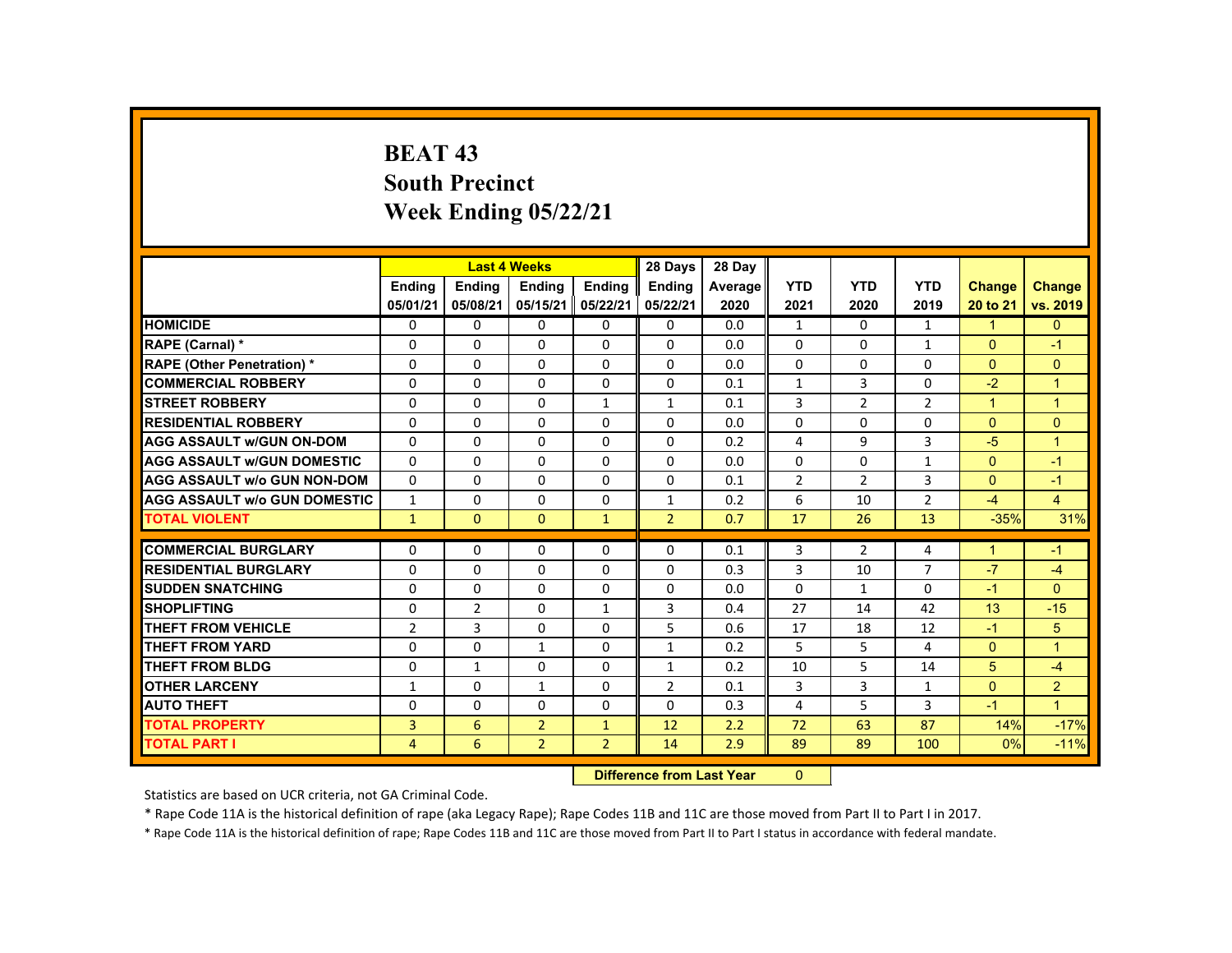## **BEAT 43 South Precinct Week Ending 05/22/21**

|                                     |                           |                | <b>Last 4 Weeks</b> |                | 28 Days        | 28 Day  |                |                |                |                      |                      |
|-------------------------------------|---------------------------|----------------|---------------------|----------------|----------------|---------|----------------|----------------|----------------|----------------------|----------------------|
|                                     | <b>Ending</b>             | <b>Ending</b>  | <b>Ending</b>       | Ending         | <b>Endina</b>  | Average | <b>YTD</b>     | <b>YTD</b>     | <b>YTD</b>     | Change               | <b>Change</b>        |
|                                     | 05/01/21                  | 05/08/21       | 05/15/21            | 05/22/21       | 05/22/21       | 2020    | 2021           | 2020           | 2019           | 20 to 21             | vs. 2019             |
| <b>HOMICIDE</b>                     | $\Omega$                  | $\Omega$       | $\Omega$            | $\Omega$       | 0              | 0.0     | $\mathbf{1}$   | $\Omega$       | $\mathbf{1}$   | $\blacktriangleleft$ | $\mathbf{0}$         |
| RAPE (Carnal) *                     | $\Omega$                  | $\Omega$       | $\Omega$            | $\Omega$       | $\Omega$       | 0.0     | $\Omega$       | $\Omega$       | $\mathbf{1}$   | $\mathbf{0}$         | $-1$                 |
| <b>RAPE (Other Penetration) *</b>   | $\Omega$                  | $\Omega$       | $\Omega$            | $\Omega$       | $\Omega$       | 0.0     | $\Omega$       | $\Omega$       | $\Omega$       | $\Omega$             | $\overline{0}$       |
| <b>COMMERCIAL ROBBERY</b>           | $\mathbf{0}$              | $\Omega$       | $\Omega$            | $\Omega$       | $\Omega$       | 0.1     | $\mathbf{1}$   | 3              | 0              | $-2$                 | $\overline{1}$       |
| <b>STREET ROBBERY</b>               | $\Omega$                  | $\Omega$       | $\Omega$            | $\mathbf{1}$   | $\mathbf{1}$   | 0.1     | 3              | $\overline{2}$ | $\overline{2}$ | $\blacktriangleleft$ | $\mathbf{1}$         |
| <b>RESIDENTIAL ROBBERY</b>          | 0                         | $\Omega$       | $\mathbf{0}$        | 0              | 0              | 0.0     | 0              | 0              | 0              | $\Omega$             | $\mathbf{0}$         |
| <b>AGG ASSAULT w/GUN ON-DOM</b>     | $\Omega$                  | $\Omega$       | $\Omega$            | $\Omega$       | $\Omega$       | 0.2     | 4              | 9              | 3              | $-5$                 | $\blacktriangleleft$ |
| <b>AGG ASSAULT W/GUN DOMESTIC</b>   | $\Omega$                  | $\Omega$       | $\Omega$            | $\Omega$       | $\Omega$       | 0.0     | $\Omega$       | $\Omega$       | $\mathbf{1}$   | $\Omega$             | $-1$                 |
| <b>AGG ASSAULT w/o GUN NON-DOM</b>  | $\Omega$                  | $\Omega$       | $\Omega$            | $\Omega$       | $\Omega$       | 0.1     | $\overline{2}$ | $\overline{2}$ | $\overline{3}$ | $\Omega$             | $-1$                 |
| <b>AGG ASSAULT W/o GUN DOMESTIC</b> | $\mathbf{1}$              | $\Omega$       | $\mathbf{0}$        | $\mathbf{0}$   | $\mathbf{1}$   | 0.2     | 6              | 10             | $\overline{2}$ | $-4$                 | $\overline{4}$       |
| <b>TOTAL VIOLENT</b>                | $\mathbf{1}$              | $\mathbf{0}$   | $\mathbf{0}$        | $\mathbf{1}$   | $\overline{2}$ | 0.7     | 17             | 26             | 13             | $-35%$               | 31%                  |
| <b>COMMERCIAL BURGLARY</b>          | $\Omega$                  | $\Omega$       | $\Omega$            | $\Omega$       | $\Omega$       | 0.1     | 3              | $\overline{2}$ | 4              | $\blacktriangleleft$ | $-1$                 |
| <b>RESIDENTIAL BURGLARY</b>         | 0                         | $\Omega$       | $\mathbf{0}$        | $\Omega$       | 0              | 0.3     | 3              | 10             | 7              | $-7$                 | -4                   |
| <b>SUDDEN SNATCHING</b>             | $\Omega$                  | $\Omega$       | $\Omega$            | $\Omega$       | $\Omega$       | 0.0     | $\Omega$       | $\mathbf{1}$   | $\Omega$       | $-1$                 | $\mathbf{0}$         |
| <b>SHOPLIFTING</b>                  | $\Omega$                  | $\overline{2}$ | $\Omega$            | $\mathbf{1}$   | 3              | 0.4     | 27             | 14             | 42             | 13                   | $-15$                |
| <b>THEFT FROM VEHICLE</b>           | $\overline{2}$            | 3              | $\Omega$            | $\Omega$       | 5              | 0.6     | 17             | 18             | 12             | $-1$                 | 5                    |
| <b>THEFT FROM YARD</b>              | $\Omega$                  | $\Omega$       | $\mathbf{1}$        | 0              | $\mathbf{1}$   | 0.2     | 5              | 5              | 4              | $\Omega$             | $\mathbf{1}$         |
| <b>THEFT FROM BLDG</b>              | $\Omega$                  | $\mathbf{1}$   | $\mathbf{0}$        | $\mathbf{0}$   | $\mathbf{1}$   | 0.2     | 10             | 5              | 14             | 5 <sup>5</sup>       | $-4$                 |
| <b>OTHER LARCENY</b>                | 1                         | $\Omega$       | $\mathbf{1}$        | $\Omega$       | 2              | 0.1     | 3              | 3              | $\mathbf{1}$   | $\Omega$             | $\overline{2}$       |
| <b>AUTO THEFT</b>                   | $\mathbf{0}$              | $\Omega$       | $\Omega$            | $\Omega$       | $\Omega$       | 0.3     | 4              | 5              | 3              | $-1$                 | $\mathbf{1}$         |
| <b>TOTAL PROPERTY</b>               | 3                         | 6              | $\overline{2}$      | $\mathbf{1}$   | 12             | 2.2     | 72             | 63             | 87             | 14%                  | $-17%$               |
| <b>TOTAL PART I</b>                 | $\overline{4}$            | 6              | $\overline{2}$      | $\overline{2}$ | 14             | 2.9     | 89             | 89             | 100            | 0%                   | $-11%$               |
|                                     | Difference from Loot Voor |                |                     |                |                |         | $\sim$         |                |                |                      |                      |

 **Difference from Last Year**r 0

Statistics are based on UCR criteria, not GA Criminal Code.

\* Rape Code 11A is the historical definition of rape (aka Legacy Rape); Rape Codes 11B and 11C are those moved from Part II to Part I in 2017.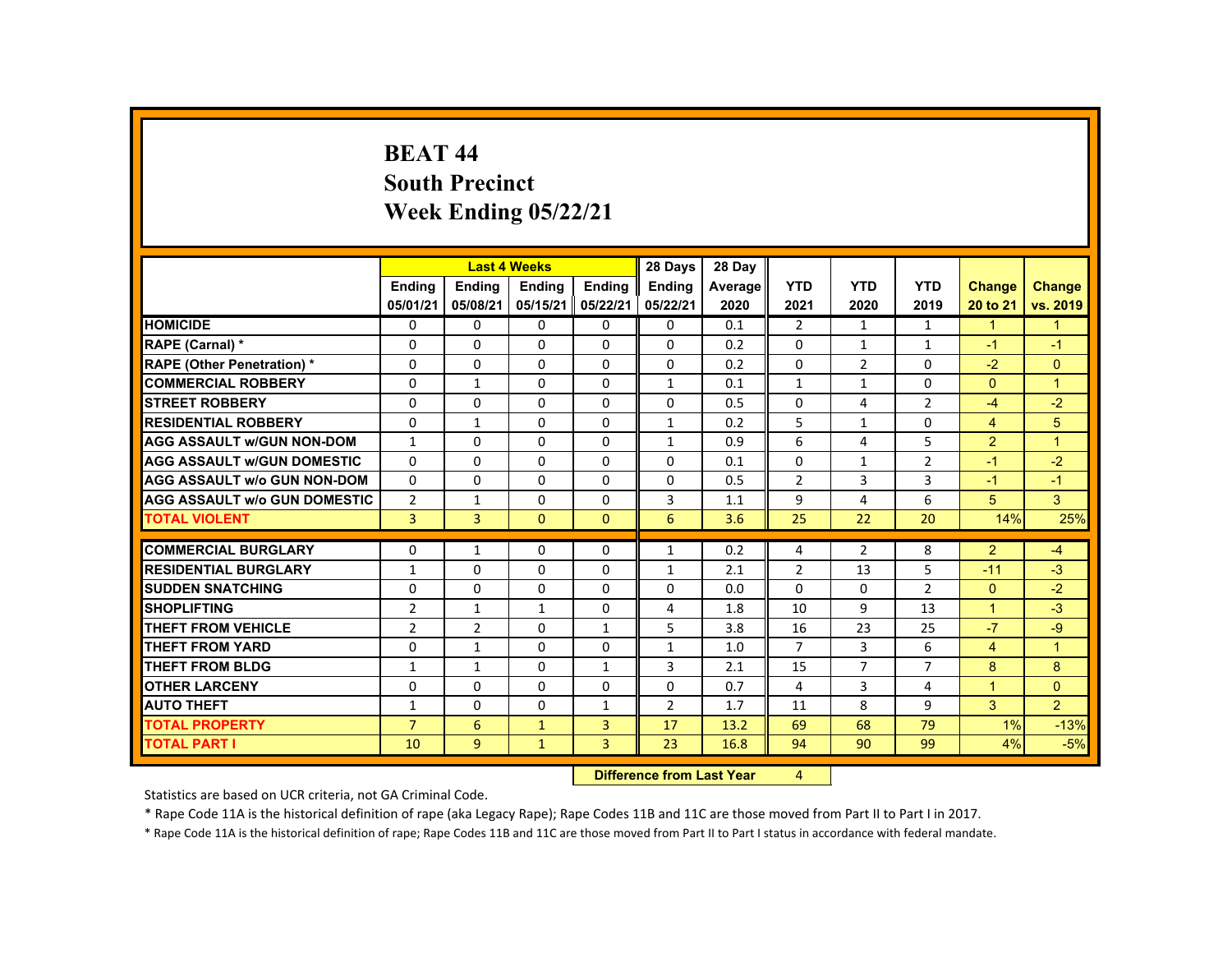#### **BEAT 44 South Precinct Week Ending 05/22/21**

|                                     |                |                | <b>Last 4 Weeks</b> |                | 28 Days        | 28 Day  |                |                |                |                      |                      |
|-------------------------------------|----------------|----------------|---------------------|----------------|----------------|---------|----------------|----------------|----------------|----------------------|----------------------|
|                                     | Ending         | Ending         | Ending              | Ending         | <b>Ending</b>  | Average | <b>YTD</b>     | <b>YTD</b>     | <b>YTD</b>     | <b>Change</b>        | <b>Change</b>        |
|                                     | 05/01/21       | 05/08/21       | 05/15/21            | 05/22/21       | 05/22/21       | 2020    | 2021           | 2020           | 2019           | 20 to 21             | vs. 2019             |
| <b>HOMICIDE</b>                     | $\Omega$       | $\Omega$       | $\Omega$            | $\Omega$       | $\Omega$       | 0.1     | $\overline{2}$ | $\mathbf{1}$   | $\mathbf{1}$   | $\mathbf{1}$         | $\mathbf{1}$         |
| RAPE (Carnal) *                     | $\Omega$       | $\Omega$       | $\Omega$            | $\Omega$       | $\Omega$       | 0.2     | $\Omega$       | $\mathbf{1}$   | $\mathbf{1}$   | $-1$                 | $-1$                 |
| <b>RAPE (Other Penetration) *</b>   | $\Omega$       | $\Omega$       | $\Omega$            | $\Omega$       | $\Omega$       | 0.2     | 0              | $\overline{2}$ | $\Omega$       | $-2$                 | $\mathbf{0}$         |
| <b>COMMERCIAL ROBBERY</b>           | $\Omega$       | $\mathbf{1}$   | $\Omega$            | $\Omega$       | $\mathbf{1}$   | 0.1     | $\mathbf{1}$   | $\mathbf{1}$   | $\Omega$       | $\Omega$             | $\overline{1}$       |
| <b>STREET ROBBERY</b>               | $\Omega$       | $\Omega$       | $\Omega$            | $\Omega$       | $\Omega$       | 0.5     | $\Omega$       | 4              | $\overline{2}$ | $-4$                 | $-2$                 |
| <b>RESIDENTIAL ROBBERY</b>          | $\mathbf{0}$   | $\mathbf{1}$   | $\mathbf{0}$        | 0              | $\mathbf{1}$   | 0.2     | 5              | 1              | 0              | $\overline{4}$       | 5                    |
| <b>AGG ASSAULT W/GUN NON-DOM</b>    | $\mathbf{1}$   | $\Omega$       | $\Omega$            | $\Omega$       | 1              | 0.9     | 6              | 4              | 5              | $\overline{2}$       | $\blacktriangleleft$ |
| <b>AGG ASSAULT W/GUN DOMESTIC</b>   | $\Omega$       | $\Omega$       | $\Omega$            | $\Omega$       | $\Omega$       | 0.1     | $\Omega$       | $\mathbf{1}$   | $\overline{2}$ | $-1$                 | $-2$                 |
| <b>AGG ASSAULT w/o GUN NON-DOM</b>  | $\Omega$       | $\Omega$       | $\Omega$            | $\Omega$       | $\Omega$       | 0.5     | $\overline{2}$ | $\overline{3}$ | $\overline{3}$ | $-1$                 | $-1$                 |
| <b>AGG ASSAULT W/o GUN DOMESTIC</b> | $\overline{2}$ | $\mathbf{1}$   | $\Omega$            | $\Omega$       | 3              | 1.1     | 9              | 4              | 6              | 5                    | 3                    |
| <b>TOTAL VIOLENT</b>                | $\overline{3}$ | $\overline{3}$ | $\Omega$            | $\Omega$       | 6              | 3.6     | 25             | 22             | 20             | 14%                  | 25%                  |
| <b>COMMERCIAL BURGLARY</b>          | $\mathbf{0}$   | $\mathbf{1}$   | $\Omega$            | $\Omega$       | $\mathbf{1}$   | 0.2     | 4              | $\overline{2}$ | 8              | $\overline{2}$       | $-4$                 |
| <b>RESIDENTIAL BURGLARY</b>         | $\mathbf{1}$   | $\Omega$       | $\Omega$            | $\Omega$       | $\mathbf{1}$   | 2.1     | $\overline{2}$ | 13             | 5              | $-11$                | $-3$                 |
| <b>SUDDEN SNATCHING</b>             | $\mathbf{0}$   | $\Omega$       | $\Omega$            | $\Omega$       | $\Omega$       | 0.0     | $\Omega$       | $\Omega$       | $\overline{2}$ | $\mathbf{0}$         | $-2$                 |
| <b>SHOPLIFTING</b>                  | $\overline{2}$ | $\mathbf{1}$   | $\mathbf{1}$        | $\Omega$       | 4              | 1.8     | 10             | 9              | 13             | $\overline{1}$       | $-3$                 |
| <b>THEFT FROM VEHICLE</b>           | $\overline{2}$ | $\overline{2}$ | $\Omega$            | $\mathbf{1}$   | 5              | 3.8     | 16             | 23             | 25             | $-7$                 | $-9$                 |
| <b>THEFT FROM YARD</b>              | $\Omega$       | $\mathbf{1}$   | $\Omega$            | $\Omega$       | $\mathbf{1}$   | 1.0     | $\overline{7}$ | $\overline{3}$ | 6              | $\overline{4}$       | $\blacktriangleleft$ |
| <b>THEFT FROM BLDG</b>              | $\mathbf{1}$   | $\mathbf{1}$   | $\mathbf{0}$        | $\mathbf{1}$   | 3              | 2.1     | 15             | $\overline{7}$ | $\overline{7}$ | 8                    | 8                    |
| <b>OTHER LARCENY</b>                | $\Omega$       | $\Omega$       | $\Omega$            | $\Omega$       | $\Omega$       | 0.7     | 4              | $\overline{3}$ | 4              | $\blacktriangleleft$ | $\Omega$             |
| <b>AUTO THEFT</b>                   | $\mathbf{1}$   | $\Omega$       | $\Omega$            | $\mathbf{1}$   | $\overline{2}$ | 1.7     | 11             | 8              | 9              | 3                    | $\overline{2}$       |
| <b>TOTAL PROPERTY</b>               | $\overline{7}$ | 6              | $\mathbf{1}$        | $\overline{3}$ | 17             | 13.2    | 69             | 68             | 79             | 1%                   | $-13%$               |
| <b>TOTAL PART I</b>                 | 10             | 9              | $\mathbf{1}$        | 3              | 23             | 16.8    | 94             | 90             | 99             | 4%                   | $-5%$                |
|                                     |                |                |                     |                |                |         |                |                |                |                      |                      |

**12 Difference from Last Year 4** 

Statistics are based on UCR criteria, not GA Criminal Code.

\* Rape Code 11A is the historical definition of rape (aka Legacy Rape); Rape Codes 11B and 11C are those moved from Part II to Part I in 2017.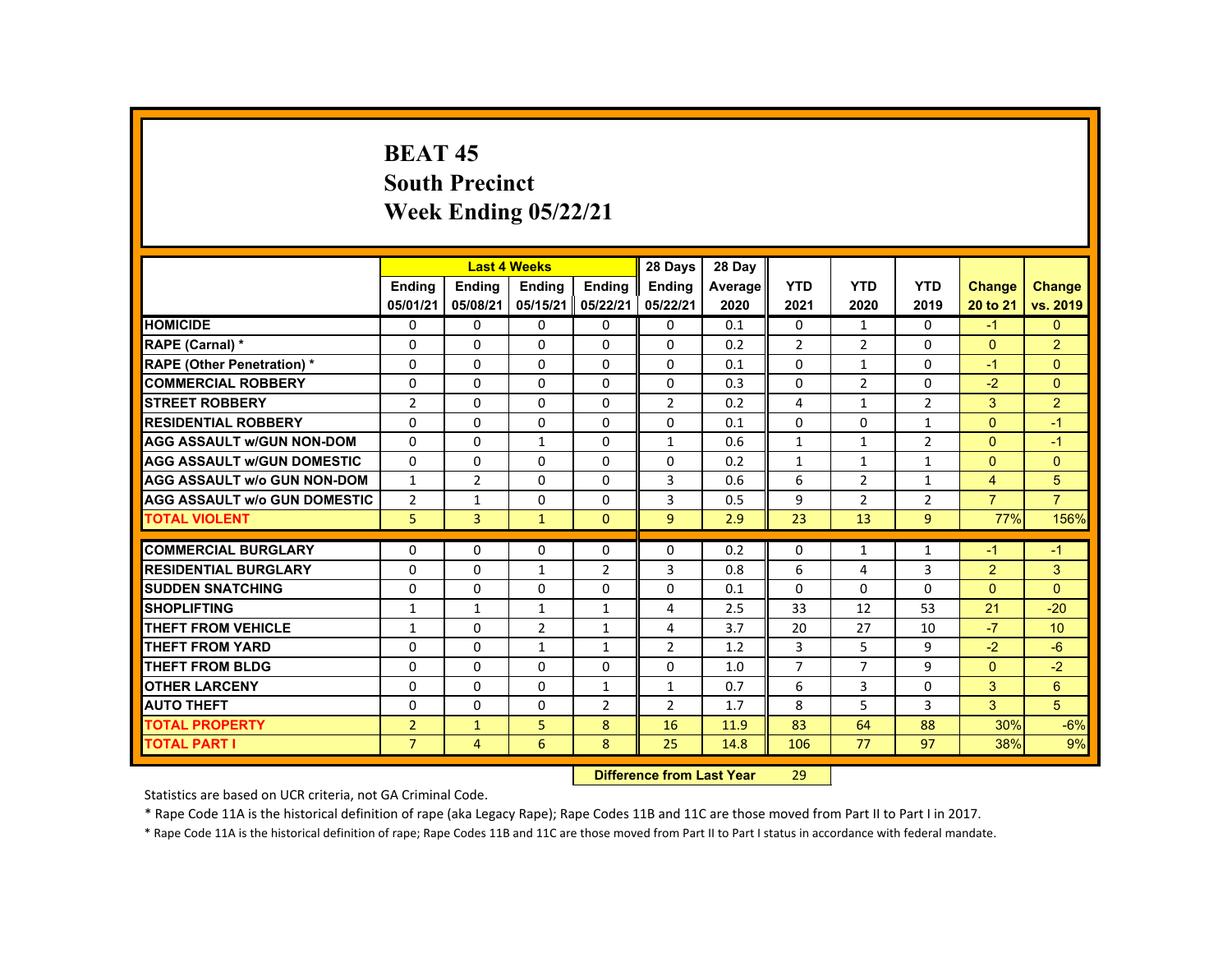### **BEAT 45 South Precinct Week Ending 05/22/21**

|                                     |                |                           | <b>Last 4 Weeks</b> |                | 28 Days        | 28 Day  |                |                |                |                |                |
|-------------------------------------|----------------|---------------------------|---------------------|----------------|----------------|---------|----------------|----------------|----------------|----------------|----------------|
|                                     | <b>Endina</b>  | <b>Ending</b>             | <b>Ending</b>       | <b>Ending</b>  | <b>Endina</b>  | Average | <b>YTD</b>     | <b>YTD</b>     | <b>YTD</b>     | <b>Change</b>  | <b>Change</b>  |
|                                     | 05/01/21       | 05/08/21                  | 05/15/21            | 05/22/21       | 05/22/21       | 2020    | 2021           | 2020           | 2019           | 20 to 21       | vs. 2019       |
| <b>HOMICIDE</b>                     | 0              | $\Omega$                  | $\Omega$            | $\Omega$       | $\Omega$       | 0.1     | 0              | $\mathbf{1}$   | 0              | $-1$           | $\mathbf{0}$   |
| RAPE (Carnal) *                     | $\Omega$       | $\Omega$                  | $\Omega$            | $\Omega$       | $\Omega$       | 0.2     | $\overline{2}$ | $\overline{2}$ | $\Omega$       | $\mathbf{0}$   | $\overline{2}$ |
| <b>RAPE (Other Penetration) *</b>   | $\mathbf{0}$   | $\Omega$                  | $\Omega$            | $\Omega$       | $\Omega$       | 0.1     | $\Omega$       | $\mathbf{1}$   | $\Omega$       | $-1$           | $\Omega$       |
| <b>COMMERCIAL ROBBERY</b>           | $\mathbf{0}$   | $\Omega$                  | $\Omega$            | $\Omega$       | $\Omega$       | 0.3     | $\Omega$       | $\overline{2}$ | $\Omega$       | $-2$           | $\Omega$       |
| <b>STREET ROBBERY</b>               | $\overline{2}$ | $\Omega$                  | $\Omega$            | $\Omega$       | $\overline{2}$ | 0.2     | 4              | $\mathbf{1}$   | $\overline{2}$ | 3              | $\overline{2}$ |
| <b>RESIDENTIAL ROBBERY</b>          | $\mathbf{0}$   | $\mathbf{0}$              | $\Omega$            | $\mathbf{0}$   | $\Omega$       | 0.1     | $\Omega$       | $\Omega$       | $\mathbf{1}$   | $\mathbf{0}$   | $-1$           |
| <b>AGG ASSAULT W/GUN NON-DOM</b>    | $\mathbf{0}$   | $\Omega$                  | $\mathbf{1}$        | $\Omega$       | $\mathbf{1}$   | 0.6     | $\mathbf{1}$   | $\mathbf{1}$   | $\overline{2}$ | $\Omega$       | $-1$           |
| <b>AGG ASSAULT W/GUN DOMESTIC</b>   | $\Omega$       | $\Omega$                  | $\Omega$            | $\Omega$       | $\Omega$       | 0.2     | $\mathbf{1}$   | $\mathbf{1}$   | $\mathbf{1}$   | $\Omega$       | $\overline{0}$ |
| <b>AGG ASSAULT w/o GUN NON-DOM</b>  | $\mathbf{1}$   | $\overline{2}$            | $\Omega$            | $\Omega$       | 3              | 0.6     | 6              | $\overline{2}$ | $\mathbf{1}$   | $\overline{4}$ | 5              |
| <b>AGG ASSAULT w/o GUN DOMESTIC</b> | $\overline{2}$ | $\mathbf{1}$              | $\mathbf{0}$        | $\Omega$       | 3              | 0.5     | 9              | $\overline{2}$ | $\overline{2}$ | $\overline{7}$ | $\overline{7}$ |
| <b>TOTAL VIOLENT</b>                | 5              | $\overline{3}$            | $\mathbf{1}$        | $\mathbf{0}$   | $\overline{9}$ | 2.9     | 23             | 13             | 9 <sup>°</sup> | 77%            | 156%           |
| <b>COMMERCIAL BURGLARY</b>          | $\Omega$       | $\Omega$                  | $\Omega$            | $\Omega$       | $\Omega$       | 0.2     | $\Omega$       | $\mathbf{1}$   | $\mathbf{1}$   | $-1$           | $-1$           |
| <b>RESIDENTIAL BURGLARY</b>         | $\Omega$       | $\Omega$                  | $\mathbf{1}$        | $\overline{2}$ | 3              | 0.8     | 6              | 4              | $\overline{3}$ | $\overline{2}$ | 3              |
| <b>SUDDEN SNATCHING</b>             | $\Omega$       | $\Omega$                  | $\Omega$            | $\Omega$       | $\Omega$       | 0.1     | $\Omega$       | $\Omega$       | $\Omega$       | $\Omega$       | $\Omega$       |
| <b>SHOPLIFTING</b>                  | $\mathbf{1}$   | $\mathbf{1}$              | $\mathbf{1}$        | $\mathbf{1}$   | 4              | 2.5     | 33             | 12             | 53             | 21             | $-20$          |
| THEFT FROM VEHICLE                  | $\mathbf{1}$   | $\Omega$                  | $\overline{2}$      | $\mathbf{1}$   | 4              | 3.7     | 20             | 27             | 10             | $-7$           | 10             |
| <b>THEFT FROM YARD</b>              | $\Omega$       | $\Omega$                  | $\mathbf{1}$        | $\mathbf{1}$   | $\overline{2}$ | 1.2     | 3              | 5              | 9              | $-2$           | $-6$           |
| <b>THEFT FROM BLDG</b>              | $\Omega$       | $\Omega$                  | $\Omega$            | $\Omega$       | $\Omega$       | 1.0     | $\overline{7}$ | $\overline{7}$ | 9              | $\Omega$       | $-2$           |
| <b>OTHER LARCENY</b>                | $\Omega$       | $\Omega$                  | $\Omega$            | $\mathbf{1}$   | $\mathbf{1}$   | 0.7     | 6              | 3              | $\Omega$       | 3              | $6^{\circ}$    |
| <b>AUTO THEFT</b>                   | $\Omega$       | $\Omega$                  | $\Omega$            | $\overline{2}$ | $\overline{2}$ | 1.7     | 8              | 5              | 3              | $\overline{3}$ | 5 <sup>5</sup> |
| <b>TOTAL PROPERTY</b>               | $\overline{2}$ | $\mathbf{1}$              | 5                   | 8              | 16             | 11.9    | 83             | 64             | 88             | 30%            | $-6%$          |
| <b>TOTAL PART I</b>                 | $\overline{7}$ | $\overline{4}$            | 6                   | 8              | 25             | 14.8    | 106            | 77             | 97             | 38%            | 9%             |
|                                     |                | Difference from Last Voar |                     | 20             |                |         |                |                |                |                |                |

 **Difference from Last Year**r 29

Statistics are based on UCR criteria, not GA Criminal Code.

\* Rape Code 11A is the historical definition of rape (aka Legacy Rape); Rape Codes 11B and 11C are those moved from Part II to Part I in 2017.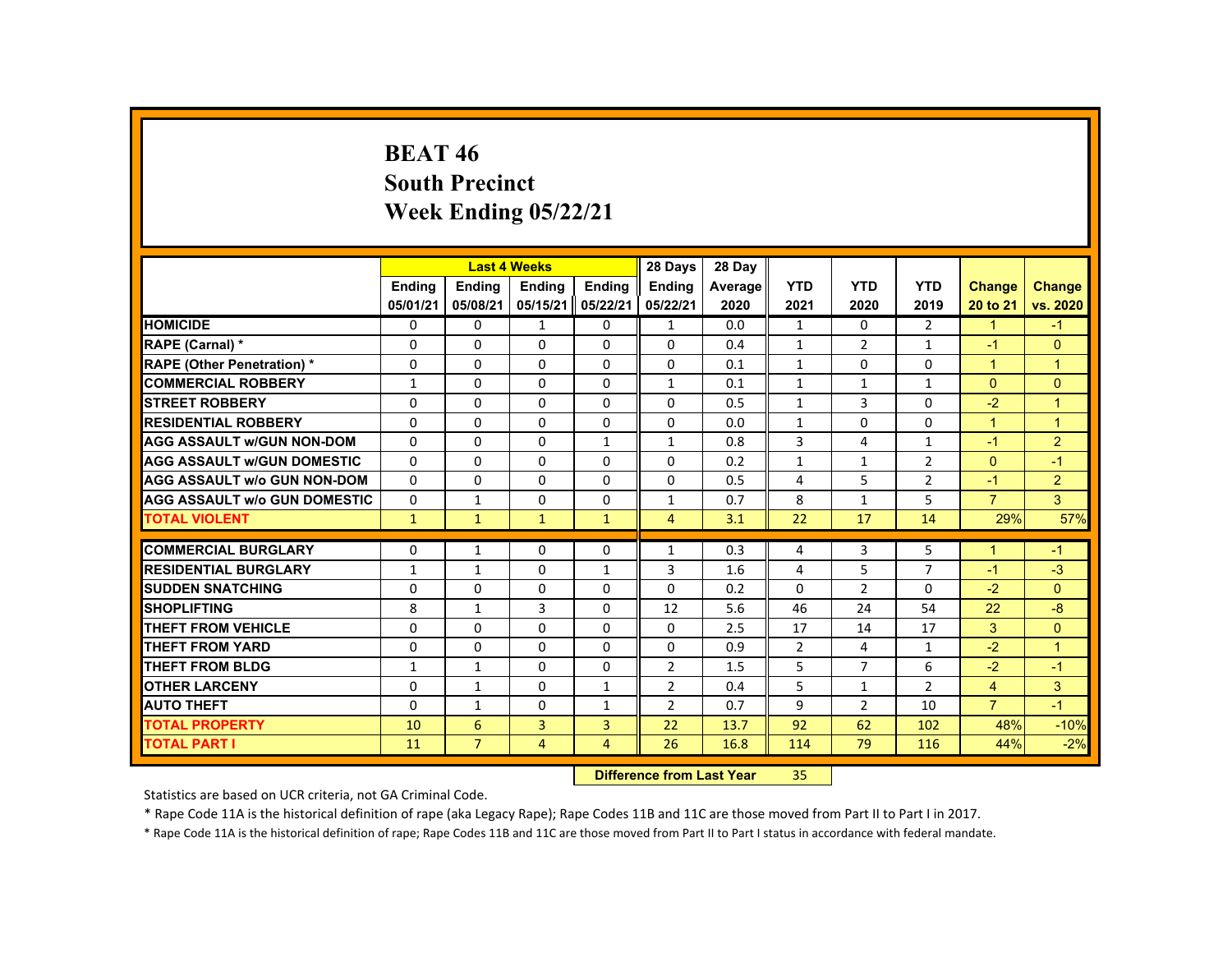# **BEAT 46 South Precinct Week Ending 05/22/21**

|                                     |               |                | <b>Last 4 Weeks</b> |                | 28 Days                           | 28 Day  |                |                |                |                |                |
|-------------------------------------|---------------|----------------|---------------------|----------------|-----------------------------------|---------|----------------|----------------|----------------|----------------|----------------|
|                                     | <b>Ending</b> | <b>Ending</b>  | <b>Endina</b>       | <b>Endina</b>  | <b>Endina</b>                     | Average | <b>YTD</b>     | <b>YTD</b>     | <b>YTD</b>     | Change         | <b>Change</b>  |
|                                     | 05/01/21      | 05/08/21       | 05/15/21            | 05/22/21       | 05/22/21                          | 2020    | 2021           | 2020           | 2019           | 20 to 21       | vs. 2020       |
| <b>HOMICIDE</b>                     | 0             | $\mathbf{0}$   | $\mathbf{1}$        | 0              | 1                                 | 0.0     | $\mathbf{1}$   | 0              | $\overline{2}$ | $\mathbf{1}$   | $-1$           |
| <b>RAPE (Carnal) *</b>              | $\Omega$      | $\Omega$       | $\Omega$            | $\Omega$       | $\Omega$                          | 0.4     | $\mathbf{1}$   | $\overline{2}$ | $\mathbf{1}$   | $-1$           | $\Omega$       |
| <b>RAPE (Other Penetration) *</b>   | 0             | 0              | $\Omega$            | 0              | 0                                 | 0.1     | $\mathbf{1}$   | 0              | 0              | $\mathbf{1}$   | $\mathbf{1}$   |
| <b>COMMERCIAL ROBBERY</b>           | $\mathbf{1}$  | $\Omega$       | $\Omega$            | $\Omega$       | $\mathbf{1}$                      | 0.1     | $\mathbf{1}$   | $\mathbf{1}$   | $\mathbf{1}$   | $\Omega$       | $\Omega$       |
| <b>STREET ROBBERY</b>               | $\Omega$      | $\Omega$       | $\Omega$            | $\Omega$       | $\Omega$                          | 0.5     | $\mathbf{1}$   | 3              | $\Omega$       | $-2$           | $\overline{1}$ |
| <b>RESIDENTIAL ROBBERY</b>          | $\Omega$      | $\mathbf{0}$   | $\Omega$            | 0              | 0                                 | 0.0     | $\mathbf{1}$   | 0              | $\Omega$       | $\mathbf{1}$   | $\mathbf{1}$   |
| <b>AGG ASSAULT W/GUN NON-DOM</b>    | $\Omega$      | $\Omega$       | $\Omega$            | $\mathbf{1}$   | $\mathbf{1}$                      | 0.8     | 3              | 4              | $\mathbf{1}$   | $-1$           | $\overline{2}$ |
| <b>AGG ASSAULT W/GUN DOMESTIC</b>   | $\Omega$      | $\Omega$       | $\Omega$            | $\Omega$       | $\Omega$                          | 0.2     | $\mathbf{1}$   | $\mathbf{1}$   | $\overline{2}$ | $\overline{0}$ | $-1$           |
| <b>AGG ASSAULT w/o GUN NON-DOM</b>  | $\Omega$      | $\Omega$       | $\Omega$            | $\Omega$       | $\Omega$                          | 0.5     | 4              | 5              | $\overline{2}$ | $-1$           | $\overline{2}$ |
| <b>AGG ASSAULT W/o GUN DOMESTIC</b> | 0             | 1              | 0                   | 0              | $\mathbf{1}$                      | 0.7     | 8              | $\mathbf{1}$   | 5              | $\overline{7}$ | 3              |
| <b>TOTAL VIOLENT</b>                | $\mathbf{1}$  | $\mathbf{1}$   | $\mathbf{1}$        | $\mathbf{1}$   | $\overline{4}$                    | 3.1     | 22             | 17             | 14             | 29%            | 57%            |
| <b>COMMERCIAL BURGLARY</b>          | $\mathbf{0}$  | $\mathbf{1}$   | 0                   | $\Omega$       | $\mathbf{1}$                      | 0.3     | 4              | 3              | 5              | $\overline{1}$ | $-1$           |
| <b>RESIDENTIAL BURGLARY</b>         | $\mathbf{1}$  | $\mathbf{1}$   | $\Omega$            | 1              | 3                                 | 1.6     | 4              | 5              | $\overline{7}$ | $-1$           | $-3$           |
| <b>SUDDEN SNATCHING</b>             | $\Omega$      | $\Omega$       | $\Omega$            | $\Omega$       | $\Omega$                          | 0.2     | $\Omega$       | $\overline{2}$ | 0              | $-2$           | $\Omega$       |
| <b>SHOPLIFTING</b>                  | 8             | $\mathbf{1}$   | 3                   | $\Omega$       | 12                                | 5.6     | 46             | 24             | 54             | 22             | $-8$           |
| <b>THEFT FROM VEHICLE</b>           | $\Omega$      | $\Omega$       | $\Omega$            | $\Omega$       | $\Omega$                          | 2.5     | 17             | 14             | 17             | 3              | $\overline{0}$ |
| <b>THEFT FROM YARD</b>              | $\Omega$      | $\Omega$       | $\Omega$            | $\Omega$       | $\Omega$                          | 0.9     | $\overline{2}$ | 4              | $\mathbf{1}$   | $-2$           | $\mathbf{1}$   |
| THEFT FROM BLDG                     | $\mathbf{1}$  | $\mathbf{1}$   | $\Omega$            | $\Omega$       | $\overline{2}$                    | 1.5     | 5              | $\overline{7}$ | 6              | $-2$           | $-1$           |
| <b>OTHER LARCENY</b>                | $\Omega$      | $\mathbf{1}$   | $\Omega$            | $\mathbf{1}$   | $\overline{2}$                    | 0.4     | 5              | $\mathbf{1}$   | $\overline{2}$ | $\overline{4}$ | 3              |
| <b>AUTO THEFT</b>                   | $\Omega$      | $\mathbf{1}$   | $\Omega$            | $\mathbf{1}$   | $\overline{2}$                    | 0.7     | 9              | $\overline{2}$ | 10             | $\overline{7}$ | $-1$           |
| <b>TOTAL PROPERTY</b>               | 10            | 6              | $\overline{3}$      | $\overline{3}$ | 22                                | 13.7    | 92             | 62             | 102            | 48%            | $-10%$         |
| <b>TOTAL PART I</b>                 | 11            | $\overline{7}$ | $\overline{4}$      | $\overline{4}$ | 26                                | 16.8    | 114            | 79             | 116            | 44%            | $-2%$          |
|                                     |               |                |                     |                | <b>Difference from Least Vanc</b> |         | or.            |                |                |                |                |

 **Difference from Last Year**r 35

Statistics are based on UCR criteria, not GA Criminal Code.

\* Rape Code 11A is the historical definition of rape (aka Legacy Rape); Rape Codes 11B and 11C are those moved from Part II to Part I in 2017.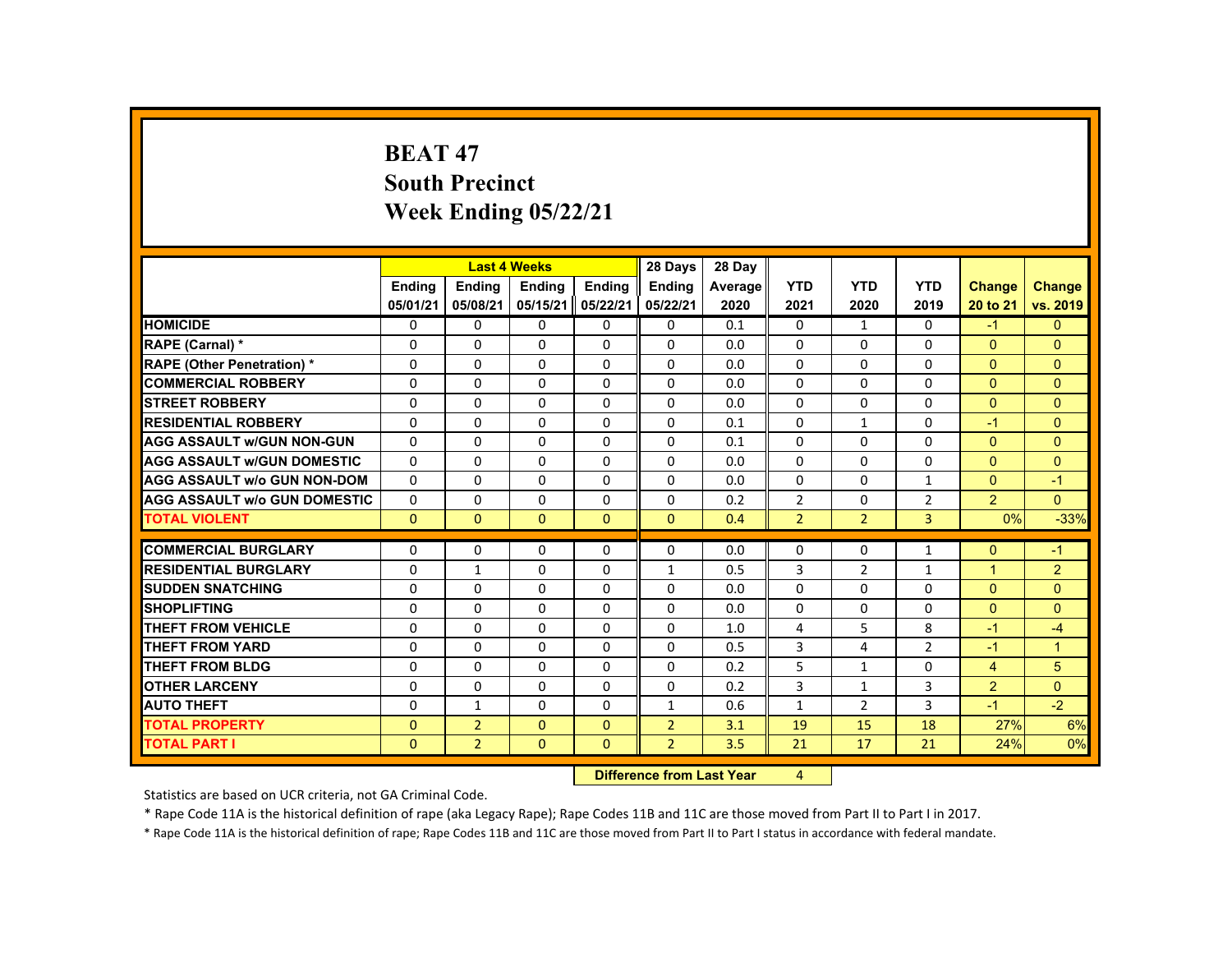# **BEAT 47 South Precinct Week Ending 05/22/21**

|                                     |               | <b>Last 4 Weeks</b> |               |              | 28 Days        | 28 Day  |                |                |                |                |                |
|-------------------------------------|---------------|---------------------|---------------|--------------|----------------|---------|----------------|----------------|----------------|----------------|----------------|
|                                     | <b>Ending</b> | <b>Ending</b>       | <b>Ending</b> | Ending       | <b>Ending</b>  | Average | <b>YTD</b>     | <b>YTD</b>     | <b>YTD</b>     | <b>Change</b>  | <b>Change</b>  |
|                                     | 05/01/21      | 05/08/21            | 05/15/21      | 05/22/21     | 05/22/21       | 2020    | 2021           | 2020           | 2019           | 20 to 21       | vs. 2019       |
| <b>HOMICIDE</b>                     | $\Omega$      | $\Omega$            | $\Omega$      | $\Omega$     | 0              | 0.1     | 0              | $\mathbf{1}$   | $\Omega$       | $-1$           | $\Omega$       |
| <b>RAPE (Carnal) *</b>              | $\Omega$      | $\Omega$            | $\Omega$      | $\Omega$     | $\Omega$       | 0.0     | $\Omega$       | $\Omega$       | $\Omega$       | $\mathbf{0}$   | $\Omega$       |
| <b>RAPE (Other Penetration) *</b>   | $\Omega$      | $\Omega$            | $\Omega$      | $\Omega$     | $\Omega$       | 0.0     | $\Omega$       | $\Omega$       | $\Omega$       | $\Omega$       | $\Omega$       |
| <b>COMMERCIAL ROBBERY</b>           | $\Omega$      | $\Omega$            | $\Omega$      | $\Omega$     | $\Omega$       | 0.0     | 0              | $\Omega$       | $\Omega$       | $\Omega$       | $\Omega$       |
| <b>STREET ROBBERY</b>               | $\Omega$      | $\Omega$            | $\Omega$      | $\Omega$     | $\Omega$       | 0.0     | $\Omega$       | $\Omega$       | $\Omega$       | $\Omega$       | $\Omega$       |
| <b>RESIDENTIAL ROBBERY</b>          | $\Omega$      | $\mathbf{0}$        | $\Omega$      | $\Omega$     | $\Omega$       | 0.1     | $\Omega$       | $\mathbf{1}$   | 0              | $-1$           | $\Omega$       |
| <b>AGG ASSAULT W/GUN NON-GUN</b>    | $\Omega$      | $\Omega$            | $\Omega$      | $\Omega$     | $\Omega$       | 0.1     | 0              | 0              | 0              | $\Omega$       | $\Omega$       |
| <b>AGG ASSAULT W/GUN DOMESTIC</b>   | $\Omega$      | $\Omega$            | $\Omega$      | $\Omega$     | $\Omega$       | 0.0     | $\Omega$       | $\Omega$       | $\Omega$       | $\Omega$       | $\Omega$       |
| <b>AGG ASSAULT W/o GUN NON-DOM</b>  | $\Omega$      | $\Omega$            | $\Omega$      | $\Omega$     | $\Omega$       | 0.0     | $\Omega$       | $\Omega$       | $\mathbf{1}$   | $\Omega$       | $-1$           |
| <b>AGG ASSAULT W/o GUN DOMESTIC</b> | $\Omega$      | $\Omega$            | $\Omega$      | $\Omega$     | $\Omega$       | 0.2     | $\overline{2}$ | $\Omega$       | $\overline{2}$ | $\overline{2}$ | $\Omega$       |
| <b>TOTAL VIOLENT</b>                | $\mathbf{0}$  | $\mathbf{0}$        | $\Omega$      | $\mathbf{0}$ | $\mathbf{0}$   | 0.4     | $\overline{2}$ | $\overline{2}$ | 3              | 0%             | $-33%$         |
|                                     |               |                     |               |              |                |         |                |                |                |                |                |
| <b>COMMERCIAL BURGLARY</b>          | $\Omega$      | $\Omega$            | $\Omega$      | $\Omega$     | $\Omega$       | 0.0     | $\Omega$       | $\Omega$       | $\mathbf{1}$   | $\Omega$       | $-1$           |
| <b>RESIDENTIAL BURGLARY</b>         | $\Omega$      | $\mathbf{1}$        | $\Omega$      | $\Omega$     | $\mathbf{1}$   | 0.5     | 3              | $\overline{2}$ | $\mathbf{1}$   | $\overline{1}$ | $\overline{2}$ |
| <b>SUDDEN SNATCHING</b>             | 0             | $\mathbf{0}$        | $\mathbf{0}$  | $\mathbf{0}$ | 0              | 0.0     | $\Omega$       | 0              | $\Omega$       | $\Omega$       | $\Omega$       |
| <b>SHOPLIFTING</b>                  | $\Omega$      | $\Omega$            | $\Omega$      | $\Omega$     | $\Omega$       | 0.0     | $\Omega$       | 0              | $\Omega$       | $\Omega$       | $\Omega$       |
| <b>THEFT FROM VEHICLE</b>           | $\Omega$      | $\Omega$            | $\Omega$      | $\Omega$     | $\Omega$       | 1.0     | 4              | 5              | 8              | $-1$           | $-4$           |
| <b>THEFT FROM YARD</b>              | $\Omega$      | $\Omega$            | $\Omega$      | $\Omega$     | $\Omega$       | 0.5     | 3              | 4              | $\overline{2}$ | $-1$           | $\overline{1}$ |
| <b>THEFT FROM BLDG</b>              | $\Omega$      | $\Omega$            | $\Omega$      | $\Omega$     | $\Omega$       | 0.2     | 5              | $\mathbf{1}$   | $\Omega$       | $\overline{4}$ | 5              |
| <b>OTHER LARCENY</b>                | 0             | $\mathbf{0}$        | $\mathbf{0}$  | $\mathbf{0}$ | 0              | 0.2     | 3              | 1              | 3              | $\overline{2}$ | $\Omega$       |
| <b>AUTO THEFT</b>                   | $\Omega$      | $\mathbf{1}$        | $\Omega$      | $\Omega$     | 1              | 0.6     | $\mathbf{1}$   | $\overline{2}$ | 3              | $-1$           | $-2$           |
| <b>TOTAL PROPERTY</b>               | $\Omega$      | $\overline{2}$      | $\Omega$      | $\Omega$     | $\overline{2}$ | 3.1     | 19             | 15             | 18             | 27%            | 6%             |
| <b>TOTAL PART I</b>                 | $\Omega$      | $\overline{2}$      | $\Omega$      | $\mathbf{0}$ | $\overline{2}$ | 3.5     | 21             | 17             | 21             | 24%            | 0%             |
|                                     |               |                     |               |              |                |         |                |                |                |                |                |

 **Difference from Last Year**4

Statistics are based on UCR criteria, not GA Criminal Code.

\* Rape Code 11A is the historical definition of rape (aka Legacy Rape); Rape Codes 11B and 11C are those moved from Part II to Part I in 2017.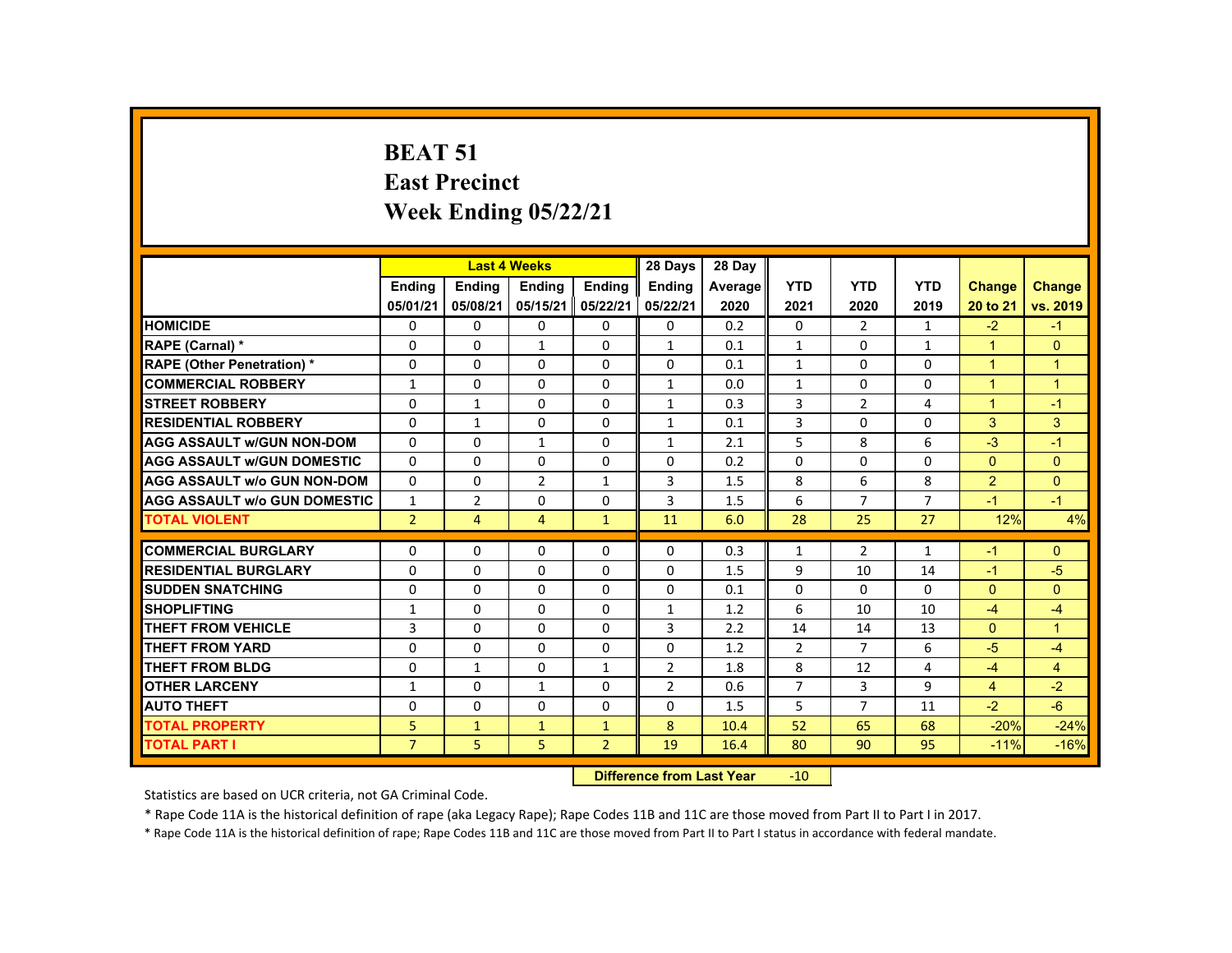# **BEAT 51 East Precinct Week Ending 05/22/21**

|                                     |                |                | <b>Last 4 Weeks</b> |                | 28 Days                          | 28 Day  |                |                |                |                      |                      |
|-------------------------------------|----------------|----------------|---------------------|----------------|----------------------------------|---------|----------------|----------------|----------------|----------------------|----------------------|
|                                     | Ending         | <b>Ending</b>  | <b>Ending</b>       | Ending         | <b>Ending</b>                    | Average | <b>YTD</b>     | <b>YTD</b>     | <b>YTD</b>     | <b>Change</b>        | <b>Change</b>        |
|                                     | 05/01/21       | 05/08/21       | 05/15/21            | 05/22/21       | 05/22/21                         | 2020    | 2021           | 2020           | 2019           | 20 to 21             | vs. 2019             |
| <b>HOMICIDE</b>                     | $\Omega$       | $\Omega$       | $\Omega$            | $\Omega$       | $\mathbf{0}$                     | 0.2     | $\Omega$       | $\overline{2}$ | $\mathbf{1}$   | $-2$                 | $-1$                 |
| RAPE (Carnal) *                     | $\Omega$       | $\Omega$       | $\mathbf{1}$        | $\Omega$       | $\mathbf{1}$                     | 0.1     | $\mathbf{1}$   | $\Omega$       | $\mathbf{1}$   | $\blacktriangleleft$ | $\Omega$             |
| <b>RAPE (Other Penetration) *</b>   | $\Omega$       | $\Omega$       | $\Omega$            | $\Omega$       | $\Omega$                         | 0.1     | $\mathbf{1}$   | 0              | $\Omega$       | $\blacktriangleleft$ | 1                    |
| <b>COMMERCIAL ROBBERY</b>           | $\mathbf{1}$   | $\Omega$       | $\Omega$            | $\Omega$       | $\mathbf{1}$                     | 0.0     | $\mathbf{1}$   | $\Omega$       | $\Omega$       | $\overline{1}$       | $\overline{1}$       |
| <b>STREET ROBBERY</b>               | $\Omega$       | $\mathbf{1}$   | $\Omega$            | $\Omega$       | $\mathbf{1}$                     | 0.3     | 3              | $\overline{2}$ | 4              | $\blacktriangleleft$ | $-1$                 |
| <b>RESIDENTIAL ROBBERY</b>          | $\Omega$       | $\mathbf{1}$   | $\Omega$            | $\Omega$       | $\mathbf{1}$                     | 0.1     | 3              | $\Omega$       | $\Omega$       | 3                    | 3                    |
| <b>AGG ASSAULT w/GUN NON-DOM</b>    | $\Omega$       | $\Omega$       | $\mathbf{1}$        | $\Omega$       | $\mathbf{1}$                     | 2.1     | 5              | 8              | 6              | $-3$                 | $-1$                 |
| <b>AGG ASSAULT w/GUN DOMESTIC</b>   | $\Omega$       | $\Omega$       | $\Omega$            | $\Omega$       | $\Omega$                         | 0.2     | $\Omega$       | $\Omega$       | $\Omega$       | $\mathbf{0}$         | $\Omega$             |
| <b>AGG ASSAULT w/o GUN NON-DOM</b>  | $\Omega$       | $\Omega$       | $\overline{2}$      | $\mathbf{1}$   | 3                                | 1.5     | 8              | 6              | 8              | 2                    | $\Omega$             |
| <b>AGG ASSAULT w/o GUN DOMESTIC</b> | $\mathbf{1}$   | $\overline{2}$ | 0                   | 0              | 3                                | 1.5     | 6              | $\overline{7}$ | $\overline{7}$ | $-1$                 | $-1$                 |
| <b>TOTAL VIOLENT</b>                | $\overline{2}$ | $\overline{4}$ | $\overline{4}$      | $\mathbf{1}$   | 11                               | 6.0     | 28             | 25             | 27             | 12%                  | 4%                   |
| <b>COMMERCIAL BURGLARY</b>          | $\mathbf{0}$   | $\mathbf{0}$   | 0                   | $\mathbf{0}$   | $\mathbf{0}$                     | 0.3     | 1              | $\overline{2}$ | $\mathbf{1}$   | $-1$                 | $\mathbf{0}$         |
| <b>RESIDENTIAL BURGLARY</b>         | $\Omega$       | $\Omega$       | $\Omega$            | $\Omega$       | $\Omega$                         | 1.5     | 9              | 10             | 14             | $-1$                 | $-5$                 |
| <b>SUDDEN SNATCHING</b>             | 0              | $\Omega$       | $\Omega$            | $\Omega$       | $\Omega$                         | 0.1     | $\mathbf 0$    | $\Omega$       | $\Omega$       | $\mathbf{0}$         | $\Omega$             |
| <b>SHOPLIFTING</b>                  | $\mathbf{1}$   | $\Omega$       | $\Omega$            | $\Omega$       | $\mathbf{1}$                     | 1.2     | 6              | 10             | 10             | $-4$                 | $-4$                 |
| <b>THEFT FROM VEHICLE</b>           | 3              | $\Omega$       | $\Omega$            | $\Omega$       | 3                                | 2.2     | 14             | 14             | 13             | $\mathbf{0}$         | $\blacktriangleleft$ |
| <b>THEFT FROM YARD</b>              | $\Omega$       | $\Omega$       | $\Omega$            | $\Omega$       | $\Omega$                         | 1.2     | 2              | $\overline{7}$ | 6              | $-5$                 | $-4$                 |
| <b>THEFT FROM BLDG</b>              | $\Omega$       | $\mathbf{1}$   | $\Omega$            | $\mathbf{1}$   | $\overline{2}$                   | 1.8     | 8              | 12             | 4              | $-4$                 | $\overline{4}$       |
| <b>OTHER LARCENY</b>                | $\mathbf{1}$   | $\Omega$       | $\mathbf{1}$        | $\Omega$       | $\overline{2}$                   | 0.6     | $\overline{7}$ | $\overline{3}$ | 9              | $\overline{4}$       | $-2$                 |
| <b>AUTO THEFT</b>                   | 0              | $\Omega$       | $\Omega$            | $\Omega$       | $\Omega$                         | 1.5     | 5              | $\overline{7}$ | 11             | $-2$                 | $-6$                 |
| <b>TOTAL PROPERTY</b>               | 5              | $\mathbf{1}$   | $\mathbf{1}$        | $\mathbf{1}$   | 8                                | 10.4    | 52             | 65             | 68             | $-20%$               | $-24%$               |
| <b>TOTAL PART I</b>                 | $\overline{7}$ | 5              | 5                   | $\overline{2}$ | 19                               | 16.4    | 80             | 90             | 95             | $-11%$               | $-16%$               |
|                                     |                |                |                     |                | <b>Difference from Last Year</b> |         | $-10$          |                |                |                      |                      |

Statistics are based on UCR criteria, not GA Criminal Code.

\* Rape Code 11A is the historical definition of rape (aka Legacy Rape); Rape Codes 11B and 11C are those moved from Part II to Part I in 2017.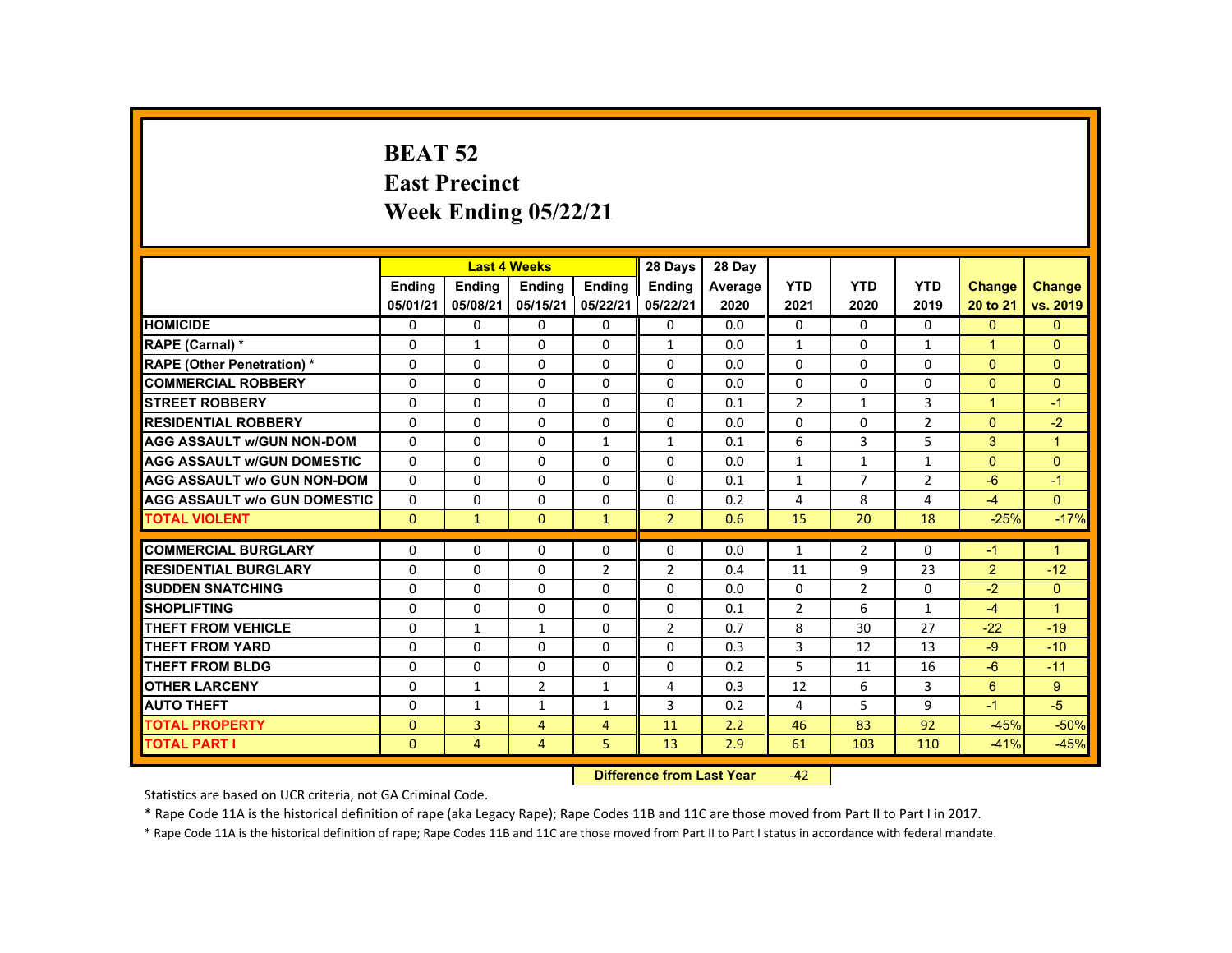### **BEAT 52 East Precinct Week Ending 05/22/21**

|                                     |               |                | <b>Last 4 Weeks</b> |                | 28 Days                   | 28 Day  |                |                |                |                      |                      |
|-------------------------------------|---------------|----------------|---------------------|----------------|---------------------------|---------|----------------|----------------|----------------|----------------------|----------------------|
|                                     | <b>Endina</b> | <b>Endina</b>  | <b>Endina</b>       | <b>Endina</b>  | <b>Endina</b>             | Average | <b>YTD</b>     | <b>YTD</b>     | <b>YTD</b>     | <b>Change</b>        | <b>Change</b>        |
|                                     | 05/01/21      | 05/08/21       | 05/15/21            | 05/22/21       | 05/22/21                  | 2020    | 2021           | 2020           | 2019           | 20 to 21             | vs. 2019             |
| <b>HOMICIDE</b>                     | $\mathbf{0}$  | 0              | 0                   | 0              | 0                         | 0.0     | $\mathbf{0}$   | $\Omega$       | $\Omega$       | $\Omega$             | $\Omega$             |
| <b>RAPE (Carnal) *</b>              | 0             | $\mathbf{1}$   | 0                   | 0              | $\mathbf{1}$              | 0.0     | $\mathbf{1}$   | 0              | $\mathbf{1}$   | $\mathbf{1}$         | $\Omega$             |
| <b>RAPE (Other Penetration) *</b>   | $\Omega$      | $\Omega$       | $\Omega$            | $\Omega$       | $\Omega$                  | 0.0     | $\Omega$       | $\Omega$       | $\Omega$       | $\Omega$             | $\Omega$             |
| <b>COMMERCIAL ROBBERY</b>           | $\Omega$      | $\Omega$       | $\Omega$            | $\Omega$       | $\Omega$                  | 0.0     | $\Omega$       | $\Omega$       | $\Omega$       | $\Omega$             | $\mathbf{0}$         |
| <b>STREET ROBBERY</b>               | $\Omega$      | $\Omega$       | $\Omega$            | $\Omega$       | $\Omega$                  | 0.1     | $\overline{2}$ | $\mathbf{1}$   | 3              | $\blacktriangleleft$ | $-1$                 |
| <b>RESIDENTIAL ROBBERY</b>          | 0             | 0              | 0                   | 0              | 0                         | 0.0     | 0              | 0              | $\overline{2}$ | $\Omega$             | $-2$                 |
| <b>AGG ASSAULT W/GUN NON-DOM</b>    | $\Omega$      | $\Omega$       | $\Omega$            | $\mathbf{1}$   | $\mathbf{1}$              | 0.1     | 6              | 3              | 5              | 3                    | $\blacktriangleleft$ |
| <b>AGG ASSAULT W/GUN DOMESTIC</b>   | $\Omega$      | $\Omega$       | $\Omega$            | $\Omega$       | $\Omega$                  | 0.0     | $\mathbf{1}$   | $\mathbf{1}$   | $\mathbf{1}$   | $\Omega$             | $\Omega$             |
| <b>AGG ASSAULT w/o GUN NON-DOM</b>  | $\Omega$      | $\Omega$       | $\Omega$            | $\Omega$       | $\Omega$                  | 0.1     | $\mathbf{1}$   | $\overline{7}$ | $\overline{2}$ | $-6$                 | $-1$                 |
| <b>AGG ASSAULT w/o GUN DOMESTIC</b> | $\Omega$      | $\Omega$       | $\Omega$            | $\Omega$       | $\Omega$                  | 0.2     | 4              | 8              | 4              | $-4$                 | $\Omega$             |
| <b>TOTAL VIOLENT</b>                | $\Omega$      | $\mathbf{1}$   | $\Omega$            | $\mathbf{1}$   | $\overline{2}$            | 0.6     | 15             | 20             | 18             | $-25%$               | $-17%$               |
| <b>COMMERCIAL BURGLARY</b>          | $\Omega$      | $\Omega$       | $\Omega$            | $\Omega$       | $\Omega$                  | 0.0     | $\mathbf{1}$   | $\overline{2}$ | $\Omega$       | $-1$                 | $\blacktriangleleft$ |
| <b>RESIDENTIAL BURGLARY</b>         | $\Omega$      | $\Omega$       | 0                   | $\overline{2}$ | 2                         | 0.4     | 11             | 9              | 23             | 2                    | $-12$                |
| <b>SUDDEN SNATCHING</b>             | $\Omega$      | $\Omega$       | $\Omega$            | $\Omega$       | $\Omega$                  | 0.0     | $\Omega$       | $\overline{2}$ | 0              | $-2$                 | $\Omega$             |
| <b>SHOPLIFTING</b>                  | $\Omega$      | $\Omega$       | $\Omega$            | $\Omega$       | $\Omega$                  | 0.1     | $\overline{2}$ | 6              | $\mathbf{1}$   | $-4$                 | $\mathbf{1}$         |
| <b>THEFT FROM VEHICLE</b>           | $\Omega$      | $\mathbf{1}$   | $\mathbf{1}$        | $\Omega$       | $\overline{2}$            | 0.7     | 8              | 30             | 27             | $-22$                | $-19$                |
| <b>THEFT FROM YARD</b>              | 0             | $\Omega$       | $\Omega$            | $\Omega$       | $\Omega$                  | 0.3     | 3              | 12             | 13             | $-9$                 | $-10$                |
| <b>THEFT FROM BLDG</b>              | 0             | $\Omega$       | 0                   | $\Omega$       | 0                         | 0.2     | 5              | 11             | 16             | $-6$                 | $-11$                |
| <b>OTHER LARCENY</b>                | $\Omega$      | $\mathbf{1}$   | $\overline{2}$      | $\mathbf{1}$   | 4                         | 0.3     | 12             | 6              | 3              | 6                    | 9                    |
| <b>AUTO THEFT</b>                   | $\Omega$      | $\mathbf{1}$   | $\mathbf{1}$        | $\mathbf{1}$   | 3                         | 0.2     | 4              | 5              | 9              | $-1$                 | $-5$                 |
| <b>TOTAL PROPERTY</b>               | $\Omega$      | $\overline{3}$ | $\overline{4}$      | $\overline{4}$ | 11                        | 2.2     | 46             | 83             | 92             | $-45%$               | $-50%$               |
| <b>TOTAL PART I</b>                 | $\mathbf{0}$  | $\overline{4}$ | 4                   | 5              | 13                        | 2.9     | 61             | 103            | 110            | $-41%$               | $-45%$               |
|                                     |               |                |                     |                | Difference from Loot Voor |         | $\sqrt{2}$     |                |                |                      |                      |

 **Difference from Last Year**‐42

Statistics are based on UCR criteria, not GA Criminal Code.

\* Rape Code 11A is the historical definition of rape (aka Legacy Rape); Rape Codes 11B and 11C are those moved from Part II to Part I in 2017.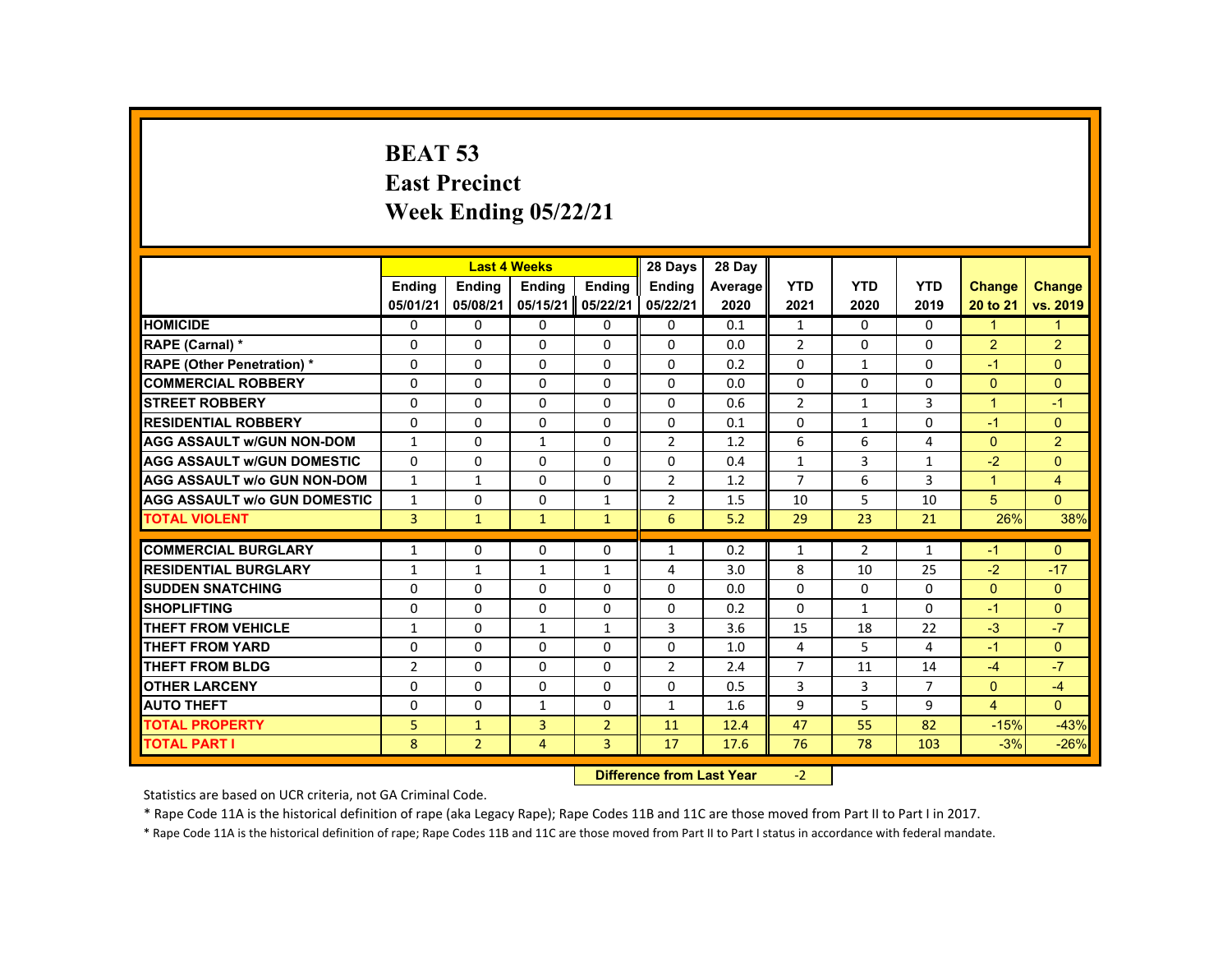# **BEAT 53 East Precinct Week Ending 05/22/21**

|                                     |                            |                | <b>Last 4 Weeks</b> |                | 28 Days                           | 28 Day     |                |                |                      |                      |                |
|-------------------------------------|----------------------------|----------------|---------------------|----------------|-----------------------------------|------------|----------------|----------------|----------------------|----------------------|----------------|
|                                     | <b>Ending</b>              | Ending         | Ending              | Ending         | <b>Endina</b>                     | Average    | <b>YTD</b>     | <b>YTD</b>     | <b>YTD</b>           | <b>Change</b>        | Change         |
|                                     | 05/01/21                   | 05/08/21       | 05/15/21            | 05/22/21       | 05/22/21                          | 2020       | 2021           | 2020           | 2019                 | 20 to 21             | vs. 2019       |
| <b>HOMICIDE</b>                     | $\Omega$                   | $\Omega$       | $\Omega$            | $\Omega$       | $\mathbf{0}$                      | 0.1        | $\mathbf{1}$   | $\Omega$       | $\Omega$             | $\mathbf{1}$         | 1              |
| RAPE (Carnal) *                     | $\Omega$                   | $\Omega$       | $\Omega$            | $\Omega$       | $\Omega$                          | 0.0        | $\overline{2}$ | $\Omega$       | $\Omega$             | $\overline{2}$       | $\overline{2}$ |
| <b>RAPE (Other Penetration) *</b>   | $\Omega$                   | $\Omega$       | $\Omega$            | $\Omega$       | $\Omega$                          | 0.2        | $\Omega$       | $\mathbf{1}$   | $\Omega$             | $-1$                 | $\Omega$       |
| <b>COMMERCIAL ROBBERY</b>           | $\Omega$                   | $\Omega$       | $\Omega$            | $\Omega$       | $\Omega$                          | 0.0        | $\Omega$       | $\Omega$       | $\Omega$             | $\Omega$             | $\Omega$       |
| <b>STREET ROBBERY</b>               | $\Omega$                   | $\Omega$       | $\Omega$            | $\Omega$       | $\Omega$                          | 0.6        | $\overline{2}$ | $\mathbf{1}$   | $\overline{3}$       | $\blacktriangleleft$ | $-1$           |
| <b>RESIDENTIAL ROBBERY</b>          | 0                          | $\mathbf{0}$   | 0                   | 0              | 0                                 | 0.1        | $\mathbf{0}$   | $\mathbf{1}$   | 0                    | $-1$                 | $\Omega$       |
| <b>AGG ASSAULT w/GUN NON-DOM</b>    | $\mathbf{1}$               | $\Omega$       | $\mathbf{1}$        | $\Omega$       | $\overline{2}$                    | 1.2        | 6              | 6              | 4                    | $\Omega$             | $\overline{2}$ |
| <b>AGG ASSAULT w/GUN DOMESTIC</b>   | $\Omega$                   | $\Omega$       | $\Omega$            | $\Omega$       | $\Omega$                          | 0.4        | $\mathbf{1}$   | 3              | $\mathbf{1}$         | $-2$                 | $\Omega$       |
| <b>AGG ASSAULT w/o GUN NON-DOM</b>  | $\mathbf{1}$               | $\mathbf{1}$   | $\Omega$            | $\Omega$       | $\overline{2}$                    | 1.2        | $\overline{7}$ | 6              | $\overline{3}$       | $\blacktriangleleft$ | $\overline{4}$ |
| <b>AGG ASSAULT w/o GUN DOMESTIC</b> | $\mathbf{1}$               | $\mathbf{0}$   | 0                   | $\mathbf{1}$   | $\overline{2}$                    | 1.5        | 10             | 5              | 10                   | 5                    | $\mathbf{0}$   |
| <b>TOTAL VIOLENT</b>                | $\overline{3}$             | $\mathbf{1}$   | $\mathbf{1}$        | $\mathbf{1}$   | 6                                 | 5.2        | 29             | 23             | 21                   | 26%                  | 38%            |
| <b>COMMERCIAL BURGLARY</b>          | $\mathbf{1}$               | $\Omega$       | $\Omega$            | $\Omega$       | $\mathbf{1}$                      | 0.2        | $\mathbf{1}$   | $\overline{2}$ | $\mathbf{1}$         | $-1$                 | $\Omega$       |
| <b>RESIDENTIAL BURGLARY</b>         | $\mathbf{1}$               | $\mathbf{1}$   | $\mathbf{1}$        | $\mathbf{1}$   | 4                                 | 3.0        | 8              | 10             | 25                   | $-2$                 | $-17$          |
| <b>SUDDEN SNATCHING</b>             | $\Omega$                   | $\Omega$       | $\Omega$            | $\Omega$       | $\Omega$                          | 0.0        | $\Omega$       | $\Omega$       | $\mathbf{0}$         | $\mathbf{0}$         | $\Omega$       |
| <b>SHOPLIFTING</b>                  | $\Omega$                   | $\Omega$       | $\Omega$            | $\Omega$       | $\Omega$                          | 0.2        | $\Omega$       | $\mathbf{1}$   | $\Omega$             | $-1$                 | $\Omega$       |
| <b>THEFT FROM VEHICLE</b>           | $\mathbf{1}$               | $\Omega$       | $\mathbf{1}$        | $\mathbf{1}$   | 3                                 | 3.6        | 15             | 18             | 22                   | $-3$                 | $-7$           |
| <b>THEFT FROM YARD</b>              | $\Omega$                   | $\Omega$       | $\Omega$            | $\Omega$       | $\Omega$                          | 1.0        | 4              | 5.             | 4                    | $-1$                 | $\Omega$       |
| <b>THEFT FROM BLDG</b>              |                            | $\Omega$       | $\Omega$            | $\Omega$       |                                   |            | $\overline{7}$ |                |                      | $-4$                 | $-7$           |
| <b>OTHER LARCENY</b>                | $\overline{2}$<br>$\Omega$ | $\Omega$       | $\Omega$            | $\Omega$       | 2<br>$\mathbf{0}$                 | 2.4<br>0.5 | 3              | 11<br>3        | 14<br>$\overline{7}$ | $\mathbf{0}$         | $-4$           |
|                                     |                            |                |                     |                |                                   |            |                |                |                      |                      | $\Omega$       |
| <b>AUTO THEFT</b>                   | $\Omega$                   | $\Omega$       | $\mathbf{1}$        | $\Omega$       | $\mathbf{1}$                      | 1.6        | 9              | 5              | 9                    | $\overline{4}$       |                |
| <b>TOTAL PROPERTY</b>               | 5                          | $\mathbf{1}$   | $\overline{3}$      | $\overline{2}$ | 11                                | 12.4       | 47             | 55             | 82                   | $-15%$               | $-43%$         |
| <b>TOTAL PART I</b>                 | 8                          | $\overline{2}$ | 4                   | 3              | 17                                | 17.6       | 76             | 78             | 103                  | $-3%$                | $-26%$         |
|                                     |                            |                |                     |                | <b>Difference from Least Vage</b> |            | $\sim$         |                |                      |                      |                |

 **Difference from Last Year**‐2

Statistics are based on UCR criteria, not GA Criminal Code.

\* Rape Code 11A is the historical definition of rape (aka Legacy Rape); Rape Codes 11B and 11C are those moved from Part II to Part I in 2017.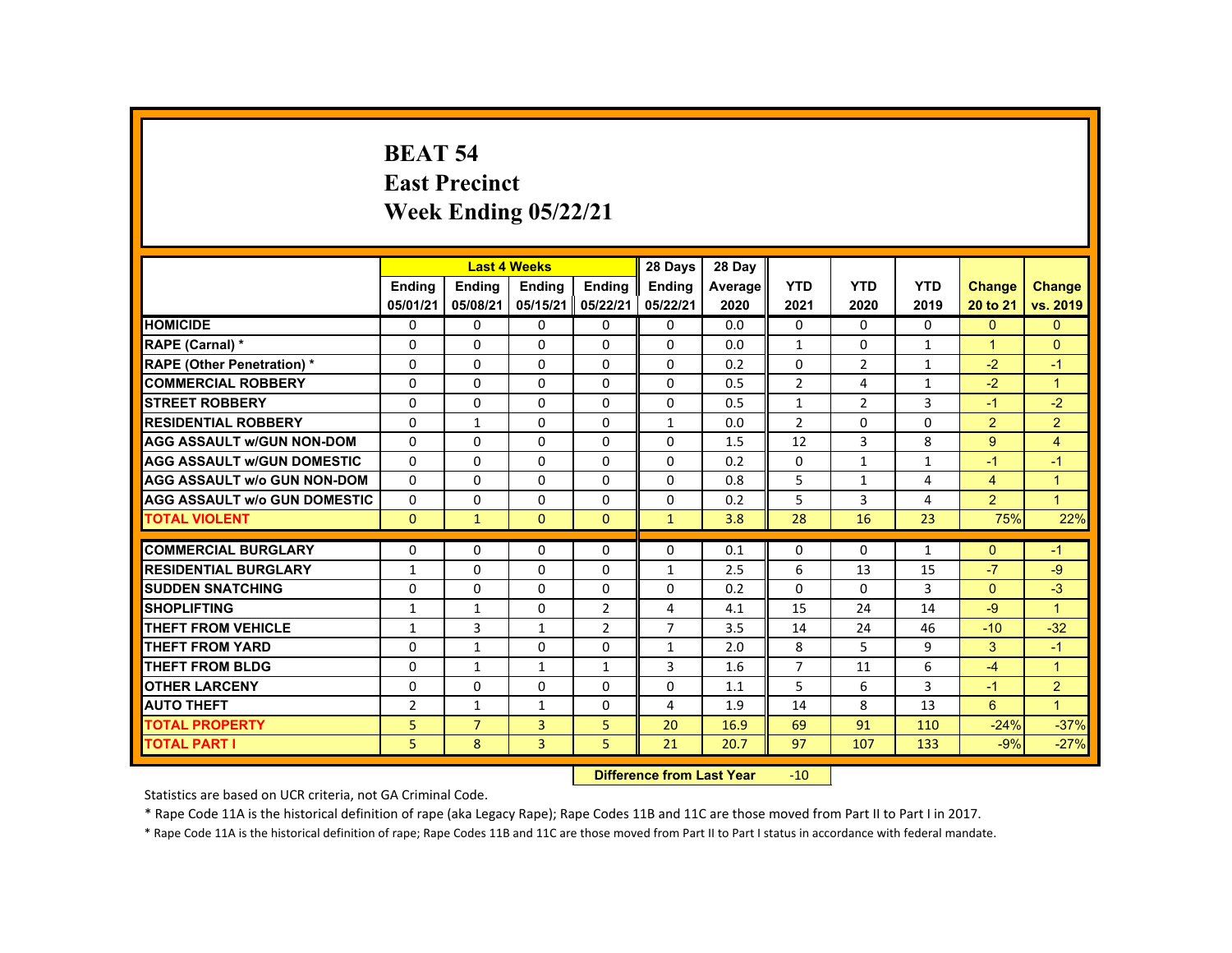#### **BEAT 54 East Precinct Week Ending 05/22/21**

|                                     |                           |                           | <b>Last 4 Weeks</b>       |                    | 28 Days            | 28 Day          |                    |                    |                    |                           |                           |
|-------------------------------------|---------------------------|---------------------------|---------------------------|--------------------|--------------------|-----------------|--------------------|--------------------|--------------------|---------------------------|---------------------------|
|                                     | <b>Endina</b><br>05/01/21 | <b>Endina</b><br>05/08/21 | <b>Endina</b><br>05/15/21 | Ending<br>05/22/21 | Ending<br>05/22/21 | Average<br>2020 | <b>YTD</b><br>2021 | <b>YTD</b><br>2020 | <b>YTD</b><br>2019 | <b>Change</b><br>20 to 21 | <b>Change</b><br>vs. 2019 |
| <b>HOMICIDE</b>                     | 0                         | 0                         | 0                         | 0                  | 0                  | 0.0             | 0                  | $\mathbf{0}$       | $\mathbf{0}$       | $\mathbf{0}$              | $\mathbf{0}$              |
| RAPE (Carnal) *                     | 0                         | 0                         | 0                         | $\Omega$           | 0                  | 0.0             | $\mathbf{1}$       | 0                  | $\mathbf{1}$       | 1                         | $\Omega$                  |
| <b>RAPE (Other Penetration) *</b>   | $\Omega$                  | $\Omega$                  | $\Omega$                  | $\Omega$           | $\Omega$           | 0.2             | $\Omega$           | 2                  | $\mathbf{1}$       | $-2$                      | $-1$                      |
| <b>COMMERCIAL ROBBERY</b>           | $\Omega$                  | $\Omega$                  | 0                         | $\Omega$           | 0                  | 0.5             | $\overline{2}$     | 4                  | $\mathbf{1}$       | $-2$                      | $\overline{1}$            |
| <b>STREET ROBBERY</b>               | $\Omega$                  | $\Omega$                  | $\Omega$                  | $\Omega$           | $\Omega$           | 0.5             | $\mathbf{1}$       | $\overline{2}$     | 3                  | $-1$                      | $-2$                      |
| <b>RESIDENTIAL ROBBERY</b>          | $\Omega$                  | $\mathbf{1}$              | $\Omega$                  | $\Omega$           | $\mathbf{1}$       | 0.0             | $\overline{2}$     | $\Omega$           | $\Omega$           | 2                         | $\overline{2}$            |
| <b>AGG ASSAULT w/GUN NON-DOM</b>    | $\Omega$                  | $\Omega$                  | $\Omega$                  | $\Omega$           | $\Omega$           | 1.5             | 12                 | 3                  | 8                  | 9                         | $\overline{4}$            |
| <b>AGG ASSAULT W/GUN DOMESTIC</b>   | $\Omega$                  | $\Omega$                  | $\Omega$                  | $\Omega$           | $\Omega$           | 0.2             | $\Omega$           | $\mathbf{1}$       | $\mathbf{1}$       | $-1$                      | $-1$                      |
| <b>AGG ASSAULT w/o GUN NON-DOM</b>  | $\Omega$                  | $\Omega$                  | $\Omega$                  | $\Omega$           | $\Omega$           | 0.8             | 5                  | $\mathbf{1}$       | 4                  | $\overline{4}$            | $\overline{1}$            |
| <b>AGG ASSAULT W/o GUN DOMESTIC</b> | $\Omega$                  | $\Omega$                  | $\Omega$                  | $\Omega$           | $\Omega$           | 0.2             | 5                  | 3                  | 4                  | $\overline{2}$            | $\blacktriangleleft$      |
| <b>TOTAL VIOLENT</b>                | $\mathbf{0}$              | $\mathbf{1}$              | $\Omega$                  | $\mathbf{0}$       | $\mathbf{1}$       | 3.8             | 28                 | 16                 | 23                 | 75%                       | 22%                       |
| <b>COMMERCIAL BURGLARY</b>          | $\Omega$                  | $\Omega$                  | $\Omega$                  | $\Omega$           | $\Omega$           | 0.1             | $\Omega$           | $\Omega$           |                    | $\Omega$                  | $-1$                      |
|                                     |                           |                           |                           |                    |                    |                 |                    |                    | $\mathbf{1}$       | $-7$                      |                           |
| <b>RESIDENTIAL BURGLARY</b>         | $\mathbf{1}$              | $\Omega$                  | $\Omega$                  | $\Omega$           | $\mathbf{1}$       | 2.5             | 6                  | 13                 | 15                 |                           | $-9$                      |
| <b>SUDDEN SNATCHING</b>             | $\Omega$                  | 0                         | $\Omega$                  | 0                  | $\Omega$           | 0.2             | $\Omega$           | 0                  | 3                  | $\mathbf{0}$              | $-3$                      |
| <b>SHOPLIFTING</b>                  | $\mathbf{1}$              | $\mathbf{1}$              | $\Omega$                  | $\overline{2}$     | 4                  | 4.1             | 15                 | 24                 | 14                 | $-9$                      | $\blacktriangleleft$      |
| <b>THEFT FROM VEHICLE</b>           | $\mathbf{1}$              | 3                         | $\mathbf{1}$              | $\overline{2}$     | $\overline{7}$     | 3.5             | 14                 | 24                 | 46                 | $-10$                     | $-32$                     |
| <b>THEFT FROM YARD</b>              | $\Omega$                  | $\mathbf{1}$              | $\Omega$                  | $\Omega$           | $\mathbf{1}$       | 2.0             | 8                  | 5                  | 9                  | 3                         | $-1$                      |
| <b>THEFT FROM BLDG</b>              | $\Omega$                  | $\mathbf{1}$              | $\mathbf{1}$              | $\mathbf{1}$       | 3                  | 1.6             | $\overline{7}$     | 11                 | 6                  | $-4$                      | $\overline{1}$            |
| <b>OTHER LARCENY</b>                | $\Omega$                  | $\Omega$                  | $\Omega$                  | $\Omega$           | $\Omega$           | 1.1             | 5                  | 6                  | 3                  | $-1$                      | $\overline{2}$            |
| <b>AUTO THEFT</b>                   | $\overline{2}$            | $\mathbf{1}$              | $\mathbf{1}$              | $\Omega$           | 4                  | 1.9             | 14                 | 8                  | 13                 | 6                         | $\mathbf{1}$              |
| <b>TOTAL PROPERTY</b>               | 5                         | $\overline{7}$            | $\overline{3}$            | 5                  | 20                 | 16.9            | 69                 | 91                 | 110                | $-24%$                    | $-37%$                    |
| <b>TOTAL PART I</b>                 | 5                         | 8                         | $\overline{3}$            | 5                  | 21                 | 20.7            | 97                 | 107                | 133                | $-9%$                     | $-27%$                    |
|                                     |                           |                           |                           |                    |                    |                 |                    |                    |                    |                           |                           |

 **Difference from Last Year**r -10

Statistics are based on UCR criteria, not GA Criminal Code.

\* Rape Code 11A is the historical definition of rape (aka Legacy Rape); Rape Codes 11B and 11C are those moved from Part II to Part I in 2017.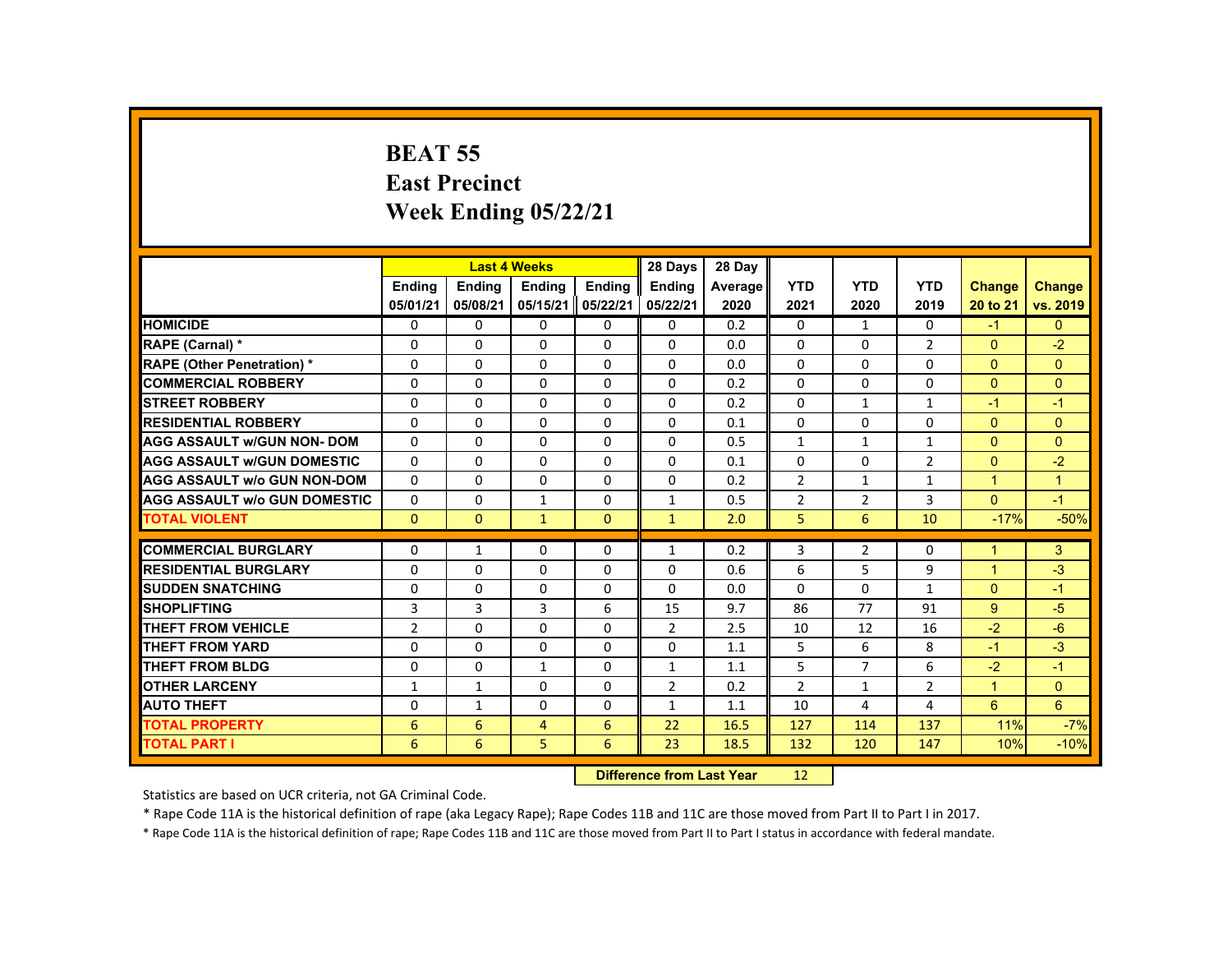### **BEAT 55 East Precinct Week Ending 05/22/21**

|                                     |                |                           | <b>Last 4 Weeks</b> |              | 28 Days        | 28 Day     |                |                |                |                      |               |
|-------------------------------------|----------------|---------------------------|---------------------|--------------|----------------|------------|----------------|----------------|----------------|----------------------|---------------|
|                                     | <b>Ending</b>  | <b>Ending</b>             | <b>Ending</b>       | Ending       | <b>Endina</b>  | Average    | <b>YTD</b>     | <b>YTD</b>     | <b>YTD</b>     | <b>Change</b>        | <b>Change</b> |
|                                     | 05/01/21       | 05/08/21                  | 05/15/21            | 05/22/21     | 05/22/21       | 2020       | 2021           | 2020           | 2019           | 20 to 21             | vs. 2019      |
| <b>HOMICIDE</b>                     | 0              | $\Omega$                  | $\Omega$            | $\Omega$     | 0              | 0.2        | $\mathbf{0}$   | $\mathbf{1}$   | $\mathbf{0}$   | $-1$                 | $\mathbf{0}$  |
| RAPE (Carnal) *                     | 0              | $\Omega$                  | $\Omega$            | $\mathbf{0}$ | $\Omega$       | 0.0        | $\Omega$       | $\mathbf{0}$   | $\overline{2}$ | $\mathbf{0}$         | $-2$          |
| <b>RAPE (Other Penetration)*</b>    | $\Omega$       | $\Omega$                  | $\Omega$            | $\Omega$     | $\Omega$       | 0.0        | $\Omega$       | $\Omega$       | $\Omega$       | $\Omega$             | $\mathbf{0}$  |
| <b>COMMERCIAL ROBBERY</b>           | $\Omega$       | $\Omega$                  | $\Omega$            | $\Omega$     | 0              | 0.2        | $\Omega$       | 0              | 0              | $\mathbf{0}$         | $\mathbf{0}$  |
| <b>STREET ROBBERY</b>               | $\Omega$       | $\Omega$                  | $\Omega$            | $\Omega$     | $\Omega$       | 0.2        | $\Omega$       | $\mathbf{1}$   | $\mathbf{1}$   | $-1$                 | $-1$          |
| <b>RESIDENTIAL ROBBERY</b>          | 0              | $\Omega$                  | $\mathbf{0}$        | 0            | 0              | 0.1        | 0              | 0              | 0              | $\mathbf{0}$         | $\mathbf{0}$  |
| <b>AGG ASSAULT w/GUN NON- DOM</b>   | $\Omega$       | $\Omega$                  | $\Omega$            | $\Omega$     | $\Omega$       | 0.5        | $\mathbf{1}$   | $\mathbf{1}$   | $\mathbf{1}$   | $\Omega$             | $\Omega$      |
| <b>AGG ASSAULT w/GUN DOMESTIC</b>   | $\Omega$       | $\Omega$                  | $\Omega$            | $\Omega$     | $\Omega$       | 0.1        | $\Omega$       | $\Omega$       | $\overline{2}$ | $\Omega$             | $-2$          |
| <b>AGG ASSAULT w/o GUN NON-DOM</b>  | $\Omega$       | $\Omega$                  | $\Omega$            | $\Omega$     | $\Omega$       | 0.2        | $\overline{2}$ | $\mathbf{1}$   | $\mathbf{1}$   | $\mathbf{1}$         | $\mathbf{1}$  |
| <b>AGG ASSAULT w/o GUN DOMESTIC</b> | $\Omega$       | $\Omega$                  | $\mathbf{1}$        | $\mathbf{0}$ | $\mathbf{1}$   | 0.5        | $\overline{2}$ | $\overline{2}$ | 3              | $\Omega$             | $-1$          |
| <b>TOTAL VIOLENT</b>                | $\mathbf{0}$   | $\Omega$                  | $\mathbf{1}$        | $\mathbf{0}$ | $\mathbf{1}$   | 2.0        | 5              | 6              | 10             | $-17%$               | $-50%$        |
| <b>COMMERCIAL BURGLARY</b>          | $\Omega$       | $\mathbf{1}$              | $\Omega$            | $\Omega$     | $\mathbf{1}$   | 0.2        | 3              | $\overline{2}$ | $\Omega$       | $\blacktriangleleft$ | 3             |
| <b>RESIDENTIAL BURGLARY</b>         | 0              | $\Omega$                  | $\Omega$            | 0            | $\Omega$       | 0.6        | 6              | 5              | 9              | $\mathbf{1}$         | $-3$          |
| <b>SUDDEN SNATCHING</b>             | $\Omega$       | $\Omega$                  | $\Omega$            | $\Omega$     | $\Omega$       | 0.0        | $\Omega$       | $\Omega$       | $\mathbf{1}$   | $\Omega$             | $-1$          |
| <b>SHOPLIFTING</b>                  | 3              | $\overline{3}$            | 3                   | 6            | 15             | 9.7        | 86             | 77             | 91             | $9^{\circ}$          | $-5$          |
| <b>THEFT FROM VEHICLE</b>           | $\overline{2}$ | $\Omega$                  | $\Omega$            | $\Omega$     | $\overline{2}$ | 2.5        | 10             | 12             | 16             | $-2$                 | $-6$          |
| <b>THEFT FROM YARD</b>              | $\Omega$       | $\mathbf{0}$              | $\Omega$            | $\mathbf{0}$ | $\Omega$       |            | 5              | 6              | 8              | $-1$                 | $-3$          |
| <b>THEFT FROM BLDG</b>              | $\mathbf{0}$   | $\Omega$                  | $\mathbf{1}$        | $\mathbf{0}$ | $\mathbf{1}$   | 1.1<br>1.1 | 5              | $\overline{7}$ | 6              | $-2$                 | $-1$          |
| <b>OTHER LARCENY</b>                | 1              | $\mathbf{1}$              | $\Omega$            | $\Omega$     | $\overline{2}$ | 0.2        | $\overline{2}$ | $\mathbf{1}$   | $\overline{2}$ | $\mathbf{1}$         | $\Omega$      |
|                                     |                |                           |                     |              |                |            |                |                |                |                      | 6             |
| <b>AUTO THEFT</b>                   | $\Omega$       | $\mathbf{1}$              | $\Omega$            | $\Omega$     | $\mathbf{1}$   | 1.1        | 10             | 4              | 4              | $6^{\circ}$          |               |
| <b>TOTAL PROPERTY</b>               | 6              | 6                         | $\overline{4}$      | 6            | 22             | 16.5       | 127            | 114            | 137            | 11%                  | $-7%$         |
| <b>TOTAL PART I</b>                 | 6              | 6                         | 5                   | 6            | 23             | 18.5       | 132            | 120            | 147            | 10%                  | $-10%$        |
|                                     |                | Difference from Loot Voor |                     | 12           |                |            |                |                |                |                      |               |

 **Difference from Last Year**12

Statistics are based on UCR criteria, not GA Criminal Code.

\* Rape Code 11A is the historical definition of rape (aka Legacy Rape); Rape Codes 11B and 11C are those moved from Part II to Part I in 2017.